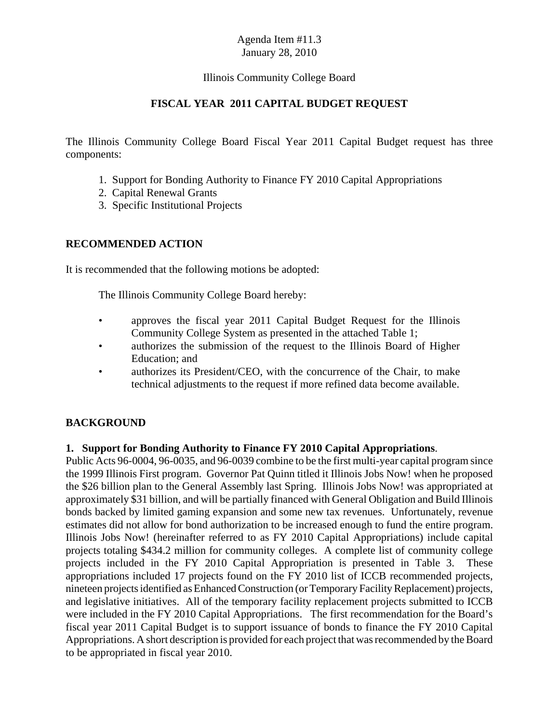#### Illinois Community College Board

### **FISCAL YEAR 2011 CAPITAL BUDGET REQUEST**

The Illinois Community College Board Fiscal Year 2011 Capital Budget request has three components:

- 1. Support for Bonding Authority to Finance FY 2010 Capital Appropriations
- 2. Capital Renewal Grants
- 3. Specific Institutional Projects

#### **RECOMMENDED ACTION**

It is recommended that the following motions be adopted:

The Illinois Community College Board hereby:

- approves the fiscal year 2011 Capital Budget Request for the Illinois Community College System as presented in the attached Table 1;
- authorizes the submission of the request to the Illinois Board of Higher Education; and
- authorizes its President/CEO, with the concurrence of the Chair, to make technical adjustments to the request if more refined data become available.

### **BACKGROUND**

#### **1. Support for Bonding Authority to Finance FY 2010 Capital Appropriations**.

Public Acts 96-0004, 96-0035, and 96-0039 combine to be the first multi-year capital program since the 1999 Illinois First program. Governor Pat Quinn titled it Illinois Jobs Now! when he proposed the \$26 billion plan to the General Assembly last Spring. Illinois Jobs Now! was appropriated at approximately \$31 billion, and will be partially financed with General Obligation and Build Illinois bonds backed by limited gaming expansion and some new tax revenues. Unfortunately, revenue estimates did not allow for bond authorization to be increased enough to fund the entire program. Illinois Jobs Now! (hereinafter referred to as FY 2010 Capital Appropriations) include capital projects totaling \$434.2 million for community colleges. A complete list of community college projects included in the FY 2010 Capital Appropriation is presented in Table 3. These appropriations included 17 projects found on the FY 2010 list of ICCB recommended projects, nineteen projects identified as Enhanced Construction (or Temporary Facility Replacement) projects, and legislative initiatives. All of the temporary facility replacement projects submitted to ICCB were included in the FY 2010 Capital Appropriations. The first recommendation for the Board's fiscal year 2011 Capital Budget is to support issuance of bonds to finance the FY 2010 Capital Appropriations. A short description is provided for each project that was recommended by the Board to be appropriated in fiscal year 2010.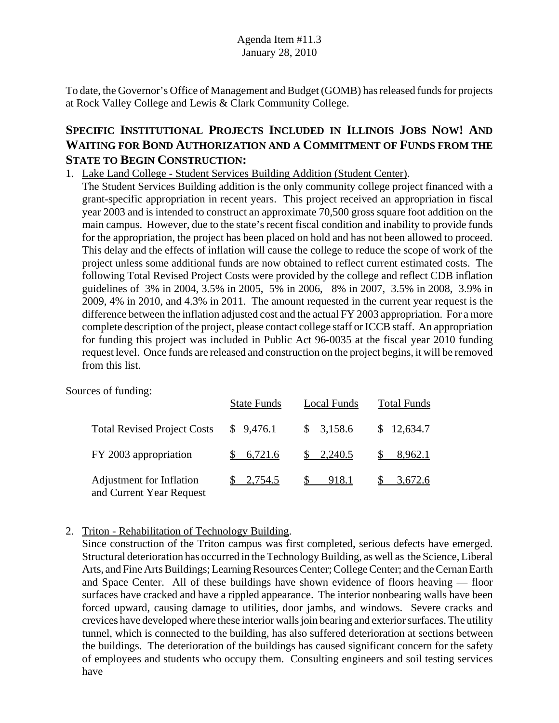To date, the Governor's Office of Management and Budget (GOMB) has released funds for projects at Rock Valley College and Lewis & Clark Community College.

# **SPECIFIC INSTITUTIONAL PROJECTS INCLUDED IN ILLINOIS JOBS NOW! AND WAITING FOR BOND AUTHORIZATION AND A COMMITMENT OF FUNDS FROM THE STATE TO BEGIN CONSTRUCTION:**

## 1. Lake Land College - Student Services Building Addition (Student Center).

The Student Services Building addition is the only community college project financed with a grant-specific appropriation in recent years. This project received an appropriation in fiscal year 2003 and is intended to construct an approximate 70,500 gross square foot addition on the main campus. However, due to the state's recent fiscal condition and inability to provide funds for the appropriation, the project has been placed on hold and has not been allowed to proceed. This delay and the effects of inflation will cause the college to reduce the scope of work of the project unless some additional funds are now obtained to reflect current estimated costs. The following Total Revised Project Costs were provided by the college and reflect CDB inflation guidelines of 3% in 2004, 3.5% in 2005, 5% in 2006, 8% in 2007, 3.5% in 2008, 3.9% in 2009, 4% in 2010, and 4.3% in 2011. The amount requested in the current year request is the difference between the inflation adjusted cost and the actual FY 2003 appropriation. For a more complete description of the project, please contact college staff or ICCB staff. An appropriation for funding this project was included in Public Act 96-0035 at the fiscal year 2010 funding request level. Once funds are released and construction on the project begins, it will be removed from this list.

Sources of funding:

|                                                      | <b>State Funds</b>   | <b>Local Funds</b>    | <b>Total Funds</b>   |
|------------------------------------------------------|----------------------|-----------------------|----------------------|
| <b>Total Revised Project Costs</b>                   | \$9,476.1            | \$3,158.6             | \$12,634.7           |
| FY 2003 appropriation                                | \$6,721.6            | $\frac{\$}{2,240.5}$  | \$<br>8,962.1        |
| Adjustment for Inflation<br>and Current Year Request | $\frac{\$}{2.754.5}$ | $\mathbb{S}$<br>918.1 | $\frac{\$}{3,672.6}$ |

### 2. Triton - Rehabilitation of Technology Building.

Since construction of the Triton campus was first completed, serious defects have emerged. Structural deterioration has occurred in the Technology Building, as well as the Science, Liberal Arts, and Fine Arts Buildings; Learning Resources Center; College Center; and the Cernan Earth and Space Center. All of these buildings have shown evidence of floors heaving — floor surfaces have cracked and have a rippled appearance. The interior nonbearing walls have been forced upward, causing damage to utilities, door jambs, and windows. Severe cracks and crevices have developed where these interior walls join bearing and exterior surfaces. The utility tunnel, which is connected to the building, has also suffered deterioration at sections between the buildings. The deterioration of the buildings has caused significant concern for the safety of employees and students who occupy them. Consulting engineers and soil testing services have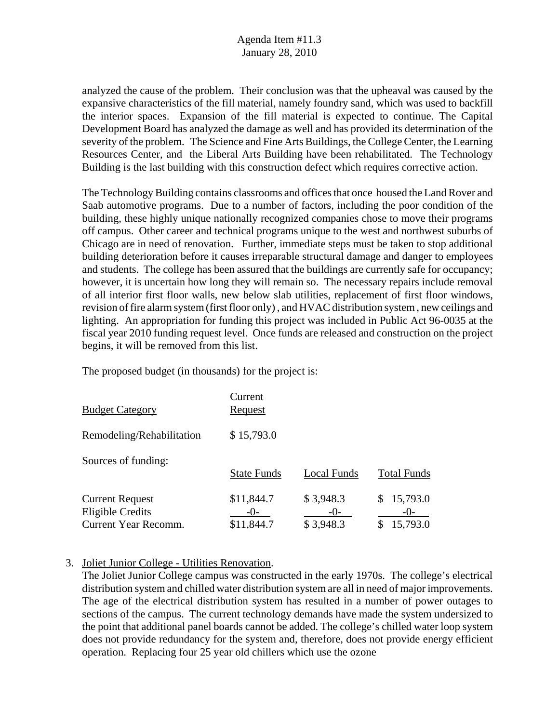analyzed the cause of the problem. Their conclusion was that the upheaval was caused by the expansive characteristics of the fill material, namely foundry sand, which was used to backfill the interior spaces. Expansion of the fill material is expected to continue. The Capital Development Board has analyzed the damage as well and has provided its determination of the severity of the problem. The Science and Fine Arts Buildings, the College Center, the Learning Resources Center, and the Liberal Arts Building have been rehabilitated. The Technology Building is the last building with this construction defect which requires corrective action.

The Technology Building contains classrooms and offices that once housed the Land Rover and Saab automotive programs. Due to a number of factors, including the poor condition of the building, these highly unique nationally recognized companies chose to move their programs off campus. Other career and technical programs unique to the west and northwest suburbs of Chicago are in need of renovation. Further, immediate steps must be taken to stop additional building deterioration before it causes irreparable structural damage and danger to employees and students. The college has been assured that the buildings are currently safe for occupancy; however, it is uncertain how long they will remain so. The necessary repairs include removal of all interior first floor walls, new below slab utilities, replacement of first floor windows, revision of fire alarm system (first floor only) , and HVAC distribution system , new ceilings and lighting. An appropriation for funding this project was included in Public Act 96-0035 at the fiscal year 2010 funding request level. Once funds are released and construction on the project begins, it will be removed from this list.

The proposed budget (in thousands) for the project is:

| <b>Budget Category</b>                                                    | Current<br>Request                  |                                 |                               |
|---------------------------------------------------------------------------|-------------------------------------|---------------------------------|-------------------------------|
| Remodeling/Rehabilitation                                                 | \$15,793.0                          |                                 |                               |
| Sources of funding:                                                       | <b>State Funds</b>                  | Local Funds                     | <b>Total Funds</b>            |
| <b>Current Request</b><br>Eligible Credits<br><b>Current Year Recomm.</b> | \$11,844.7<br>$-()$ -<br>\$11,844.7 | \$3,948.3<br>$-()$<br>\$3,948.3 | 15,793.0<br>$-()$<br>15,793.0 |

### 3. Joliet Junior College - Utilities Renovation.

The Joliet Junior College campus was constructed in the early 1970s. The college's electrical distribution system and chilled water distribution system are all in need of major improvements. The age of the electrical distribution system has resulted in a number of power outages to sections of the campus. The current technology demands have made the system undersized to the point that additional panel boards cannot be added. The college's chilled water loop system does not provide redundancy for the system and, therefore, does not provide energy efficient operation. Replacing four 25 year old chillers which use the ozone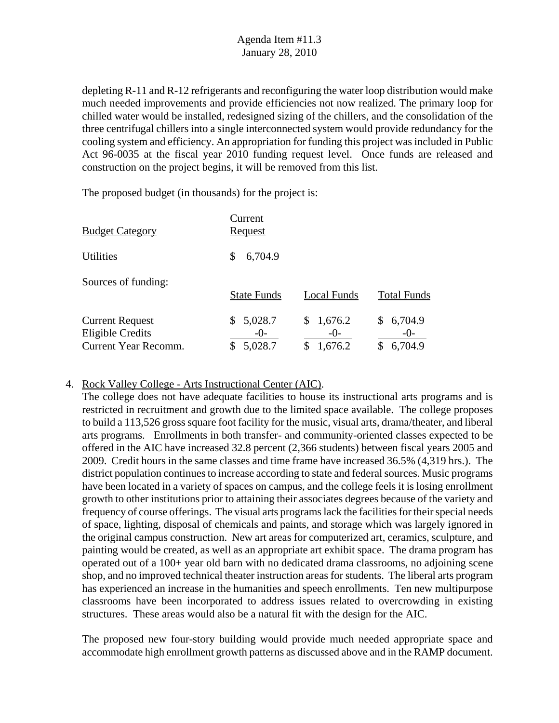depleting R-11 and R-12 refrigerants and reconfiguring the water loop distribution would make much needed improvements and provide efficiencies not now realized. The primary loop for chilled water would be installed, redesigned sizing of the chillers, and the consolidation of the three centrifugal chillers into a single interconnected system would provide redundancy for the cooling system and efficiency. An appropriation for funding this project was included in Public Act 96-0035 at the fiscal year 2010 funding request level. Once funds are released and construction on the project begins, it will be removed from this list.

The proposed budget (in thousands) for the project is:

| <b>Budget Category</b>                                                           | Current<br>Request                |                               |                                   |
|----------------------------------------------------------------------------------|-----------------------------------|-------------------------------|-----------------------------------|
| <b>Utilities</b>                                                                 | 6,704.9<br>\$                     |                               |                                   |
| Sources of funding:                                                              | <b>State Funds</b>                | Local Funds                   | <b>Total Funds</b>                |
| <b>Current Request</b><br><b>Eligible Credits</b><br><b>Current Year Recomm.</b> | 5,028.7<br>S.<br>$-0-$<br>5,028.7 | \$1,676.2<br>$-()$<br>1,676.2 | 6,704.9<br>\$<br>$-0-$<br>6,704.9 |

### 4. Rock Valley College - Arts Instructional Center (AIC).

The college does not have adequate facilities to house its instructional arts programs and is restricted in recruitment and growth due to the limited space available. The college proposes to build a 113,526 gross square foot facility for the music, visual arts, drama/theater, and liberal arts programs. Enrollments in both transfer- and community-oriented classes expected to be offered in the AIC have increased 32.8 percent (2,366 students) between fiscal years 2005 and 2009. Credit hours in the same classes and time frame have increased 36.5% (4,319 hrs.). The district population continues to increase according to state and federal sources. Music programs have been located in a variety of spaces on campus, and the college feels it is losing enrollment growth to other institutions prior to attaining their associates degrees because of the variety and frequency of course offerings. The visual arts programs lack the facilities for their special needs of space, lighting, disposal of chemicals and paints, and storage which was largely ignored in the original campus construction. New art areas for computerized art, ceramics, sculpture, and painting would be created, as well as an appropriate art exhibit space. The drama program has operated out of a 100+ year old barn with no dedicated drama classrooms, no adjoining scene shop, and no improved technical theater instruction areas for students. The liberal arts program has experienced an increase in the humanities and speech enrollments. Ten new multipurpose classrooms have been incorporated to address issues related to overcrowding in existing structures. These areas would also be a natural fit with the design for the AIC.

The proposed new four-story building would provide much needed appropriate space and accommodate high enrollment growth patterns as discussed above and in the RAMP document.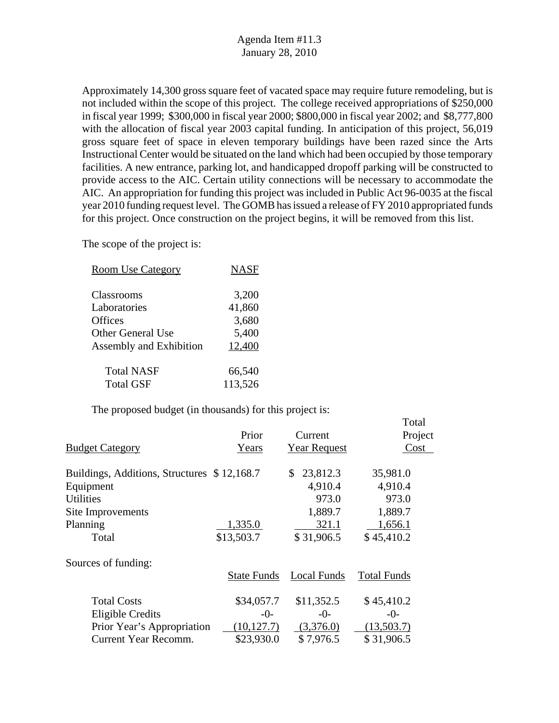Approximately 14,300 gross square feet of vacated space may require future remodeling, but is not included within the scope of this project. The college received appropriations of \$250,000 in fiscal year 1999; \$300,000 in fiscal year 2000; \$800,000 in fiscal year 2002; and \$8,777,800 with the allocation of fiscal year 2003 capital funding. In anticipation of this project, 56,019 gross square feet of space in eleven temporary buildings have been razed since the Arts Instructional Center would be situated on the land which had been occupied by those temporary facilities. A new entrance, parking lot, and handicapped dropoff parking will be constructed to provide access to the AIC. Certain utility connections will be necessary to accommodate the AIC. An appropriation for funding this project was included in Public Act 96-0035 at the fiscal year 2010 funding request level. The GOMB has issued a release of FY 2010 appropriated funds for this project. Once construction on the project begins, it will be removed from this list.

The scope of the project is:

| <b>Room Use Category</b> | <b>NASF</b> |
|--------------------------|-------------|
| Classrooms               | 3,200       |
| Laboratories             | 41,860      |
| <b>Offices</b>           | 3,680       |
| <b>Other General Use</b> | 5,400       |
| Assembly and Exhibition  | 12,400      |
| <b>Total NASF</b>        | 66,540      |
| <b>Total GSF</b>         | 113,526     |

|                                             |                    |                     | Total              |
|---------------------------------------------|--------------------|---------------------|--------------------|
|                                             | Prior              | Current             | Project            |
| <b>Budget Category</b>                      | <b>Y</b> ears      | <b>Year Request</b> | Cost               |
|                                             |                    |                     |                    |
| Buildings, Additions, Structures \$12,168.7 |                    | 23,812.3<br>S.      | 35,981.0           |
| Equipment                                   |                    | 4,910.4             | 4,910.4            |
| <b>Utilities</b>                            |                    | 973.0               | 973.0              |
| Site Improvements                           |                    | 1,889.7             | 1,889.7            |
| Planning                                    | 1,335.0            | 321.1               | 1,656.1            |
| Total                                       | \$13,503.7         | \$31,906.5          | \$45,410.2         |
|                                             |                    |                     |                    |
| Sources of funding:                         |                    |                     |                    |
|                                             | <b>State Funds</b> | Local Funds         | <b>Total Funds</b> |
| <b>Total Costs</b>                          | \$34,057.7         | \$11,352.5          | \$45,410.2         |
| <b>Eligible Credits</b>                     | $-()$              | $-0-$               | $-()$              |
| Prior Year's Appropriation                  | (10, 127.7)        | (3,376.0)           | (13,503.7)         |
| Current Year Recomm.                        | \$23,930.0         | \$7,976.5           | \$31,906.5         |
|                                             |                    |                     |                    |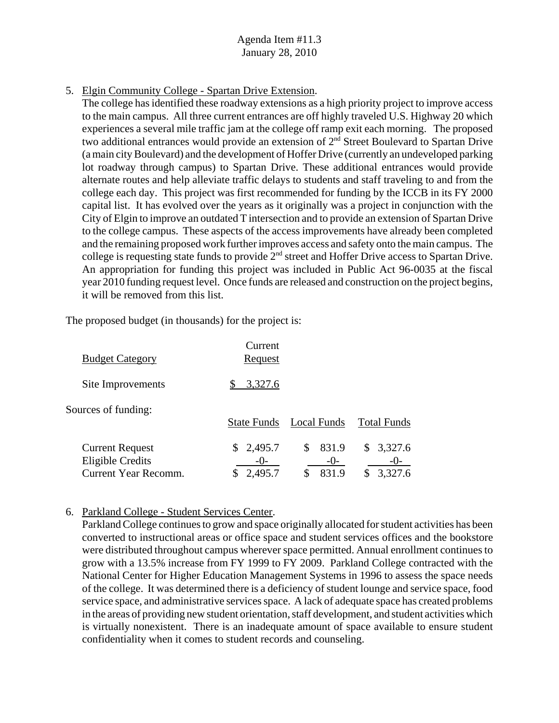5. Elgin Community College - Spartan Drive Extension.

The college has identified these roadway extensions as a high priority project to improve access to the main campus. All three current entrances are off highly traveled U.S. Highway 20 which experiences a several mile traffic jam at the college off ramp exit each morning. The proposed two additional entrances would provide an extension of  $2<sup>nd</sup>$  Street Boulevard to Spartan Drive (a main city Boulevard) and the development of Hoffer Drive (currently an undeveloped parking lot roadway through campus) to Spartan Drive. These additional entrances would provide alternate routes and help alleviate traffic delays to students and staff traveling to and from the college each day. This project was first recommended for funding by the ICCB in its FY 2000 capital list. It has evolved over the years as it originally was a project in conjunction with the City of Elgin to improve an outdated T intersection and to provide an extension of Spartan Drive to the college campus. These aspects of the access improvements have already been completed and the remaining proposed work further improves access and safety onto the main campus. The college is requesting state funds to provide  $2<sup>nd</sup>$  street and Hoffer Drive access to Spartan Drive. An appropriation for funding this project was included in Public Act 96-0035 at the fiscal year 2010 funding request level. Once funds are released and construction on the project begins, it will be removed from this list.

The proposed budget (in thousands) for the project is:

| <b>Budget Category</b>                                                           | Current<br>Request              |                               |                               |
|----------------------------------------------------------------------------------|---------------------------------|-------------------------------|-------------------------------|
| Site Improvements                                                                | 3,327.6                         |                               |                               |
| Sources of funding:                                                              | <b>State Funds</b>              | Local Funds                   | <b>Total Funds</b>            |
| <b>Current Request</b><br><b>Eligible Credits</b><br><b>Current Year Recomm.</b> | \$2,495.7<br>$-()$ -<br>2,495.7 | 831.9<br>\$<br>$-()$<br>831.9 | \$3,327.6<br>$-()$<br>3,327.6 |

### 6. Parkland College - Student Services Center.

Parkland College continues to grow and space originally allocated for student activities has been converted to instructional areas or office space and student services offices and the bookstore were distributed throughout campus wherever space permitted. Annual enrollment continues to grow with a 13.5% increase from FY 1999 to FY 2009. Parkland College contracted with the National Center for Higher Education Management Systems in 1996 to assess the space needs of the college. It was determined there is a deficiency of student lounge and service space, food service space, and administrative services space. A lack of adequate space has created problems in the areas of providing new student orientation, staff development, and student activities which is virtually nonexistent. There is an inadequate amount of space available to ensure student confidentiality when it comes to student records and counseling.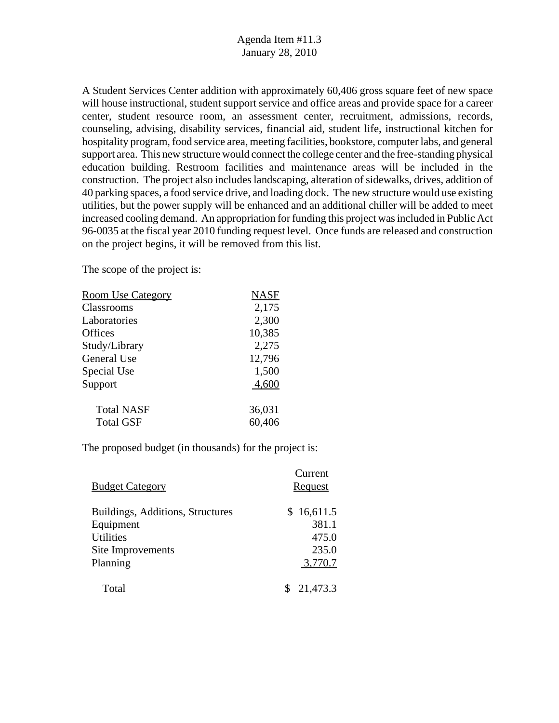A Student Services Center addition with approximately 60,406 gross square feet of new space will house instructional, student support service and office areas and provide space for a career center, student resource room, an assessment center, recruitment, admissions, records, counseling, advising, disability services, financial aid, student life, instructional kitchen for hospitality program, food service area, meeting facilities, bookstore, computer labs, and general support area. This new structure would connect the college center and the free-standing physical education building. Restroom facilities and maintenance areas will be included in the construction. The project also includes landscaping, alteration of sidewalks, drives, addition of 40 parking spaces, a food service drive, and loading dock. The new structure would use existing utilities, but the power supply will be enhanced and an additional chiller will be added to meet increased cooling demand. An appropriation for funding this project was included in Public Act 96-0035 at the fiscal year 2010 funding request level. Once funds are released and construction on the project begins, it will be removed from this list.

The scope of the project is:

| <b>Room Use Category</b> | <b>NASF</b> |
|--------------------------|-------------|
| Classrooms               | 2,175       |
| Laboratories             | 2,300       |
| Offices                  | 10,385      |
| Study/Library            | 2,275       |
| General Use              | 12,796      |
| Special Use              | 1,500       |
| Support                  | 4,600       |
| <b>Total NASF</b>        | 36,031      |
| <b>Total GSF</b>         | 60,406      |
|                          |             |

|                                  | Current    |
|----------------------------------|------------|
| <b>Budget Category</b>           | Request    |
| Buildings, Additions, Structures | \$16,611.5 |
| Equipment                        | 381.1      |
| <b>Utilities</b>                 | 475.0      |
| Site Improvements                | 235.0      |
| Planning                         | 3,770.7    |
| Total                            | 21,473.3   |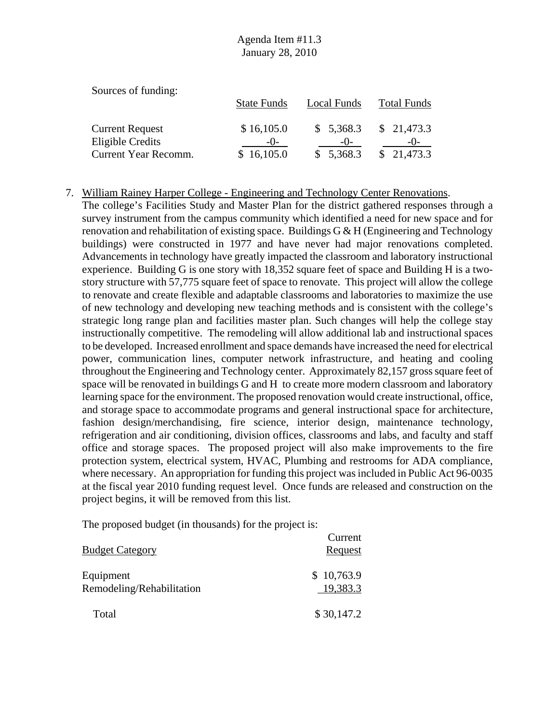| Sources of funding:    |                    |             |                    |
|------------------------|--------------------|-------------|--------------------|
|                        | <b>State Funds</b> | Local Funds | <b>Total Funds</b> |
| <b>Current Request</b> | \$16,105.0         | \$5,368.3   | \$21,473.3         |
| Eligible Credits       | $-()$              | $-()$       | $-()$              |
| Current Year Recomm.   | \$16,105.0         | \$5,368.3   | \$21,473.3         |

#### 7. William Rainey Harper College - Engineering and Technology Center Renovations.

The college's Facilities Study and Master Plan for the district gathered responses through a survey instrument from the campus community which identified a need for new space and for renovation and rehabilitation of existing space. Buildings  $G \& H$  (Engineering and Technology buildings) were constructed in 1977 and have never had major renovations completed. Advancements in technology have greatly impacted the classroom and laboratory instructional experience. Building G is one story with 18,352 square feet of space and Building H is a twostory structure with 57,775 square feet of space to renovate. This project will allow the college to renovate and create flexible and adaptable classrooms and laboratories to maximize the use of new technology and developing new teaching methods and is consistent with the college's strategic long range plan and facilities master plan. Such changes will help the college stay instructionally competitive. The remodeling will allow additional lab and instructional spaces to be developed. Increased enrollment and space demands have increased the need for electrical power, communication lines, computer network infrastructure, and heating and cooling throughout the Engineering and Technology center. Approximately 82,157 gross square feet of space will be renovated in buildings G and H to create more modern classroom and laboratory learning space for the environment. The proposed renovation would create instructional, office, and storage space to accommodate programs and general instructional space for architecture, fashion design/merchandising, fire science, interior design, maintenance technology, refrigeration and air conditioning, division offices, classrooms and labs, and faculty and staff office and storage spaces. The proposed project will also make improvements to the fire protection system, electrical system, HVAC, Plumbing and restrooms for ADA compliance, where necessary. An appropriation for funding this project was included in Public Act 96-0035 at the fiscal year 2010 funding request level. Once funds are released and construction on the project begins, it will be removed from this list.

| <b>Budget Category</b>                 | Current<br><b>Request</b> |
|----------------------------------------|---------------------------|
| Equipment<br>Remodeling/Rehabilitation | \$10,763.9<br>19,383.3    |
| Total                                  | \$30,147.2                |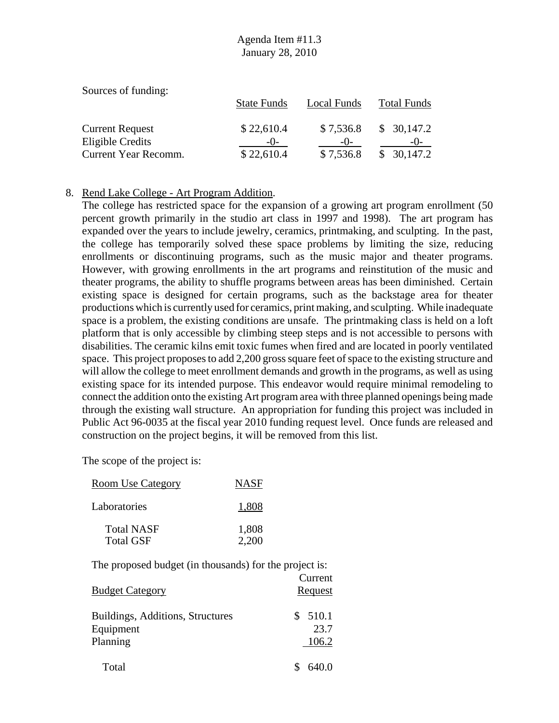| Sources of funding:    |                    |             |                    |
|------------------------|--------------------|-------------|--------------------|
|                        | <b>State Funds</b> | Local Funds | <b>Total Funds</b> |
| <b>Current Request</b> | \$22,610.4         | \$7,536.8   | \$30,147.2         |
| Eligible Credits       | $-()$              | $-()$       | $-()$              |
| Current Year Recomm.   | \$22,610.4         | \$7,536.8   | 30,147.2           |

#### 8. Rend Lake College - Art Program Addition.

The college has restricted space for the expansion of a growing art program enrollment (50 percent growth primarily in the studio art class in 1997 and 1998). The art program has expanded over the years to include jewelry, ceramics, printmaking, and sculpting. In the past, the college has temporarily solved these space problems by limiting the size, reducing enrollments or discontinuing programs, such as the music major and theater programs. However, with growing enrollments in the art programs and reinstitution of the music and theater programs, the ability to shuffle programs between areas has been diminished. Certain existing space is designed for certain programs, such as the backstage area for theater productions which is currently used for ceramics, print making, and sculpting. While inadequate space is a problem, the existing conditions are unsafe. The printmaking class is held on a loft platform that is only accessible by climbing steep steps and is not accessible to persons with disabilities. The ceramic kilns emit toxic fumes when fired and are located in poorly ventilated space. This project proposes to add 2,200 gross square feet of space to the existing structure and will allow the college to meet enrollment demands and growth in the programs, as well as using existing space for its intended purpose. This endeavor would require minimal remodeling to connect the addition onto the existing Art program area with three planned openings being made through the existing wall structure. An appropriation for funding this project was included in Public Act 96-0035 at the fiscal year 2010 funding request level. Once funds are released and construction on the project begins, it will be removed from this list.

The scope of the project is:

| <b>Room Use Category</b>              | <b>NASF</b>    |
|---------------------------------------|----------------|
| Laboratories                          | 1,808          |
| <b>Total NASF</b><br><b>Total GSF</b> | 1,808<br>2.200 |

| <b>Budget Category</b>                                    | Current<br>Request     |
|-----------------------------------------------------------|------------------------|
| Buildings, Additions, Structures<br>Equipment<br>Planning | 510.1<br>23.7<br>106.2 |
| Total                                                     | 640.0                  |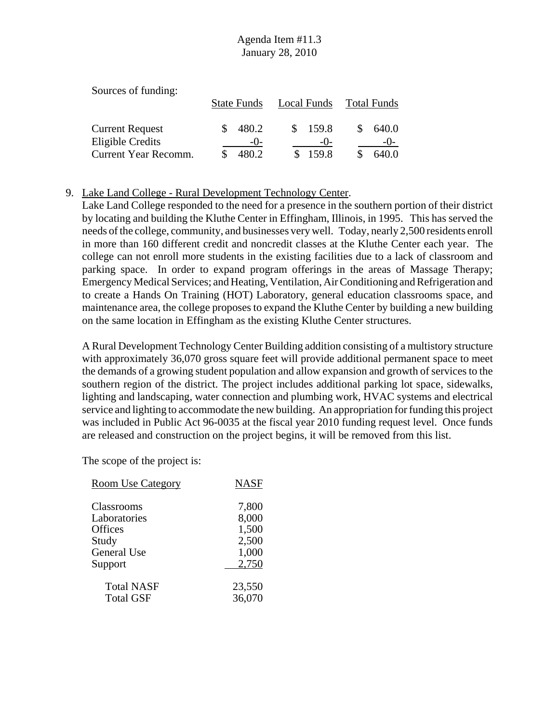| Sources of funding:    |                    |             |             |
|------------------------|--------------------|-------------|-------------|
|                        | <b>State Funds</b> | Local Funds | Total Funds |
| <b>Current Request</b> | 480.2              | 159.8       | 640.0       |
| Eligible Credits       | $-()$              | $-()$       | $-()$       |
| Current Year Recomm.   | 480.2              | 159.8       | 640.0       |

### 9. Lake Land College - Rural Development Technology Center.

Lake Land College responded to the need for a presence in the southern portion of their district by locating and building the Kluthe Center in Effingham, Illinois, in 1995. This has served the needs of the college, community, and businesses very well. Today, nearly 2,500 residents enroll in more than 160 different credit and noncredit classes at the Kluthe Center each year. The college can not enroll more students in the existing facilities due to a lack of classroom and parking space. In order to expand program offerings in the areas of Massage Therapy; Emergency Medical Services; and Heating, Ventilation, Air Conditioning and Refrigeration and to create a Hands On Training (HOT) Laboratory, general education classrooms space, and maintenance area, the college proposes to expand the Kluthe Center by building a new building on the same location in Effingham as the existing Kluthe Center structures.

A Rural Development Technology Center Building addition consisting of a multistory structure with approximately 36,070 gross square feet will provide additional permanent space to meet the demands of a growing student population and allow expansion and growth of services to the southern region of the district. The project includes additional parking lot space, sidewalks, lighting and landscaping, water connection and plumbing work, HVAC systems and electrical service and lighting to accommodate the new building. An appropriation for funding this project was included in Public Act 96-0035 at the fiscal year 2010 funding request level. Once funds are released and construction on the project begins, it will be removed from this list.

| <b>Room Use Category</b>   | <b>NASF</b>    |
|----------------------------|----------------|
| Classrooms<br>Laboratories | 7,800<br>8,000 |
| <b>Offices</b><br>Study    | 1,500<br>2,500 |
| <b>General Use</b>         | 1,000          |
| Support                    | 2,750          |
| <b>Total NASF</b>          | 23,550         |
| <b>Total GSF</b>           | 36,070         |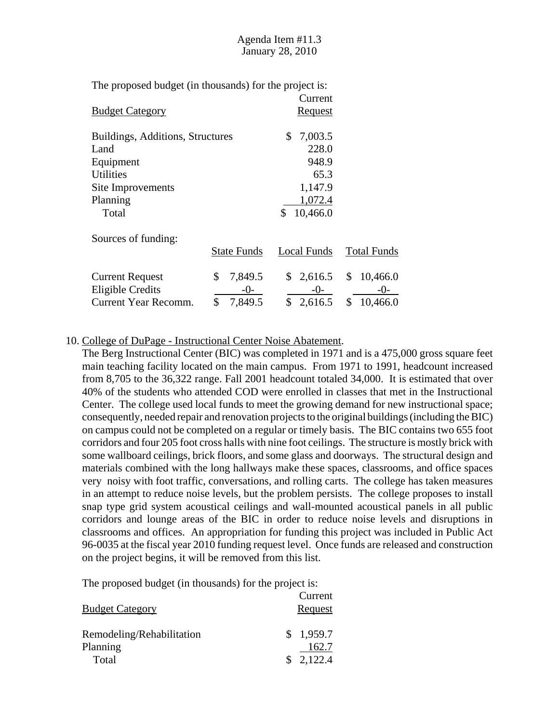| The proposed budget (in thousands) for the project is: |                    |                |                    |
|--------------------------------------------------------|--------------------|----------------|--------------------|
|                                                        |                    | Current        |                    |
| <b>Budget Category</b>                                 |                    | <u>Request</u> |                    |
|                                                        |                    |                |                    |
| Buildings, Additions, Structures                       |                    | \$<br>7,003.5  |                    |
| Land                                                   |                    | 228.0          |                    |
| Equipment                                              |                    | 948.9          |                    |
| <b>Utilities</b>                                       |                    | 65.3           |                    |
| Site Improvements                                      |                    | 1,147.9        |                    |
| Planning                                               |                    | 1,072.4        |                    |
| Total                                                  |                    | \$<br>10,466.0 |                    |
| Sources of funding:                                    |                    |                |                    |
|                                                        | <b>State Funds</b> | Local Funds    | <b>Total Funds</b> |
| <b>Current Request</b>                                 | \$<br>7,849.5      | \$2,616.5      | \$<br>10,466.0     |
|                                                        | -()-               |                |                    |
| <b>Eligible Credits</b>                                |                    | $-()$ -        | -()-               |
| Current Year Recomm.                                   | \$<br>7,849.5      | \$<br>2,616.5  | \$<br>10,466.0     |

#### 10. College of DuPage - Instructional Center Noise Abatement.

The Berg Instructional Center (BIC) was completed in 1971 and is a 475,000 gross square feet main teaching facility located on the main campus. From 1971 to 1991, headcount increased from 8,705 to the 36,322 range. Fall 2001 headcount totaled 34,000. It is estimated that over 40% of the students who attended COD were enrolled in classes that met in the Instructional Center. The college used local funds to meet the growing demand for new instructional space; consequently, needed repair and renovation projects to the original buildings (including the BIC) on campus could not be completed on a regular or timely basis. The BIC contains two 655 foot corridors and four 205 foot cross halls with nine foot ceilings. The structure is mostly brick with some wallboard ceilings, brick floors, and some glass and doorways. The structural design and materials combined with the long hallways make these spaces, classrooms, and office spaces very noisy with foot traffic, conversations, and rolling carts. The college has taken measures in an attempt to reduce noise levels, but the problem persists. The college proposes to install snap type grid system acoustical ceilings and wall-mounted acoustical panels in all public corridors and lounge areas of the BIC in order to reduce noise levels and disruptions in classrooms and offices. An appropriation for funding this project was included in Public Act 96-0035 at the fiscal year 2010 funding request level. Once funds are released and construction on the project begins, it will be removed from this list.

| <b>Budget Category</b>                | Current<br>Request |
|---------------------------------------|--------------------|
| Remodeling/Rehabilitation<br>Planning | \$1,959.7<br>162.7 |
| Total                                 | \$2,122.4          |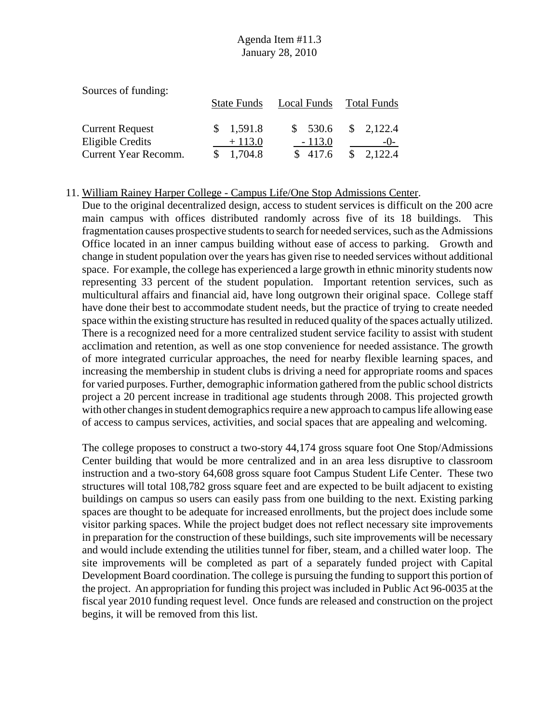| Sources of funding:    |                    |             |                         |
|------------------------|--------------------|-------------|-------------------------|
|                        | <b>State Funds</b> | Local Funds | <b>Total Funds</b>      |
|                        |                    |             |                         |
| <b>Current Request</b> | \$1,591.8          | \$530.6     | $\frac{1}{2}$ , 2,122.4 |
| Eligible Credits       | $+113.0$           | $-113.0$    | $-()$                   |
| Current Year Recomm.   | 1,704.8            | \$417.6     | $\frac{\$}{2,122.4}$    |

#### 11. William Rainey Harper College - Campus Life/One Stop Admissions Center.

Due to the original decentralized design, access to student services is difficult on the 200 acre main campus with offices distributed randomly across five of its 18 buildings. This fragmentation causes prospective students to search for needed services, such as the Admissions Office located in an inner campus building without ease of access to parking. Growth and change in student population over the years has given rise to needed services without additional space. For example, the college has experienced a large growth in ethnic minority students now representing 33 percent of the student population. Important retention services, such as multicultural affairs and financial aid, have long outgrown their original space. College staff have done their best to accommodate student needs, but the practice of trying to create needed space within the existing structure has resulted in reduced quality of the spaces actually utilized. There is a recognized need for a more centralized student service facility to assist with student acclimation and retention, as well as one stop convenience for needed assistance. The growth of more integrated curricular approaches, the need for nearby flexible learning spaces, and increasing the membership in student clubs is driving a need for appropriate rooms and spaces for varied purposes. Further, demographic information gathered from the public school districts project a 20 percent increase in traditional age students through 2008. This projected growth with other changes in student demographics require a new approach to campus life allowing ease of access to campus services, activities, and social spaces that are appealing and welcoming.

The college proposes to construct a two-story 44,174 gross square foot One Stop/Admissions Center building that would be more centralized and in an area less disruptive to classroom instruction and a two-story 64,608 gross square foot Campus Student Life Center. These two structures will total 108,782 gross square feet and are expected to be built adjacent to existing buildings on campus so users can easily pass from one building to the next. Existing parking spaces are thought to be adequate for increased enrollments, but the project does include some visitor parking spaces. While the project budget does not reflect necessary site improvements in preparation for the construction of these buildings, such site improvements will be necessary and would include extending the utilities tunnel for fiber, steam, and a chilled water loop. The site improvements will be completed as part of a separately funded project with Capital Development Board coordination. The college is pursuing the funding to support this portion of the project. An appropriation for funding this project was included in Public Act 96-0035 at the fiscal year 2010 funding request level. Once funds are released and construction on the project begins, it will be removed from this list.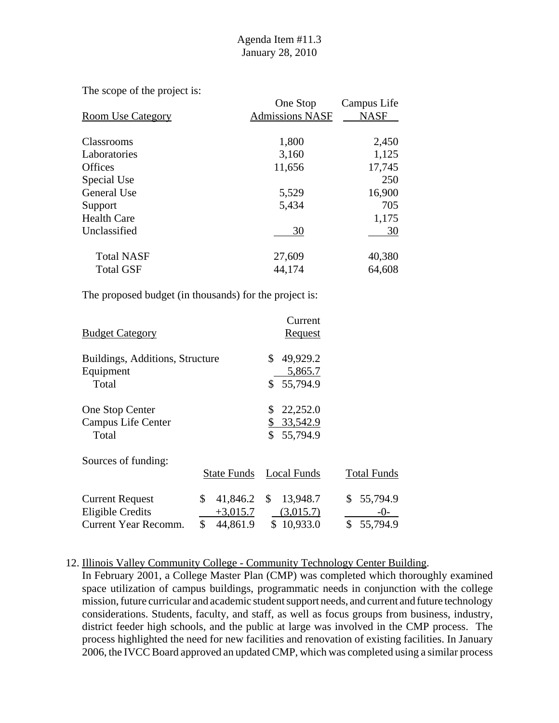The scope of the project is:

|                          | One Stop               | Campus Life |
|--------------------------|------------------------|-------------|
| <b>Room Use Category</b> | <b>Admissions NASF</b> | <b>NASF</b> |
|                          |                        |             |
| <b>Classrooms</b>        | 1,800                  | 2,450       |
| Laboratories             | 3,160                  | 1,125       |
| <b>Offices</b>           | 11,656                 | 17,745      |
| Special Use              |                        | 250         |
| General Use              | 5,529                  | 16,900      |
| Support                  | 5,434                  | 705         |
| <b>Health Care</b>       |                        | 1,175       |
| Unclassified             | 30                     | 30          |
| <b>Total NASF</b>        | 27,609                 | 40,380      |
| <b>Total GSF</b>         | 44,174                 | 64,608      |

The proposed budget (in thousands) for the project is:

| <b>Budget Category</b>          |                     | Current<br><b>Request</b>    |                    |
|---------------------------------|---------------------|------------------------------|--------------------|
| Buildings, Additions, Structure |                     | \$<br>49,929.2               |                    |
| Equipment<br>Total              |                     | 5,865.7<br>\$55,794.9        |                    |
| One Stop Center                 |                     | 22,252.0<br>\$               |                    |
| Campus Life Center<br>Total     |                     | \$33,542.9<br>\$<br>55,794.9 |                    |
| Sources of funding:             |                     |                              |                    |
|                                 | <b>State Funds</b>  | <b>Local Funds</b>           | <b>Total Funds</b> |
| <b>Current Request</b>          | \$<br>$41,846.2$ \$ | 13,948.7                     | \$<br>55,794.9     |
| Eligible Credits                | $+3,015.7$          | (3,015.7)                    | $-()$ -            |
| Current Year Recomm.            | \$<br>44,861.9      | \$10,933.0                   | \$<br>55,794.9     |

#### 12. Illinois Valley Community College - Community Technology Center Building.

In February 2001, a College Master Plan (CMP) was completed which thoroughly examined space utilization of campus buildings, programmatic needs in conjunction with the college mission, future curricular and academic student support needs, and current and future technology considerations. Students, faculty, and staff, as well as focus groups from business, industry, district feeder high schools, and the public at large was involved in the CMP process. The process highlighted the need for new facilities and renovation of existing facilities. In January 2006, the IVCC Board approved an updated CMP, which was completed using a similar process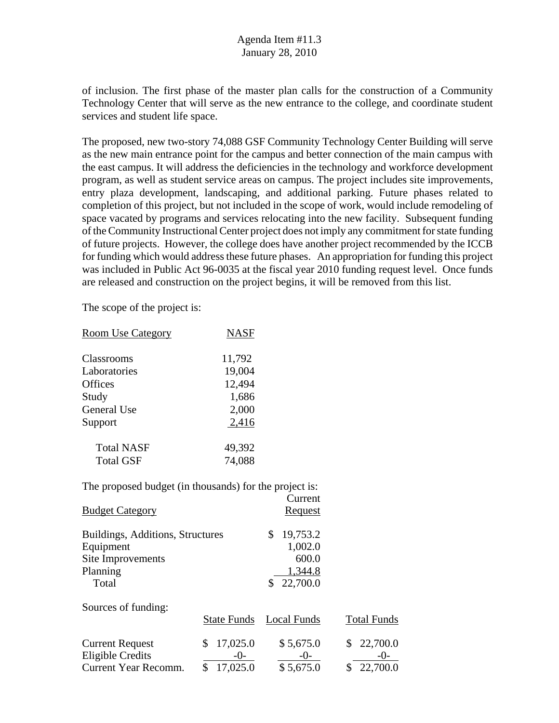of inclusion. The first phase of the master plan calls for the construction of a Community Technology Center that will serve as the new entrance to the college, and coordinate student services and student life space.

The proposed, new two-story 74,088 GSF Community Technology Center Building will serve as the new main entrance point for the campus and better connection of the main campus with the east campus. It will address the deficiencies in the technology and workforce development program, as well as student service areas on campus. The project includes site improvements, entry plaza development, landscaping, and additional parking. Future phases related to completion of this project, but not included in the scope of work, would include remodeling of space vacated by programs and services relocating into the new facility. Subsequent funding of the Community Instructional Center project does not imply any commitment for state funding of future projects. However, the college does have another project recommended by the ICCB for funding which would address these future phases. An appropriation for funding this project was included in Public Act 96-0035 at the fiscal year 2010 funding request level. Once funds are released and construction on the project begins, it will be removed from this list.

Current

The scope of the project is:

| <b>Room Use Category</b> | <b>NASF</b> |
|--------------------------|-------------|
| Classrooms               | 11,792      |
| Laboratories             | 19,004      |
| <b>Offices</b>           | 12,494      |
| Study                    | 1,686       |
| <b>General Use</b>       | 2,000       |
| Support                  | 2,416       |
| <b>Total NASF</b>        | 49,392      |
| <b>Total GSF</b>         | 74,088      |

| <b>Budget Category</b>                                                                  |                                       | <u>Request</u>                                           |                      |
|-----------------------------------------------------------------------------------------|---------------------------------------|----------------------------------------------------------|----------------------|
| Buildings, Additions, Structures<br>Equipment<br>Site Improvements<br>Planning<br>Total |                                       | 19,753.2<br>S<br>1,002.0<br>600.0<br>1,344.8<br>22,700.0 |                      |
| Sources of funding:                                                                     | <b>State Funds</b>                    | Local Funds                                              | <b>Total Funds</b>   |
| <b>Current Request</b><br><b>Eligible Credits</b><br>Current Year Recomm.               | 17,025.0<br>\$<br>$-()$ -<br>17,025.0 | \$5,675.0<br>$-0-$<br>\$5,675.0                          | 22,700.0<br>22,700.0 |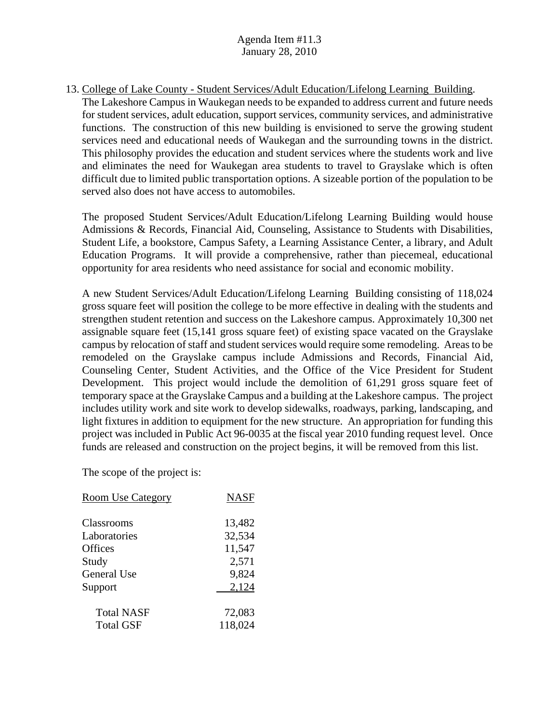13. College of Lake County - Student Services/Adult Education/Lifelong Learning Building. The Lakeshore Campus in Waukegan needs to be expanded to address current and future needs for student services, adult education, support services, community services, and administrative functions. The construction of this new building is envisioned to serve the growing student services need and educational needs of Waukegan and the surrounding towns in the district. This philosophy provides the education and student services where the students work and live and eliminates the need for Waukegan area students to travel to Grayslake which is often difficult due to limited public transportation options. A sizeable portion of the population to be served also does not have access to automobiles.

The proposed Student Services/Adult Education/Lifelong Learning Building would house Admissions & Records, Financial Aid, Counseling, Assistance to Students with Disabilities, Student Life, a bookstore, Campus Safety, a Learning Assistance Center, a library, and Adult Education Programs. It will provide a comprehensive, rather than piecemeal, educational opportunity for area residents who need assistance for social and economic mobility.

A new Student Services/Adult Education/Lifelong Learning Building consisting of 118,024 gross square feet will position the college to be more effective in dealing with the students and strengthen student retention and success on the Lakeshore campus. Approximately 10,300 net assignable square feet (15,141 gross square feet) of existing space vacated on the Grayslake campus by relocation of staff and student services would require some remodeling. Areas to be remodeled on the Grayslake campus include Admissions and Records, Financial Aid, Counseling Center, Student Activities, and the Office of the Vice President for Student Development. This project would include the demolition of 61,291 gross square feet of temporary space at the Grayslake Campus and a building at the Lakeshore campus. The project includes utility work and site work to develop sidewalks, roadways, parking, landscaping, and light fixtures in addition to equipment for the new structure. An appropriation for funding this project was included in Public Act 96-0035 at the fiscal year 2010 funding request level. Once funds are released and construction on the project begins, it will be removed from this list.

| <b>Room Use Category</b> | <b>NASF</b> |
|--------------------------|-------------|
| <b>Classrooms</b>        | 13,482      |
| Laboratories             | 32,534      |
| <b>Offices</b>           | 11,547      |
| Study                    | 2,571       |
| General Use              | 9,824       |
| Support                  | 2,124       |
| <b>Total NASF</b>        | 72,083      |
| <b>Total GSF</b>         | 118,024     |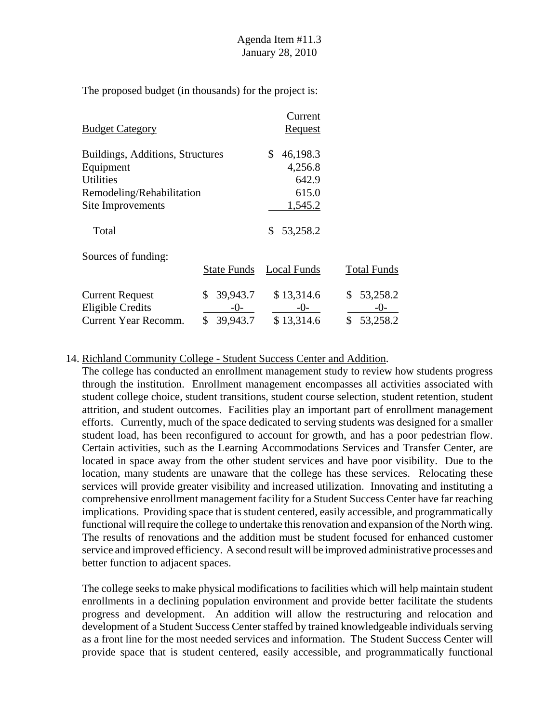|                                  |                    | Current        |                    |
|----------------------------------|--------------------|----------------|--------------------|
| <b>Budget Category</b>           |                    | <u>Request</u> |                    |
| Buildings, Additions, Structures |                    | 46,198.3<br>S. |                    |
| Equipment                        |                    | 4,256.8        |                    |
| <b>Utilities</b>                 |                    | 642.9          |                    |
| Remodeling/Rehabilitation        |                    | 615.0          |                    |
| Site Improvements                |                    | 1,545.2        |                    |
| Total                            |                    | 53,258.2<br>S. |                    |
| Sources of funding:              |                    |                |                    |
|                                  | <b>State Funds</b> | Local Funds    | <b>Total Funds</b> |
| <b>Current Request</b>           | 39,943.7<br>\$     | \$13,314.6     | 53,258.2<br>\$     |
| Eligible Credits                 | -0-                | -0-            | $-()$ -            |
| Current Year Recomm.             | \$<br>39,943.7     | \$13,314.6     | \$<br>53,258.2     |

#### 14. Richland Community College - Student Success Center and Addition.

The college has conducted an enrollment management study to review how students progress through the institution. Enrollment management encompasses all activities associated with student college choice, student transitions, student course selection, student retention, student attrition, and student outcomes. Facilities play an important part of enrollment management efforts. Currently, much of the space dedicated to serving students was designed for a smaller student load, has been reconfigured to account for growth, and has a poor pedestrian flow. Certain activities, such as the Learning Accommodations Services and Transfer Center, are located in space away from the other student services and have poor visibility. Due to the location, many students are unaware that the college has these services. Relocating these services will provide greater visibility and increased utilization. Innovating and instituting a comprehensive enrollment management facility for a Student Success Center have far reaching implications. Providing space that is student centered, easily accessible, and programmatically functional will require the college to undertake this renovation and expansion of the North wing. The results of renovations and the addition must be student focused for enhanced customer service and improved efficiency. A second result will be improved administrative processes and better function to adjacent spaces.

The college seeks to make physical modifications to facilities which will help maintain student enrollments in a declining population environment and provide better facilitate the students progress and development. An addition will allow the restructuring and relocation and development of a Student Success Center staffed by trained knowledgeable individuals serving as a front line for the most needed services and information. The Student Success Center will provide space that is student centered, easily accessible, and programmatically functional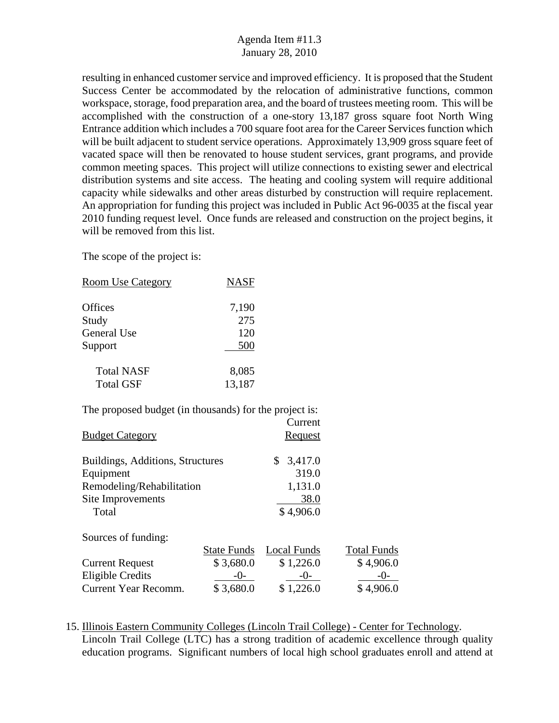resulting in enhanced customer service and improved efficiency. It is proposed that the Student Success Center be accommodated by the relocation of administrative functions, common workspace, storage, food preparation area, and the board of trustees meeting room. This will be accomplished with the construction of a one-story 13,187 gross square foot North Wing Entrance addition which includes a 700 square foot area for the Career Services function which will be built adjacent to student service operations. Approximately 13,909 gross square feet of vacated space will then be renovated to house student services, grant programs, and provide common meeting spaces. This project will utilize connections to existing sewer and electrical distribution systems and site access. The heating and cooling system will require additional capacity while sidewalks and other areas disturbed by construction will require replacement. An appropriation for funding this project was included in Public Act 96-0035 at the fiscal year 2010 funding request level. Once funds are released and construction on the project begins, it will be removed from this list.

The scope of the project is:

| <b>Room Use Category</b>                               | <u>NASF</u> |                           |                    |
|--------------------------------------------------------|-------------|---------------------------|--------------------|
| Offices                                                | 7,190       |                           |                    |
| Study                                                  | 275         |                           |                    |
| General Use                                            | 120         |                           |                    |
| Support                                                | 500         |                           |                    |
| <b>Total NASF</b>                                      | 8,085       |                           |                    |
| <b>Total GSF</b>                                       | 13,187      |                           |                    |
| The proposed budget (in thousands) for the project is: |             |                           |                    |
|                                                        |             | Current                   |                    |
| <b>Budget Category</b>                                 |             | <u>Request</u>            |                    |
| Buildings, Additions, Structures                       |             | $\mathbb{S}^-$<br>3,417.0 |                    |
| Equipment                                              |             | 319.0                     |                    |
| Remodeling/Rehabilitation                              |             | 1,131.0                   |                    |
| Site Improvements                                      |             | 38.0                      |                    |
| Total                                                  |             | \$4,906.0                 |                    |
| Sources of funding:                                    |             |                           |                    |
|                                                        | State Funds | Local Funds               | <b>Total Funds</b> |
| <b>Current Request</b>                                 | \$3,680.0   | \$1,226.0                 | \$4,906.0          |
| <b>Eligible Credits</b>                                | $-0-$       | $-0-$                     | $-0-$              |
| Current Year Recomm.                                   | \$3,680.0   | \$1,226.0                 | \$4,906.0          |

<sup>15.</sup> Illinois Eastern Community Colleges (Lincoln Trail College) - Center for Technology. Lincoln Trail College (LTC) has a strong tradition of academic excellence through quality education programs. Significant numbers of local high school graduates enroll and attend at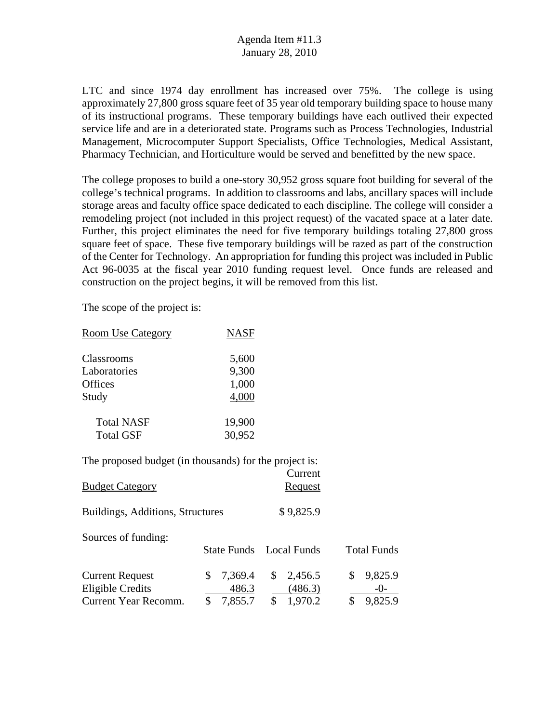LTC and since 1974 day enrollment has increased over 75%. The college is using approximately 27,800 gross square feet of 35 year old temporary building space to house many of its instructional programs. These temporary buildings have each outlived their expected service life and are in a deteriorated state. Programs such as Process Technologies, Industrial Management, Microcomputer Support Specialists, Office Technologies, Medical Assistant, Pharmacy Technician, and Horticulture would be served and benefitted by the new space.

The college proposes to build a one-story 30,952 gross square foot building for several of the college's technical programs. In addition to classrooms and labs, ancillary spaces will include storage areas and faculty office space dedicated to each discipline. The college will consider a remodeling project (not included in this project request) of the vacated space at a later date. Further, this project eliminates the need for five temporary buildings totaling 27,800 gross square feet of space. These five temporary buildings will be razed as part of the construction of the Center for Technology. An appropriation for funding this project was included in Public Act 96-0035 at the fiscal year 2010 funding request level. Once funds are released and construction on the project begins, it will be removed from this list.

The scope of the project is:

| <b>Room Use Category</b> | <b>NASF</b> |
|--------------------------|-------------|
| Classrooms               | 5,600       |
| Laboratories             | 9,300       |
| <b>Offices</b>           | 1,000       |
| Study                    | 4,000       |
| <b>Total NASF</b>        | 19,900      |
| <b>Total GSF</b>         | 30,952      |

| <b>Budget Category</b>                     |   |                    | Current<br>Request       |                          |
|--------------------------------------------|---|--------------------|--------------------------|--------------------------|
| Buildings, Additions, Structures           |   |                    | \$9,825.9                |                          |
| Sources of funding:                        |   | <b>State Funds</b> | Local Funds              | <b>Total Funds</b>       |
| <b>Current Request</b><br>Eligible Credits | S | 7,369.4<br>486.3   | \$<br>2,456.5<br>(486.3) | \$<br>9,825.9<br>$-()$ - |
| <b>Current Year Recomm.</b>                |   | 7,855.7            | 1,970.2                  | \$<br>9,825.9            |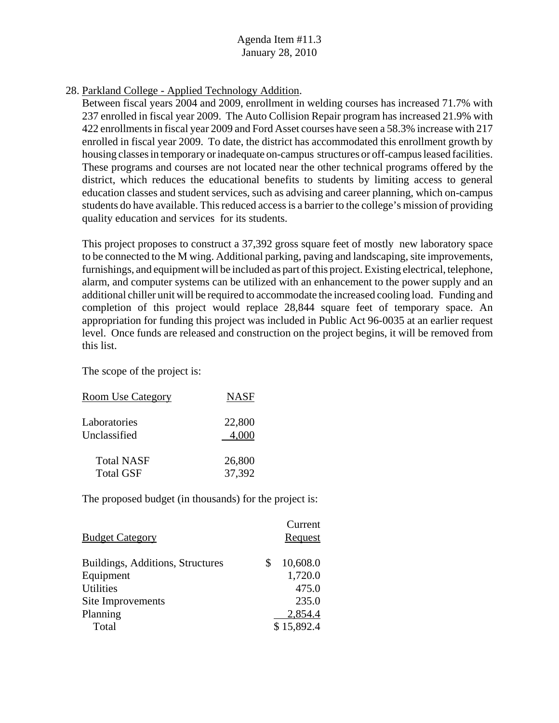28. Parkland College - Applied Technology Addition.

Between fiscal years 2004 and 2009, enrollment in welding courses has increased 71.7% with 237 enrolled in fiscal year 2009. The Auto Collision Repair program has increased 21.9% with 422 enrollments in fiscal year 2009 and Ford Asset courses have seen a 58.3% increase with 217 enrolled in fiscal year 2009. To date, the district has accommodated this enrollment growth by housing classes in temporary or inadequate on-campus structures or off-campus leased facilities. These programs and courses are not located near the other technical programs offered by the district, which reduces the educational benefits to students by limiting access to general education classes and student services, such as advising and career planning, which on-campus students do have available. This reduced access is a barrier to the college's mission of providing quality education and services for its students.

This project proposes to construct a 37,392 gross square feet of mostly new laboratory space to be connected to the M wing. Additional parking, paving and landscaping, site improvements, furnishings, and equipment will be included as part of this project. Existing electrical, telephone, alarm, and computer systems can be utilized with an enhancement to the power supply and an additional chiller unit will be required to accommodate the increased cooling load. Funding and completion of this project would replace 28,844 square feet of temporary space. An appropriation for funding this project was included in Public Act 96-0035 at an earlier request level. Once funds are released and construction on the project begins, it will be removed from this list.

The scope of the project is:

| <b>Room Use Category</b> | <b>NASF</b> |
|--------------------------|-------------|
| Laboratories             | 22,800      |
| Unclassified             | 4,000       |
| <b>Total NASF</b>        | 26,800      |
| <b>Total GSF</b>         | 37,392      |

| <b>Budget Category</b>           |   | Current<br>Request |
|----------------------------------|---|--------------------|
| Buildings, Additions, Structures | S | 10,608.0           |
| Equipment                        |   | 1,720.0            |
| <b>Utilities</b>                 |   | 475.0              |
| Site Improvements                |   | 235.0              |
| Planning                         |   | 2,854.4            |
| Total                            |   | \$15,892.4         |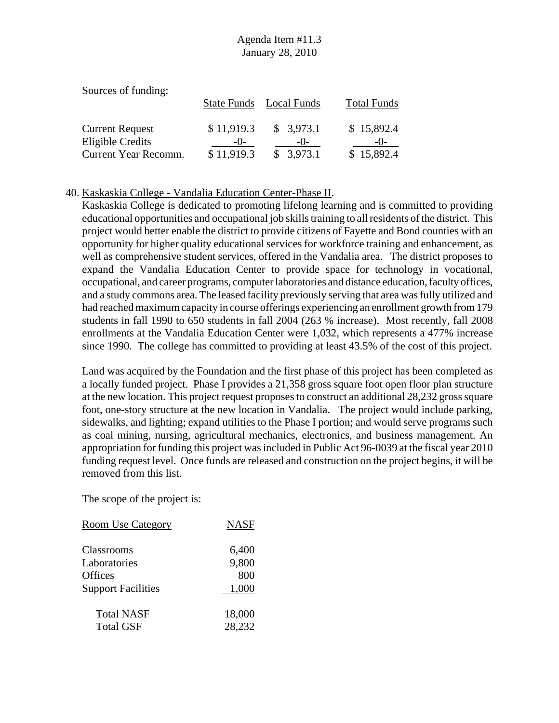| Sources of funding:    |            |                         |                    |
|------------------------|------------|-------------------------|--------------------|
|                        |            | State Funds Local Funds | <b>Total Funds</b> |
|                        |            |                         |                    |
| <b>Current Request</b> | \$11,919.3 | \$3,973.1               | \$15,892.4         |
| Eligible Credits       | $-()$ -    | $-()$                   | $-()$              |
| Current Year Recomm.   | \$11,919.3 | \$3,973.1               | \$15,892.4         |

#### 40. Kaskaskia College - Vandalia Education Center-Phase II.

Kaskaskia College is dedicated to promoting lifelong learning and is committed to providing educational opportunities and occupational job skills training to all residents of the district. This project would better enable the district to provide citizens of Fayette and Bond counties with an opportunity for higher quality educational services for workforce training and enhancement, as well as comprehensive student services, offered in the Vandalia area. The district proposes to expand the Vandalia Education Center to provide space for technology in vocational, occupational, and career programs, computer laboratories and distance education, faculty offices, and a study commons area. The leased facility previously serving that area was fully utilized and had reached maximum capacity in course offerings experiencing an enrollment growth from 179 students in fall 1990 to 650 students in fall 2004 (263 % increase). Most recently, fall 2008 enrollments at the Vandalia Education Center were 1,032, which represents a 477% increase since 1990. The college has committed to providing at least 43.5% of the cost of this project.

Land was acquired by the Foundation and the first phase of this project has been completed as a locally funded project. Phase I provides a 21,358 gross square foot open floor plan structure at the new location. This project request proposes to construct an additional 28,232 gross square foot, one-story structure at the new location in Vandalia. The project would include parking, sidewalks, and lighting; expand utilities to the Phase I portion; and would serve programs such as coal mining, nursing, agricultural mechanics, electronics, and business management. An appropriation for funding this project was included in Public Act 96-0039 at the fiscal year 2010 funding request level. Once funds are released and construction on the project begins, it will be removed from this list.

| <b>Room Use Category</b>  | <b>NASF</b> |
|---------------------------|-------------|
| Classrooms                | 6,400       |
| Laboratories              | 9,800       |
| <b>Offices</b>            | 800         |
| <b>Support Facilities</b> | 1,000       |
| <b>Total NASF</b>         | 18,000      |
| <b>Total GSF</b>          | 28,232      |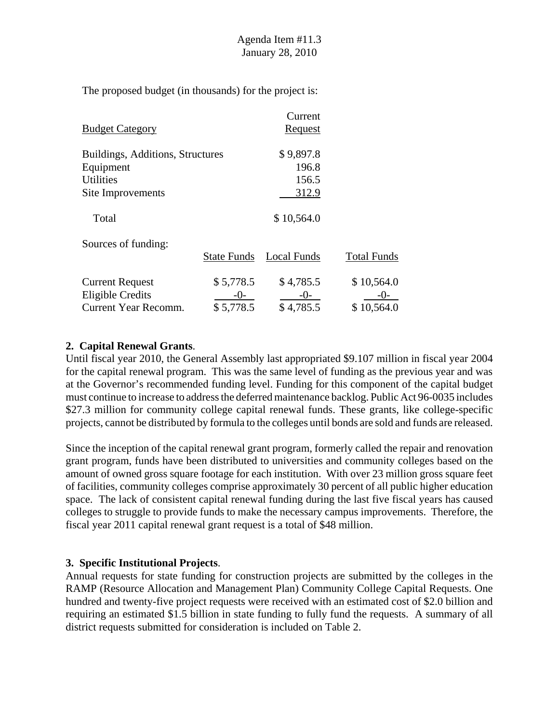|                                  |                    | Current        |                    |
|----------------------------------|--------------------|----------------|--------------------|
| <b>Budget Category</b>           |                    | <u>Request</u> |                    |
| Buildings, Additions, Structures |                    | \$9,897.8      |                    |
| Equipment                        |                    | 196.8          |                    |
| <b>Utilities</b>                 |                    | 156.5          |                    |
| Site Improvements                |                    | 312.9          |                    |
| Total                            |                    | \$10,564.0     |                    |
| Sources of funding:              |                    |                |                    |
|                                  | <b>State Funds</b> | Local Funds    | <b>Total Funds</b> |
| <b>Current Request</b>           | \$5,778.5          | \$4,785.5      | \$10,564.0         |
| Eligible Credits                 | $-()$ -            | $-()$ -        |                    |
| Current Year Recomm.             | \$5,778.5          | \$4,785.5      | \$10,564.0         |

#### **2. Capital Renewal Grants**.

Until fiscal year 2010, the General Assembly last appropriated \$9.107 million in fiscal year 2004 for the capital renewal program. This was the same level of funding as the previous year and was at the Governor's recommended funding level. Funding for this component of the capital budget must continue to increase to address the deferred maintenance backlog. Public Act 96-0035 includes \$27.3 million for community college capital renewal funds. These grants, like college-specific projects, cannot be distributed by formula to the colleges until bonds are sold and funds are released.

Since the inception of the capital renewal grant program, formerly called the repair and renovation grant program, funds have been distributed to universities and community colleges based on the amount of owned gross square footage for each institution. With over 23 million gross square feet of facilities, community colleges comprise approximately 30 percent of all public higher education space. The lack of consistent capital renewal funding during the last five fiscal years has caused colleges to struggle to provide funds to make the necessary campus improvements. Therefore, the fiscal year 2011 capital renewal grant request is a total of \$48 million.

### **3. Specific Institutional Projects**.

Annual requests for state funding for construction projects are submitted by the colleges in the RAMP (Resource Allocation and Management Plan) Community College Capital Requests. One hundred and twenty-five project requests were received with an estimated cost of \$2.0 billion and requiring an estimated \$1.5 billion in state funding to fully fund the requests. A summary of all district requests submitted for consideration is included on Table 2.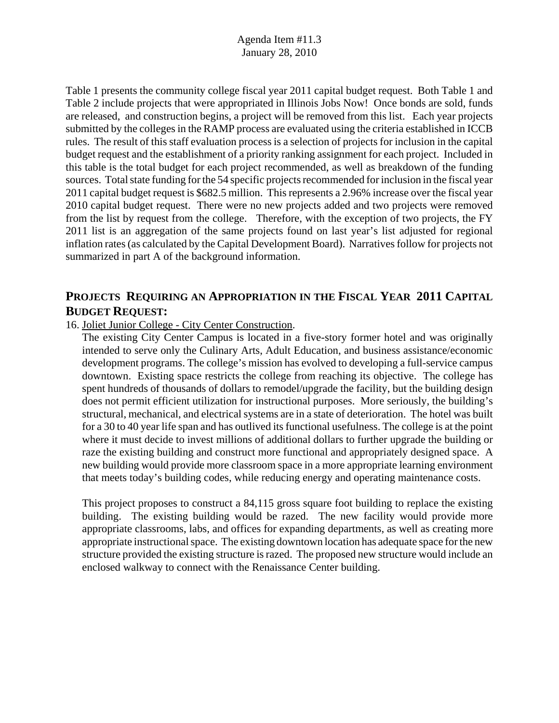Table 1 presents the community college fiscal year 2011 capital budget request. Both Table 1 and Table 2 include projects that were appropriated in Illinois Jobs Now! Once bonds are sold, funds are released, and construction begins, a project will be removed from this list. Each year projects submitted by the colleges in the RAMP process are evaluated using the criteria established in ICCB rules. The result of this staff evaluation process is a selection of projects for inclusion in the capital budget request and the establishment of a priority ranking assignment for each project. Included in this table is the total budget for each project recommended, as well as breakdown of the funding sources. Total state funding for the 54 specific projects recommended for inclusion in the fiscal year 2011 capital budget request is \$682.5 million. This represents a 2.96% increase over the fiscal year 2010 capital budget request. There were no new projects added and two projects were removed from the list by request from the college. Therefore, with the exception of two projects, the FY 2011 list is an aggregation of the same projects found on last year's list adjusted for regional inflation rates (as calculated by the Capital Development Board). Narratives follow for projects not summarized in part A of the background information.

## **PROJECTS REQUIRING AN APPROPRIATION IN THE FISCAL YEAR 2011 CAPITAL BUDGET REQUEST:**

#### 16. Joliet Junior College - City Center Construction.

The existing City Center Campus is located in a five-story former hotel and was originally intended to serve only the Culinary Arts, Adult Education, and business assistance/economic development programs. The college's mission has evolved to developing a full-service campus downtown. Existing space restricts the college from reaching its objective. The college has spent hundreds of thousands of dollars to remodel/upgrade the facility, but the building design does not permit efficient utilization for instructional purposes. More seriously, the building's structural, mechanical, and electrical systems are in a state of deterioration. The hotel was built for a 30 to 40 year life span and has outlived its functional usefulness. The college is at the point where it must decide to invest millions of additional dollars to further upgrade the building or raze the existing building and construct more functional and appropriately designed space. A new building would provide more classroom space in a more appropriate learning environment that meets today's building codes, while reducing energy and operating maintenance costs.

This project proposes to construct a 84,115 gross square foot building to replace the existing building. The existing building would be razed. The new facility would provide more appropriate classrooms, labs, and offices for expanding departments, as well as creating more appropriate instructional space. The existing downtown location has adequate space for the new structure provided the existing structure is razed. The proposed new structure would include an enclosed walkway to connect with the Renaissance Center building.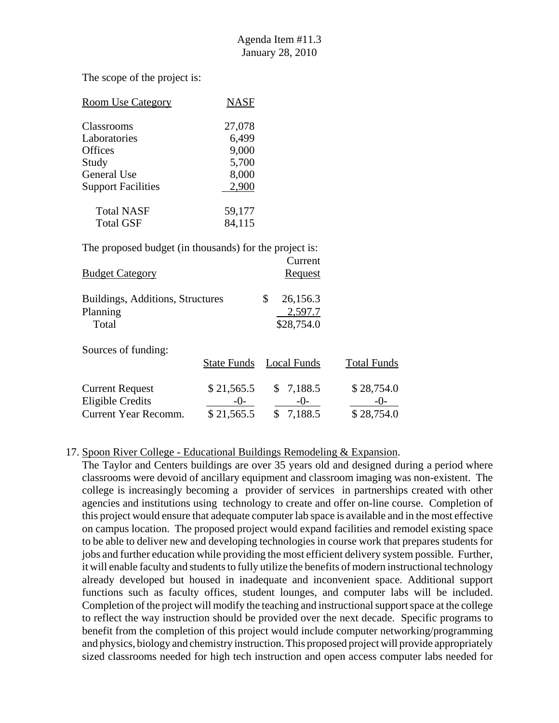The scope of the project is:

| <b>Room Use Category</b>  | <b>NASF</b> |
|---------------------------|-------------|
| Classrooms                | 27,078      |
| Laboratories              | 6,499       |
| <b>Offices</b>            | 9,000       |
| Study                     | 5,700       |
| General Use               | 8,000       |
| <b>Support Facilities</b> | 2.900       |
| <b>Total NASF</b>         | 59,177      |
| <b>Total GSF</b>          | 84,115      |

The proposed budget (in thousands) for the project is:

| <b>Budget Category</b>                                                    |                                     | Current<br>Request                      |                                   |
|---------------------------------------------------------------------------|-------------------------------------|-----------------------------------------|-----------------------------------|
| Buildings, Additions, Structures<br>Planning<br>Total                     |                                     | \$<br>26,156.3<br>2,597.7<br>\$28,754.0 |                                   |
| Sources of funding:                                                       | <b>State Funds</b>                  | Local Funds                             | <b>Total Funds</b>                |
| <b>Current Request</b><br><b>Eligible Credits</b><br>Current Year Recomm. | \$21,565.5<br>$-()$ -<br>\$21,565.5 | \$7,188.5<br>$-()$<br>7,188.5           | \$28,754.0<br>$-()$<br>\$28,754.0 |

#### 17. Spoon River College - Educational Buildings Remodeling & Expansion.

 The Taylor and Centers buildings are over 35 years old and designed during a period where classrooms were devoid of ancillary equipment and classroom imaging was non-existent. The college is increasingly becoming a provider of services in partnerships created with other agencies and institutions using technology to create and offer on-line course. Completion of this project would ensure that adequate computer lab space is available and in the most effective on campus location. The proposed project would expand facilities and remodel existing space to be able to deliver new and developing technologies in course work that prepares students for jobs and further education while providing the most efficient delivery system possible. Further, it will enable faculty and students to fully utilize the benefits of modern instructional technology already developed but housed in inadequate and inconvenient space. Additional support functions such as faculty offices, student lounges, and computer labs will be included. Completion of the project will modify the teaching and instructional support space at the college to reflect the way instruction should be provided over the next decade. Specific programs to benefit from the completion of this project would include computer networking/programming and physics, biology and chemistry instruction. This proposed project will provide appropriately sized classrooms needed for high tech instruction and open access computer labs needed for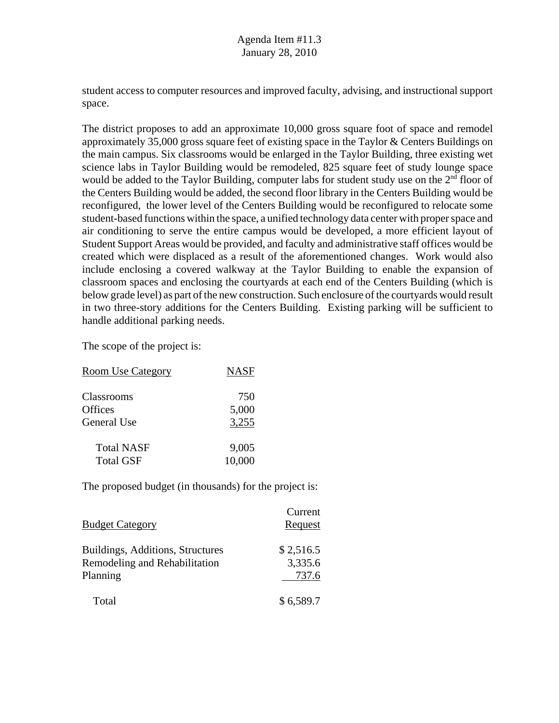student access to computer resources and improved faculty, advising, and instructional support space.

The district proposes to add an approximate 10,000 gross square foot of space and remodel approximately 35,000 gross square feet of existing space in the Taylor & Centers Buildings on the main campus. Six classrooms would be enlarged in the Taylor Building, three existing wet science labs in Taylor Building would be remodeled, 825 square feet of study lounge space would be added to the Taylor Building, computer labs for student study use on the  $2<sup>nd</sup>$  floor of the Centers Building would be added, the second floor library in the Centers Building would be reconfigured, the lower level of the Centers Building would be reconfigured to relocate some student-based functions within the space, a unified technology data center with proper space and air conditioning to serve the entire campus would be developed, a more efficient layout of Student Support Areas would be provided, and faculty and administrative staff offices would be created which were displaced as a result of the aforementioned changes. Work would also include enclosing a covered walkway at the Taylor Building to enable the expansion of classroom spaces and enclosing the courtyards at each end of the Centers Building (which is below grade level) as part of the new construction. Such enclosure of the courtyards would result in two three-story additions for the Centers Building. Existing parking will be sufficient to handle additional parking needs.

The scope of the project is:

| <b>Room Use Category</b> | <b>NASF</b> |
|--------------------------|-------------|
| Classrooms               | 750         |
| <b>Offices</b>           | 5,000       |
| <b>General Use</b>       | 3,255       |
| <b>Total NASF</b>        | 9,005       |
| <b>Total GSF</b>         | 10,000      |

| <b>Budget Category</b>                                                        | Current<br>Request            |
|-------------------------------------------------------------------------------|-------------------------------|
| Buildings, Additions, Structures<br>Remodeling and Rehabilitation<br>Planning | \$2,516.5<br>3,335.6<br>737.6 |
| Total                                                                         | \$6,589.7                     |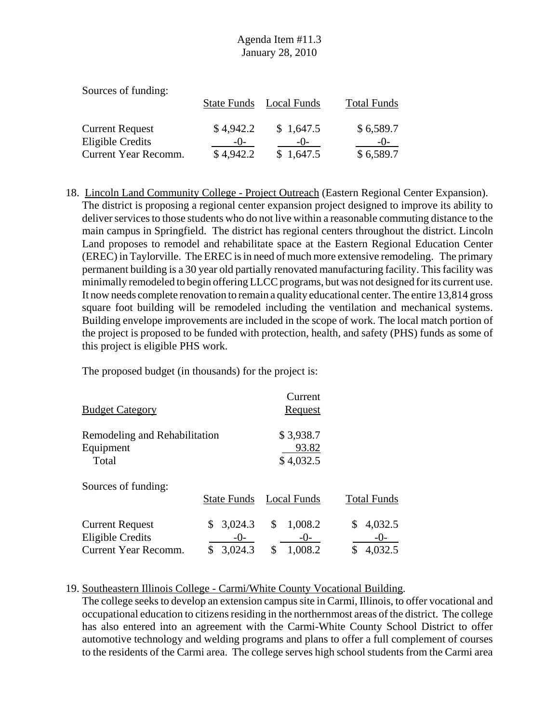| Sources of funding:    |           |                         |                    |
|------------------------|-----------|-------------------------|--------------------|
|                        |           | State Funds Local Funds | <b>Total Funds</b> |
|                        |           |                         |                    |
| <b>Current Request</b> | \$4,942.2 | \$1,647.5               | \$6,589.7          |
| Eligible Credits       | $-()$     | $-()$                   | $-()$              |
| Current Year Recomm.   | \$4,942.2 | \$1,647.5               | \$6,589.7          |

18. Lincoln Land Community College - Project Outreach (Eastern Regional Center Expansion). The district is proposing a regional center expansion project designed to improve its ability to deliver services to those students who do not live within a reasonable commuting distance to the main campus in Springfield. The district has regional centers throughout the district. Lincoln Land proposes to remodel and rehabilitate space at the Eastern Regional Education Center (EREC) in Taylorville. The EREC is in need of much more extensive remodeling. The primary permanent building is a 30 year old partially renovated manufacturing facility. This facility was minimally remodeled to begin offering LLCC programs, but was not designed for its current use. It now needs complete renovation to remain a quality educational center. The entire 13,814 gross square foot building will be remodeled including the ventilation and mechanical systems. Building envelope improvements are included in the scope of work. The local match portion of the project is proposed to be funded with protection, health, and safety (PHS) funds as some of this project is eligible PHS work.

The proposed budget (in thousands) for the project is:

| <b>Budget Category</b>                                                    |                                         | Current<br><b>Request</b>               |                                   |
|---------------------------------------------------------------------------|-----------------------------------------|-----------------------------------------|-----------------------------------|
| Remodeling and Rehabilitation<br>Equipment<br>Total                       |                                         | \$3,938.7<br>93.82<br>\$4,032.5         |                                   |
| Sources of funding:                                                       | <b>State Funds</b>                      | Local Funds                             | <b>Total Funds</b>                |
| <b>Current Request</b><br><b>Eligible Credits</b><br>Current Year Recomm. | 3,024.3<br>\$<br>$-()$<br>3,024.3<br>\$ | \$<br>1,008.2<br>$-()$<br>\$<br>1,008.2 | 4,032.5<br>$-0-$<br>\$<br>4,032.5 |

### 19. Southeastern Illinois College - Carmi/White County Vocational Building.

The college seeks to develop an extension campus site in Carmi, Illinois, to offer vocational and occupational education to citizens residing in the northernmost areas of the district. The college has also entered into an agreement with the Carmi-White County School District to offer automotive technology and welding programs and plans to offer a full complement of courses to the residents of the Carmi area. The college serves high school students from the Carmi area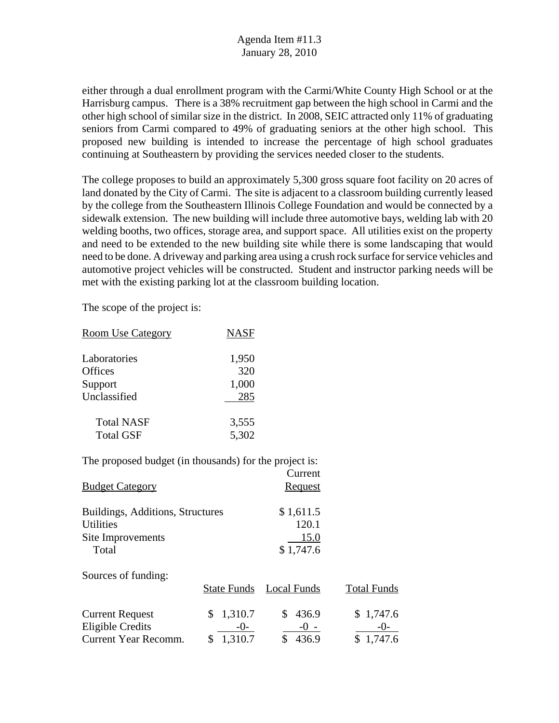either through a dual enrollment program with the Carmi/White County High School or at the Harrisburg campus. There is a 38% recruitment gap between the high school in Carmi and the other high school of similar size in the district. In 2008, SEIC attracted only 11% of graduating seniors from Carmi compared to 49% of graduating seniors at the other high school. This proposed new building is intended to increase the percentage of high school graduates continuing at Southeastern by providing the services needed closer to the students.

The college proposes to build an approximately 5,300 gross square foot facility on 20 acres of land donated by the City of Carmi. The site is adjacent to a classroom building currently leased by the college from the Southeastern Illinois College Foundation and would be connected by a sidewalk extension. The new building will include three automotive bays, welding lab with 20 welding booths, two offices, storage area, and support space. All utilities exist on the property and need to be extended to the new building site while there is some landscaping that would need to be done. A driveway and parking area using a crush rock surface for service vehicles and automotive project vehicles will be constructed. Student and instructor parking needs will be met with the existing parking lot at the classroom building location.

The scope of the project is:

| <b>Room Use Category</b> | <b>NASF</b> |
|--------------------------|-------------|
| Laboratories             | 1,950       |
| Offices                  | 320         |
| Support                  | 1,000       |
| Unclassified             | 285         |
| <b>Total NASF</b>        | 3,555       |
| <b>Total GSF</b>         | 5,302       |

| <b>Budget Category</b>                               |                       | Current<br>Request     |                    |
|------------------------------------------------------|-----------------------|------------------------|--------------------|
| Buildings, Additions, Structures<br><b>Utilities</b> |                       | \$1,611.5<br>120.1     |                    |
| Site Improvements<br>Total                           |                       | 15.0<br>\$1,747.6      |                    |
| Sources of funding:                                  | State Funds           | Local Funds            | <b>Total Funds</b> |
| <b>Current Request</b><br><b>Eligible Credits</b>    | 1,310.7<br>S<br>$-0-$ | 436.9<br>S.<br>$-() -$ | \$1,747.6<br>$-()$ |
| Current Year Recomm.                                 | 1,310.7<br>S          | \$<br>436.9            | \$1,747.6          |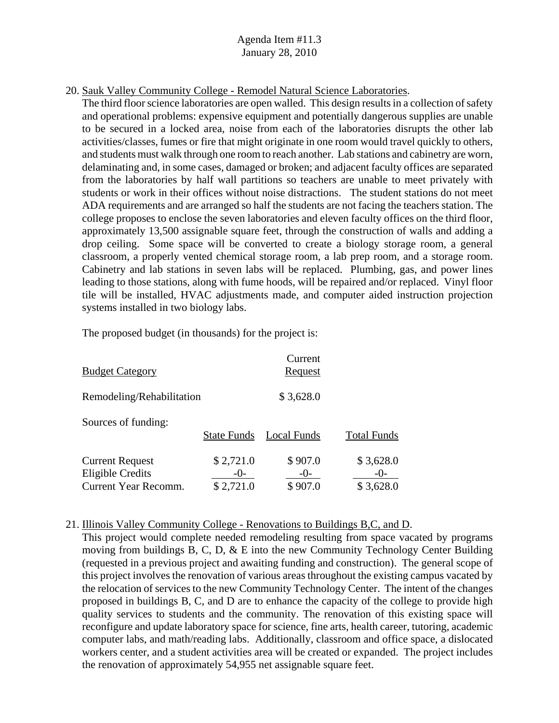20. Sauk Valley Community College - Remodel Natural Science Laboratories.

The third floor science laboratories are open walled. This design results in a collection of safety and operational problems: expensive equipment and potentially dangerous supplies are unable to be secured in a locked area, noise from each of the laboratories disrupts the other lab activities/classes, fumes or fire that might originate in one room would travel quickly to others, and students must walk through one room to reach another. Lab stations and cabinetry are worn, delaminating and, in some cases, damaged or broken; and adjacent faculty offices are separated from the laboratories by half wall partitions so teachers are unable to meet privately with students or work in their offices without noise distractions. The student stations do not meet ADA requirements and are arranged so half the students are not facing the teachers station. The college proposes to enclose the seven laboratories and eleven faculty offices on the third floor, approximately 13,500 assignable square feet, through the construction of walls and adding a drop ceiling. Some space will be converted to create a biology storage room, a general classroom, a properly vented chemical storage room, a lab prep room, and a storage room. Cabinetry and lab stations in seven labs will be replaced. Plumbing, gas, and power lines leading to those stations, along with fume hoods, will be repaired and/or replaced. Vinyl floor tile will be installed, HVAC adjustments made, and computer aided instruction projection systems installed in two biology labs.

The proposed budget (in thousands) for the project is:

| <b>Budget Category</b>                            |                    | Current<br><u>Request</u> |                    |
|---------------------------------------------------|--------------------|---------------------------|--------------------|
| Remodeling/Rehabilitation                         |                    | \$3,628.0                 |                    |
| Sources of funding:                               | <b>State Funds</b> | Local Funds               | <b>Total Funds</b> |
| <b>Current Request</b><br><b>Eligible Credits</b> | \$2,721.0<br>$-()$ | \$907.0<br>$-()$          | \$3,628.0<br>$-()$ |
| Current Year Recomm.                              | \$2,721.0          | \$907.0                   | \$3,628.0          |

#### 21. Illinois Valley Community College - Renovations to Buildings B,C, and D.

This project would complete needed remodeling resulting from space vacated by programs moving from buildings B, C, D, & E into the new Community Technology Center Building (requested in a previous project and awaiting funding and construction). The general scope of this project involves the renovation of various areas throughout the existing campus vacated by the relocation of services to the new Community Technology Center. The intent of the changes proposed in buildings B, C, and D are to enhance the capacity of the college to provide high quality services to students and the community. The renovation of this existing space will reconfigure and update laboratory space for science, fine arts, health career, tutoring, academic computer labs, and math/reading labs. Additionally, classroom and office space, a dislocated workers center, and a student activities area will be created or expanded. The project includes the renovation of approximately 54,955 net assignable square feet.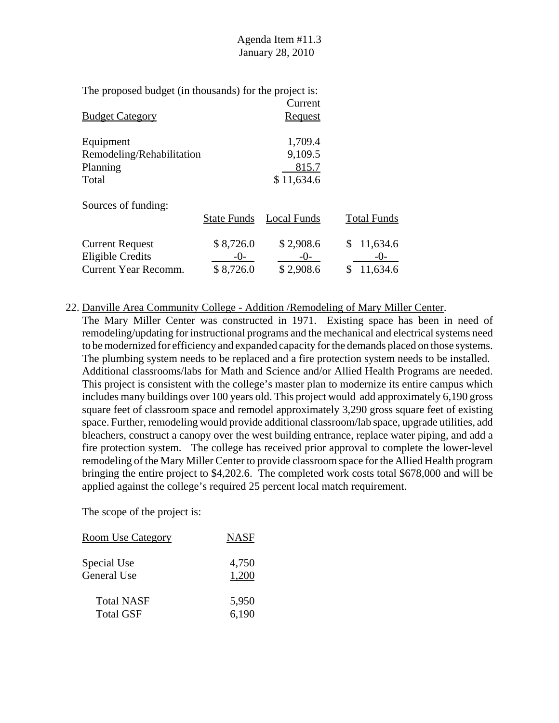|                           | Current    |  |
|---------------------------|------------|--|
| <b>Budget Category</b>    | Request    |  |
|                           |            |  |
| Equipment                 | 1,709.4    |  |
| Remodeling/Rehabilitation | 9,109.5    |  |
| Planning                  | 815.7      |  |
| Total                     | \$11,634.6 |  |
|                           |            |  |
| Sources of funding:       |            |  |

|                                          | <b>State Funds</b> | Local Funds        | <b>Total Funds</b>  |
|------------------------------------------|--------------------|--------------------|---------------------|
| <b>Current Request</b>                   | \$8,726.0          | \$2,908.6          | \$11,634.6          |
| Eligible Credits<br>Current Year Recomm. | $-()$<br>\$8,726.0 | $-()$<br>\$2,908.6 | $-()$<br>\$11,634.6 |

22. Danville Area Community College - Addition /Remodeling of Mary Miller Center.

The Mary Miller Center was constructed in 1971. Existing space has been in need of remodeling/updating for instructional programs and the mechanical and electrical systems need to be modernized for efficiency and expanded capacity for the demands placed on those systems. The plumbing system needs to be replaced and a fire protection system needs to be installed. Additional classrooms/labs for Math and Science and/or Allied Health Programs are needed. This project is consistent with the college's master plan to modernize its entire campus which includes many buildings over 100 years old. This project would add approximately 6,190 gross square feet of classroom space and remodel approximately 3,290 gross square feet of existing space. Further, remodeling would provide additional classroom/lab space, upgrade utilities, add bleachers, construct a canopy over the west building entrance, replace water piping, and add a fire protection system. The college has received prior approval to complete the lower-level remodeling of the Mary Miller Center to provide classroom space for the Allied Health program bringing the entire project to \$4,202.6. The completed work costs total \$678,000 and will be applied against the college's required 25 percent local match requirement.

| <b>Room Use Category</b> | <b>NASF</b> |
|--------------------------|-------------|
| Special Use              | 4,750       |
| General Use              | 1,200       |
| <b>Total NASF</b>        | 5,950       |
| <b>Total GSF</b>         | 6,190       |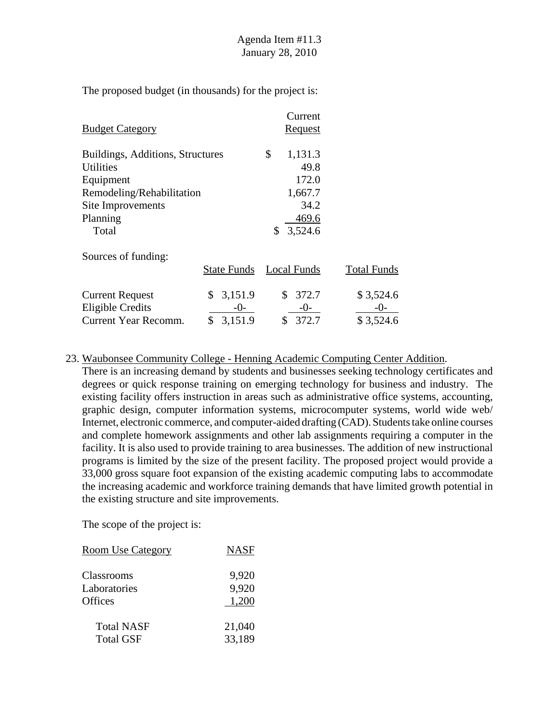|                                  |                    |         | Current        |                    |
|----------------------------------|--------------------|---------|----------------|--------------------|
| <b>Budget Category</b>           |                    |         | <b>Request</b> |                    |
| Buildings, Additions, Structures |                    | \$      | 1,131.3        |                    |
| <b>Utilities</b>                 |                    |         | 49.8           |                    |
| Equipment                        |                    |         | 172.0          |                    |
| Remodeling/Rehabilitation        |                    |         | 1,667.7        |                    |
| Site Improvements                |                    |         | 34.2           |                    |
| Planning                         |                    |         | 469.6          |                    |
| Total                            |                    | \$      | 3,524.6        |                    |
| Sources of funding:              |                    |         |                |                    |
|                                  | <b>State Funds</b> |         | Local Funds    | <b>Total Funds</b> |
| <b>Current Request</b>           | \$                 | 3,151.9 | \$<br>372.7    | \$3,524.6          |
| <b>Eligible Credits</b>          |                    | -0-     | -0-            | $-()$ -            |
| <b>Current Year Recomm.</b>      | \$                 | 3,151.9 | 372.7<br>\$    | \$3,524.6          |

#### 23. Waubonsee Community College - Henning Academic Computing Center Addition.

There is an increasing demand by students and businesses seeking technology certificates and degrees or quick response training on emerging technology for business and industry. The existing facility offers instruction in areas such as administrative office systems, accounting, graphic design, computer information systems, microcomputer systems, world wide web/ Internet, electronic commerce, and computer-aided drafting (CAD). Students take online courses and complete homework assignments and other lab assignments requiring a computer in the facility. It is also used to provide training to area businesses. The addition of new instructional programs is limited by the size of the present facility. The proposed project would provide a 33,000 gross square foot expansion of the existing academic computing labs to accommodate the increasing academic and workforce training demands that have limited growth potential in the existing structure and site improvements.

| <b>Room Use Category</b> | <b>NASF</b> |
|--------------------------|-------------|
| Classrooms               | 9,920       |
| Laboratories             | 9,920       |
| <b>Offices</b>           | 1,200       |
| <b>Total NASF</b>        | 21,040      |
| <b>Total GSF</b>         | 33,189      |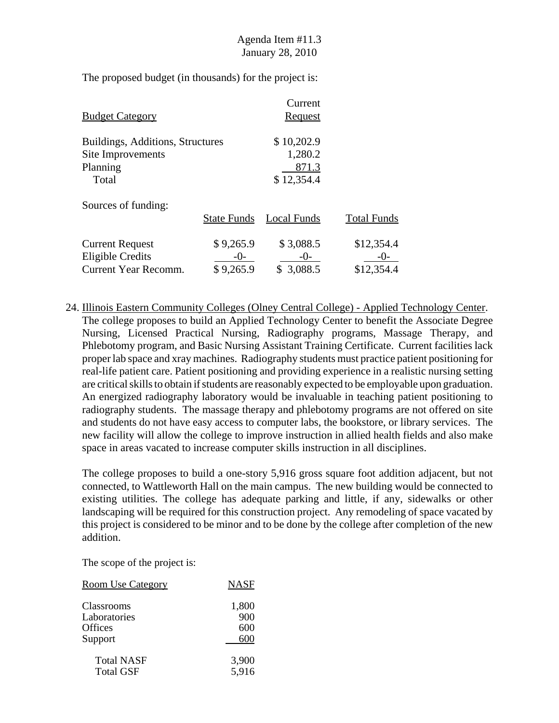| <b>Budget Category</b>                                                     |                                 | Current<br>Request                           |                                   |
|----------------------------------------------------------------------------|---------------------------------|----------------------------------------------|-----------------------------------|
| Buildings, Additions, Structures<br>Site Improvements<br>Planning<br>Total |                                 | \$10,202.9<br>1,280.2<br>871.3<br>\$12,354.4 |                                   |
| Sources of funding:                                                        | <b>State Funds</b>              | Local Funds                                  | <b>Total Funds</b>                |
| <b>Current Request</b><br><b>Eligible Credits</b><br>Current Year Recomm.  | \$9,265.9<br>$-()$<br>\$9,265.9 | \$3,088.5<br>$-()$ -<br>\$3,088.5            | \$12,354.4<br>-( )-<br>\$12,354.4 |

24. Illinois Eastern Community Colleges (Olney Central College) - Applied Technology Center. The college proposes to build an Applied Technology Center to benefit the Associate Degree Nursing, Licensed Practical Nursing, Radiography programs, Massage Therapy, and Phlebotomy program, and Basic Nursing Assistant Training Certificate. Current facilities lack proper lab space and xray machines. Radiography students must practice patient positioning for real-life patient care. Patient positioning and providing experience in a realistic nursing setting are critical skills to obtain if students are reasonably expected to be employable upon graduation. An energized radiography laboratory would be invaluable in teaching patient positioning to radiography students. The massage therapy and phlebotomy programs are not offered on site and students do not have easy access to computer labs, the bookstore, or library services. The new facility will allow the college to improve instruction in allied health fields and also make space in areas vacated to increase computer skills instruction in all disciplines.

The college proposes to build a one-story 5,916 gross square foot addition adjacent, but not connected, to Wattleworth Hall on the main campus. The new building would be connected to existing utilities. The college has adequate parking and little, if any, sidewalks or other landscaping will be required for this construction project. Any remodeling of space vacated by this project is considered to be minor and to be done by the college after completion of the new addition.

| <b>Room Use Category</b> | <b>NASF</b> |
|--------------------------|-------------|
| <b>Classrooms</b>        | 1,800       |
| Laboratories             | 900         |
| Offices                  | 600         |
| Support                  | 600         |
| <b>Total NASF</b>        | 3,900       |
| <b>Total GSF</b>         | 5,916       |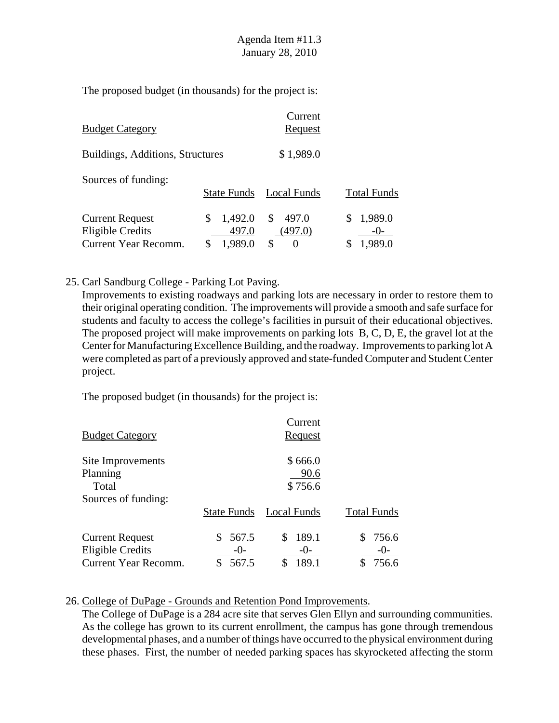| <b>Budget Category</b>                            |                        | Current<br>Request           |                    |
|---------------------------------------------------|------------------------|------------------------------|--------------------|
| Buildings, Additions, Structures                  |                        | \$1,989.0                    |                    |
| Sources of funding:                               | <b>State Funds</b>     | Local Funds                  | <b>Total Funds</b> |
| <b>Current Request</b><br><b>Eligible Credits</b> | 1,492.0<br>\$<br>497.0 | 497.0<br><b>S</b><br>(497.0) | 1,989.0<br>$-()$ - |
| Current Year Recomm.                              | \$<br>1,989.0          | S<br>$\theta$                | 1,989.0            |

#### 25. Carl Sandburg College - Parking Lot Paving.

Improvements to existing roadways and parking lots are necessary in order to restore them to their original operating condition. The improvements will provide a smooth and safe surface for students and faculty to access the college's facilities in pursuit of their educational objectives. The proposed project will make improvements on parking lots B, C, D, E, the gravel lot at the Center for Manufacturing Excellence Building, and the roadway. Improvements to parking lot A were completed as part of a previously approved and state-funded Computer and Student Center project.

The proposed budget (in thousands) for the project is:

| <b>Budget Category</b>      |                    | Current<br>Request |                    |
|-----------------------------|--------------------|--------------------|--------------------|
| Site Improvements           |                    | \$666.0            |                    |
| Planning                    |                    | 90.6               |                    |
| Total                       |                    | \$756.6            |                    |
| Sources of funding:         |                    |                    |                    |
|                             | <b>State Funds</b> | Local Funds        | <b>Total Funds</b> |
| <b>Current Request</b>      | 567.5              | 189.1<br>S.        | 756.6              |
| <b>Eligible Credits</b>     | $-()$              | $-()$              | $-()$              |
| <b>Current Year Recomm.</b> | 567.5              | 189.1              | 756.6              |

#### 26. College of DuPage - Grounds and Retention Pond Improvements.

The College of DuPage is a 284 acre site that serves Glen Ellyn and surrounding communities. As the college has grown to its current enrollment, the campus has gone through tremendous developmental phases, and a number of things have occurred to the physical environment during these phases. First, the number of needed parking spaces has skyrocketed affecting the storm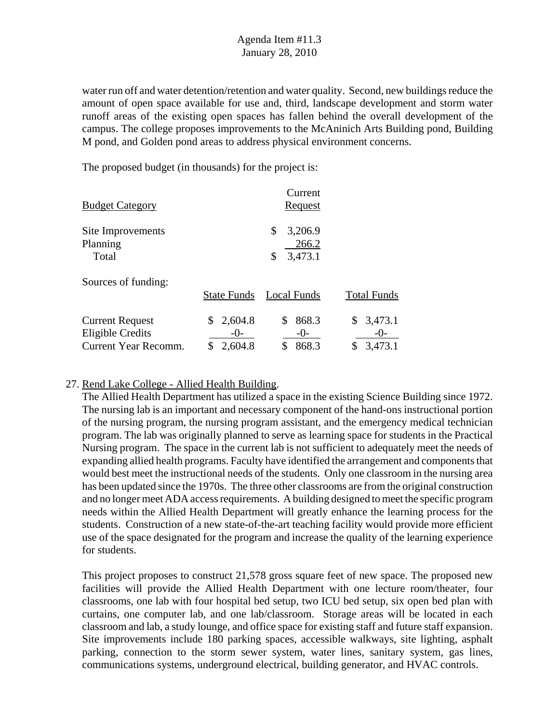water run off and water detention/retention and water quality. Second, new buildings reduce the amount of open space available for use and, third, landscape development and storm water runoff areas of the existing open spaces has fallen behind the overall development of the campus. The college proposes improvements to the McAninich Arts Building pond, Building M pond, and Golden pond areas to address physical environment concerns.

The proposed budget (in thousands) for the project is:

| <b>Budget Category</b>  |                    | Current<br><b>Request</b> |                    |
|-------------------------|--------------------|---------------------------|--------------------|
| Site Improvements       |                    | 3,206.9<br>\$             |                    |
| Planning                |                    | 266.2                     |                    |
| Total                   |                    | 3,473.1<br>\$             |                    |
| Sources of funding:     |                    |                           |                    |
|                         | <b>State Funds</b> | Local Funds               | <b>Total Funds</b> |
| <b>Current Request</b>  | 2,604.8<br>S       | 868.3<br>\$               | 3,473.1<br>S.      |
| <b>Eligible Credits</b> | $-()$ -            | $-()$                     | $-()$              |
| Current Year Recomm.    | 2,604.8            | \$<br>868.3               | 3,473.1            |

### 27. Rend Lake College - Allied Health Building.

The Allied Health Department has utilized a space in the existing Science Building since 1972. The nursing lab is an important and necessary component of the hand-ons instructional portion of the nursing program, the nursing program assistant, and the emergency medical technician program. The lab was originally planned to serve as learning space for students in the Practical Nursing program. The space in the current lab is not sufficient to adequately meet the needs of expanding allied health programs. Faculty have identified the arrangement and components that would best meet the instructional needs of the students. Only one classroom in the nursing area has been updated since the 1970s. The three other classrooms are from the original construction and no longer meet ADA access requirements. A building designed to meet the specific program needs within the Allied Health Department will greatly enhance the learning process for the students. Construction of a new state-of-the-art teaching facility would provide more efficient use of the space designated for the program and increase the quality of the learning experience for students.

This project proposes to construct 21,578 gross square feet of new space. The proposed new facilities will provide the Allied Health Department with one lecture room/theater, four classrooms, one lab with four hospital bed setup, two ICU bed setup, six open bed plan with curtains, one computer lab, and one lab/classroom. Storage areas will be located in each classroom and lab, a study lounge, and office space for existing staff and future staff expansion. Site improvements include 180 parking spaces, accessible walkways, site lighting, asphalt parking, connection to the storm sewer system, water lines, sanitary system, gas lines, communications systems, underground electrical, building generator, and HVAC controls.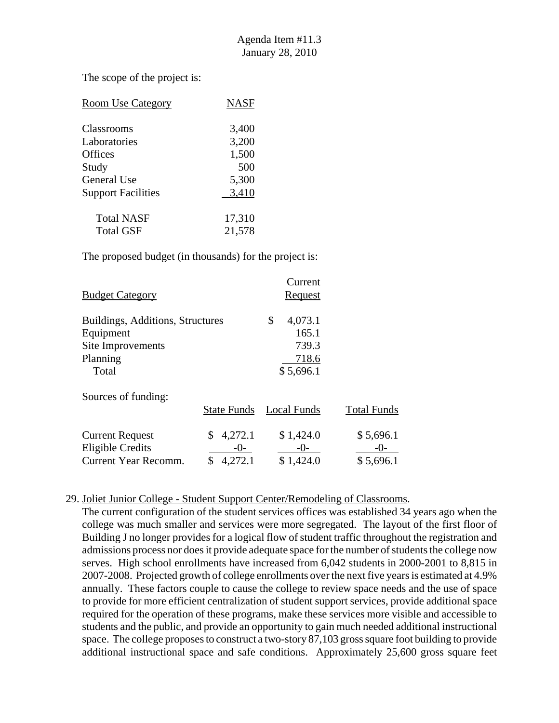The scope of the project is:

| <b>Room Use Category</b>  | <b>NASF</b> |
|---------------------------|-------------|
| <b>Classrooms</b>         | 3,400       |
| Laboratories              | 3,200       |
| Offices                   | 1,500       |
| Study                     | 500         |
| General Use               | 5,300       |
| <b>Support Facilities</b> | 3,410       |
| <b>Total NASF</b>         | 17,310      |
| <b>Total GSF</b>          | 21,578      |

The proposed budget (in thousands) for the project is:

| <b>Budget Category</b>           |                    | Current<br>Request |                    |
|----------------------------------|--------------------|--------------------|--------------------|
| Buildings, Additions, Structures |                    | \$<br>4,073.1      |                    |
| Equipment                        |                    | 165.1              |                    |
| Site Improvements                |                    | 739.3              |                    |
| Planning                         |                    | 718.6              |                    |
| Total                            |                    | \$5,696.1          |                    |
| Sources of funding:              |                    |                    |                    |
|                                  | <b>State Funds</b> | <b>Local Funds</b> | <b>Total Funds</b> |
| <b>Current Request</b>           | 4,272.1<br>\$      | \$1,424.0          | \$5,696.1          |
| Eligible Credits                 | $-()$ -            | $-0-$              | $-()$ -            |
| <b>Current Year Recomm.</b>      | 4,272.1<br>\$      | \$1,424.0          | \$5,696.1          |

### 29. Joliet Junior College - Student Support Center/Remodeling of Classrooms.

The current configuration of the student services offices was established 34 years ago when the college was much smaller and services were more segregated. The layout of the first floor of Building J no longer provides for a logical flow of student traffic throughout the registration and admissions process nor does it provide adequate space for the number of students the college now serves. High school enrollments have increased from 6,042 students in 2000-2001 to 8,815 in 2007-2008. Projected growth of college enrollments over the next five years is estimated at 4.9% annually. These factors couple to cause the college to review space needs and the use of space to provide for more efficient centralization of student support services, provide additional space required for the operation of these programs, make these services more visible and accessible to students and the public, and provide an opportunity to gain much needed additional instructional space. The college proposes to construct a two-story 87,103 gross square foot building to provide additional instructional space and safe conditions. Approximately 25,600 gross square feet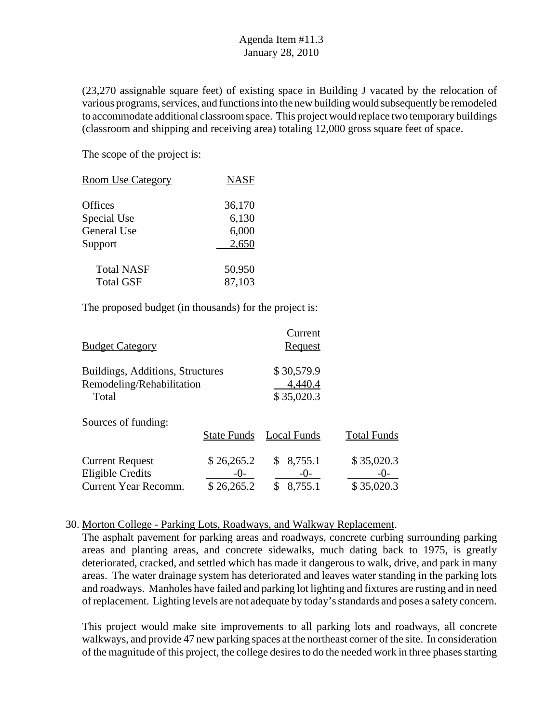(23,270 assignable square feet) of existing space in Building J vacated by the relocation of various programs, services, and functions into the new building would subsequently be remodeled to accommodate additional classroom space. This project would replace two temporary buildings (classroom and shipping and receiving area) totaling 12,000 gross square feet of space.

The scope of the project is:

| <b>Room Use Category</b> | <b>NASF</b> |
|--------------------------|-------------|
| <b>Offices</b>           | 36,170      |
| Special Use              | 6,130       |
| General Use              | 6,000       |
| Support                  | 2,650       |
| <b>Total NASF</b>        | 50,950      |
| <b>Total GSF</b>         | 87,103      |

The proposed budget (in thousands) for the project is:

| <b>Budget Category</b>                                                    |                                    | Current<br>Request                  |                                   |
|---------------------------------------------------------------------------|------------------------------------|-------------------------------------|-----------------------------------|
| Buildings, Additions, Structures<br>Remodeling/Rehabilitation<br>Total    |                                    | \$30,579.9<br>4,440.4<br>\$35,020.3 |                                   |
| Sources of funding:                                                       | <b>State Funds</b>                 | Local Funds                         | <b>Total Funds</b>                |
| <b>Current Request</b><br>Eligible Credits<br><b>Current Year Recomm.</b> | \$26,265.2<br>$-0$ -<br>\$26,265.2 | 8,755.1<br>$-()$<br>8,755.1<br>\$   | \$35,020.3<br>-( )-<br>\$35,020.3 |

#### 30. Morton College - Parking Lots, Roadways, and Walkway Replacement.

The asphalt pavement for parking areas and roadways, concrete curbing surrounding parking areas and planting areas, and concrete sidewalks, much dating back to 1975, is greatly deteriorated, cracked, and settled which has made it dangerous to walk, drive, and park in many areas. The water drainage system has deteriorated and leaves water standing in the parking lots and roadways. Manholes have failed and parking lot lighting and fixtures are rusting and in need of replacement. Lighting levels are not adequate by today's standards and poses a safety concern.

This project would make site improvements to all parking lots and roadways, all concrete walkways, and provide 47 new parking spaces at the northeast corner of the site. In consideration of the magnitude of this project, the college desires to do the needed work in three phases starting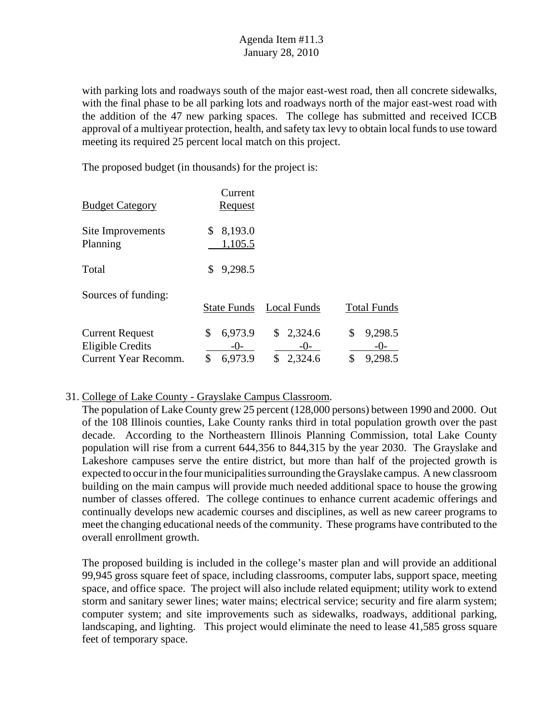with parking lots and roadways south of the major east-west road, then all concrete sidewalks, with the final phase to be all parking lots and roadways north of the major east-west road with the addition of the 47 new parking spaces. The college has submitted and received ICCB approval of a multiyear protection, health, and safety tax levy to obtain local funds to use toward meeting its required 25 percent local match on this project.

The proposed budget (in thousands) for the project is:

|                                                   | Current                  |                        |                        |
|---------------------------------------------------|--------------------------|------------------------|------------------------|
| <b>Budget Category</b>                            | <b>Request</b>           |                        |                        |
| Site Improvements<br>Planning                     | \$<br>8,193.0<br>1,105.5 |                        |                        |
| Total                                             | 9,298.5<br>\$            |                        |                        |
| Sources of funding:                               | <b>State Funds</b>       | <b>Local Funds</b>     | <b>Total Funds</b>     |
|                                                   |                          |                        |                        |
| <b>Current Request</b><br><b>Eligible Credits</b> | 6,973.9<br>\$<br>$-()$   | 2,324.6<br>\$<br>$-()$ | \$<br>9,298.5<br>$-()$ |
| Current Year Recomm.                              | \$<br>6,973.9            | \$<br>2,324.6          | \$<br>9,298.5          |

## 31. College of Lake County - Grayslake Campus Classroom.

The population of Lake County grew 25 percent (128,000 persons) between 1990 and 2000. Out of the 108 Illinois counties, Lake County ranks third in total population growth over the past decade. According to the Northeastern Illinois Planning Commission, total Lake County population will rise from a current 644,356 to 844,315 by the year 2030. The Grayslake and Lakeshore campuses serve the entire district, but more than half of the projected growth is expected to occur in the four municipalities surrounding the Grayslake campus. A new classroom building on the main campus will provide much needed additional space to house the growing number of classes offered. The college continues to enhance current academic offerings and continually develops new academic courses and disciplines, as well as new career programs to meet the changing educational needs of the community. These programs have contributed to the overall enrollment growth.

The proposed building is included in the college's master plan and will provide an additional 99,945 gross square feet of space, including classrooms, computer labs, support space, meeting space, and office space. The project will also include related equipment; utility work to extend storm and sanitary sewer lines; water mains; electrical service; security and fire alarm system; computer system; and site improvements such as sidewalks, roadways, additional parking, landscaping, and lighting. This project would eliminate the need to lease 41,585 gross square feet of temporary space.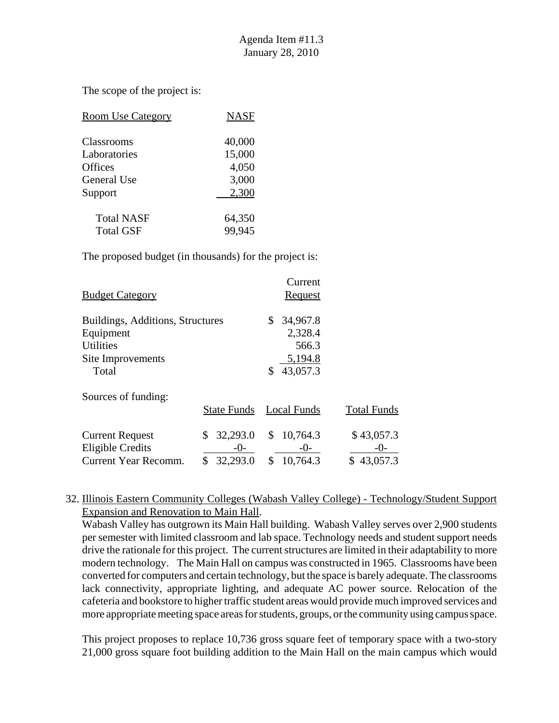The scope of the project is:

| <b>Room Use Category</b> | <b>NASF</b> |
|--------------------------|-------------|
| <b>Classrooms</b>        | 40,000      |
| Laboratories             | 15,000      |
| Offices                  | 4,050       |
| General Use              | 3,000       |
| Support                  | 2,300       |
| <b>Total NASF</b>        | 64,350      |
| <b>Total GSF</b>         | 99,945      |

The proposed budget (in thousands) for the project is:

| <b>Budget Category</b>           |                    | Current<br>Request |                    |
|----------------------------------|--------------------|--------------------|--------------------|
| Buildings, Additions, Structures |                    | 34,967.8<br>\$     |                    |
| Equipment                        |                    | 2,328.4            |                    |
| <b>Utilities</b>                 |                    | 566.3              |                    |
| Site Improvements                |                    | 5,194.8            |                    |
| Total                            |                    | 43,057.3           |                    |
| Sources of funding:              |                    |                    |                    |
|                                  | <b>State Funds</b> | <b>Local Funds</b> | <b>Total Funds</b> |
| <b>Current Request</b>           | 32,293.0<br>\$     | 10,764.3<br>\$     | \$43,057.3         |
| <b>Eligible Credits</b>          | $-()$ -            | $-0-$              | $-()$ -            |
| <b>Current Year Recomm.</b>      | \$<br>32,293.0     | 10,764.3<br>\$     | \$<br>43,057.3     |

32. Illinois Eastern Community Colleges (Wabash Valley College) - Technology/Student Support Expansion and Renovation to Main Hall.

Wabash Valley has outgrown its Main Hall building. Wabash Valley serves over 2,900 students per semester with limited classroom and lab space. Technology needs and student support needs drive the rationale for this project. The current structures are limited in their adaptability to more modern technology. The Main Hall on campus was constructed in 1965. Classrooms have been converted for computers and certain technology, but the space is barely adequate. The classrooms lack connectivity, appropriate lighting, and adequate AC power source. Relocation of the cafeteria and bookstore to higher traffic student areas would provide much improved services and more appropriate meeting space areas for students, groups, or the community using campus space.

This project proposes to replace 10,736 gross square feet of temporary space with a two-story 21,000 gross square foot building addition to the Main Hall on the main campus which would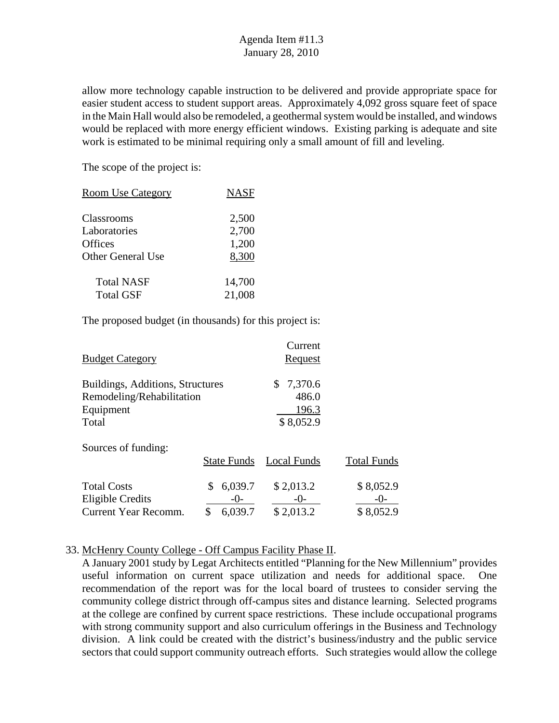allow more technology capable instruction to be delivered and provide appropriate space for easier student access to student support areas. Approximately 4,092 gross square feet of space in the Main Hall would also be remodeled, a geothermal system would be installed, and windows would be replaced with more energy efficient windows. Existing parking is adequate and site work is estimated to be minimal requiring only a small amount of fill and leveling.

The scope of the project is:

| <b>Room Use Category</b> | <b>NASF</b> |
|--------------------------|-------------|
| Classrooms               | 2,500       |
| Laboratories             | 2,700       |
| <b>Offices</b>           | 1,200       |
| <b>Other General Use</b> | 8,300       |
| Total NASF               | 14,700      |
| <b>Total GSF</b>         | 21,008      |

The proposed budget (in thousands) for this project is:

| <b>Budget Category</b>                                                              |                                        | Current<br>Request                           |                                   |
|-------------------------------------------------------------------------------------|----------------------------------------|----------------------------------------------|-----------------------------------|
| Buildings, Additions, Structures<br>Remodeling/Rehabilitation<br>Equipment<br>Total |                                        | 7,370.6<br>\$<br>486.0<br>196.3<br>\$8,052.9 |                                   |
| Sources of funding:                                                                 | State Funds                            | Local Funds                                  | <b>Total Funds</b>                |
| <b>Total Costs</b><br>Eligible Credits<br>Current Year Recomm.                      | 6,039.7<br>S<br>$-()$<br>\$<br>6,039.7 | \$2,013.2<br>$-()$ -<br>\$2,013.2            | \$8,052.9<br>$-()$ -<br>\$8,052.9 |

#### 33. McHenry County College - Off Campus Facility Phase II.

A January 2001 study by Legat Architects entitled "Planning for the New Millennium" provides useful information on current space utilization and needs for additional space. One recommendation of the report was for the local board of trustees to consider serving the community college district through off-campus sites and distance learning. Selected programs at the college are confined by current space restrictions. These include occupational programs with strong community support and also curriculum offerings in the Business and Technology division. A link could be created with the district's business/industry and the public service sectors that could support community outreach efforts. Such strategies would allow the college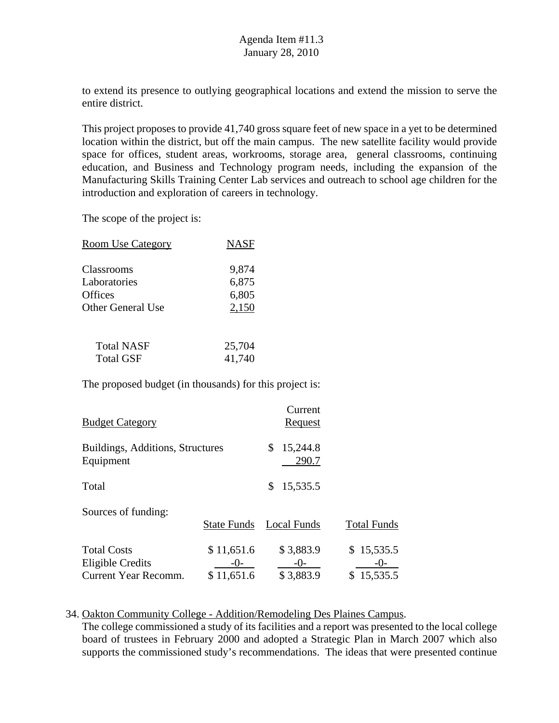to extend its presence to outlying geographical locations and extend the mission to serve the entire district.

This project proposes to provide 41,740 gross square feet of new space in a yet to be determined location within the district, but off the main campus. The new satellite facility would provide space for offices, student areas, workrooms, storage area, general classrooms, continuing education, and Business and Technology program needs, including the expansion of the Manufacturing Skills Training Center Lab services and outreach to school age children for the introduction and exploration of careers in technology.

The scope of the project is:

| <b>Room Use Category</b> | <b>NASF</b> |
|--------------------------|-------------|
| Classrooms               | 9,874       |
| Laboratories             | 6,875       |
| Offices                  | 6,805       |
| <b>Other General Use</b> | 2,150       |
| <b>Total NASF</b>        | 25,704      |
| <b>Total GSF</b>         | 41,740      |

The proposed budget (in thousands) for this project is:

| <b>Budget Category</b>                                         |                                   | Current<br>Request                |                                   |
|----------------------------------------------------------------|-----------------------------------|-----------------------------------|-----------------------------------|
| Buildings, Additions, Structures<br>Equipment                  |                                   | 15,244.8<br>\$<br>290.7           |                                   |
| Total                                                          |                                   | 15,535.5<br>S                     |                                   |
| Sources of funding:                                            | State Funds                       | <b>Local Funds</b>                | <b>Total Funds</b>                |
| <b>Total Costs</b><br>Eligible Credits<br>Current Year Recomm. | \$11,651.6<br>$-()$<br>\$11,651.6 | \$3,883.9<br>$-()$ -<br>\$3,883.9 | \$15,535.5<br>$-()$<br>\$15,535.5 |

#### 34. Oakton Community College - Addition/Remodeling Des Plaines Campus.

The college commissioned a study of its facilities and a report was presented to the local college board of trustees in February 2000 and adopted a Strategic Plan in March 2007 which also supports the commissioned study's recommendations. The ideas that were presented continue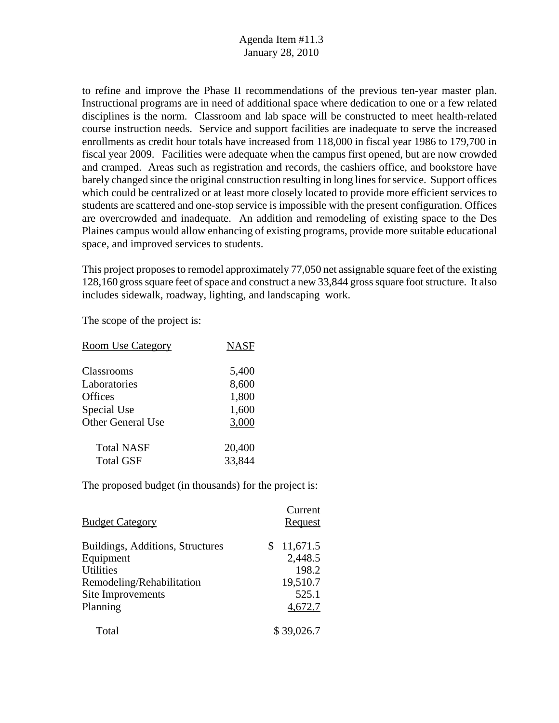to refine and improve the Phase II recommendations of the previous ten-year master plan. Instructional programs are in need of additional space where dedication to one or a few related disciplines is the norm. Classroom and lab space will be constructed to meet health-related course instruction needs. Service and support facilities are inadequate to serve the increased enrollments as credit hour totals have increased from 118,000 in fiscal year 1986 to 179,700 in fiscal year 2009. Facilities were adequate when the campus first opened, but are now crowded and cramped. Areas such as registration and records, the cashiers office, and bookstore have barely changed since the original construction resulting in long lines for service. Support offices which could be centralized or at least more closely located to provide more efficient services to students are scattered and one-stop service is impossible with the present configuration. Offices are overcrowded and inadequate. An addition and remodeling of existing space to the Des Plaines campus would allow enhancing of existing programs, provide more suitable educational space, and improved services to students.

This project proposes to remodel approximately 77,050 net assignable square feet of the existing 128,160 gross square feet of space and construct a new 33,844 gross square foot structure. It also includes sidewalk, roadway, lighting, and landscaping work.

The scope of the project is:

| <b>Room Use Category</b> | <b>NASF</b> |
|--------------------------|-------------|
| Classrooms               | 5,400       |
| Laboratories             | 8,600       |
| <b>Offices</b>           | 1,800       |
| Special Use              | 1,600       |
| <b>Other General Use</b> | 3,000       |
| <b>Total NASF</b>        | 20,400      |
| <b>Total GSF</b>         | 33,844      |

| <b>Budget Category</b>           | Current<br>Request |
|----------------------------------|--------------------|
| Buildings, Additions, Structures | 11,671.5<br>S.     |
| Equipment                        | 2,448.5            |
| <b>Utilities</b>                 | 198.2              |
| Remodeling/Rehabilitation        | 19,510.7           |
| Site Improvements                | 525.1              |
| Planning                         | 4,672.7            |
| Total                            | \$39,026.7         |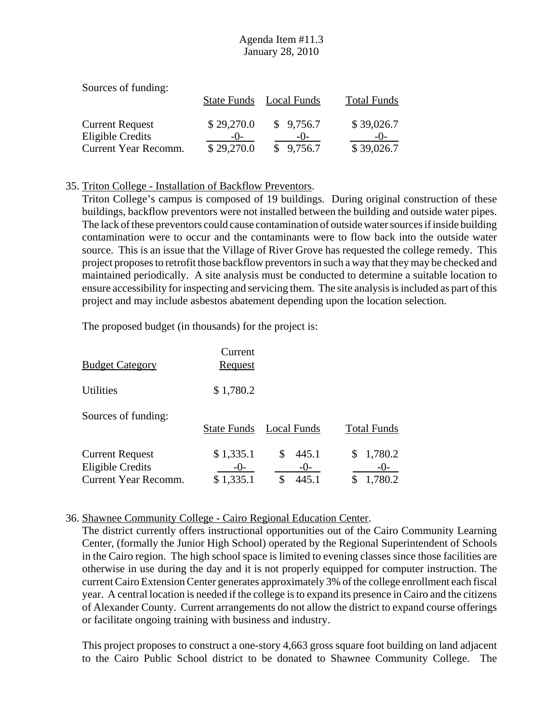| Sources of funding:    |            |                         |                    |
|------------------------|------------|-------------------------|--------------------|
|                        |            | State Funds Local Funds | <b>Total Funds</b> |
| <b>Current Request</b> | \$29,270.0 | \$9,756.7               | \$39,026.7         |
| Eligible Credits       | $-()$      | $-()$                   | $-()$ -            |
| Current Year Recomm.   | \$29,270.0 | \$9,756.7               | \$39,026.7         |

#### 35. Triton College - Installation of Backflow Preventors.

Triton College's campus is composed of 19 buildings. During original construction of these buildings, backflow preventors were not installed between the building and outside water pipes. The lack of these preventors could cause contamination of outside water sources if inside building contamination were to occur and the contaminants were to flow back into the outside water source. This is an issue that the Village of River Grove has requested the college remedy. This project proposes to retrofit those backflow preventors in such a way that they may be checked and maintained periodically. A site analysis must be conducted to determine a suitable location to ensure accessibility for inspecting and servicing them. The site analysis is included as part of this project and may include asbestos abatement depending upon the location selection.

The proposed budget (in thousands) for the project is:

| <b>Budget Category</b>                                                    | Current<br>Request              |                               |                             |
|---------------------------------------------------------------------------|---------------------------------|-------------------------------|-----------------------------|
| <b>Utilities</b>                                                          | \$1,780.2                       |                               |                             |
| Sources of funding:                                                       | <b>State Funds</b>              | Local Funds                   | <b>Total Funds</b>          |
| <b>Current Request</b><br><b>Eligible Credits</b><br>Current Year Recomm. | \$1,335.1<br>$-()$<br>\$1,335.1 | \$<br>445.1<br>$-()$<br>445.1 | 1,780.2<br>$-()$<br>1,780.2 |

#### 36. Shawnee Community College - Cairo Regional Education Center.

The district currently offers instructional opportunities out of the Cairo Community Learning Center, (formally the Junior High School) operated by the Regional Superintendent of Schools in the Cairo region. The high school space is limited to evening classes since those facilities are otherwise in use during the day and it is not properly equipped for computer instruction. The current Cairo Extension Center generates approximately 3% of the college enrollment each fiscal year. A central location is needed if the college is to expand its presence in Cairo and the citizens of Alexander County. Current arrangements do not allow the district to expand course offerings or facilitate ongoing training with business and industry.

This project proposes to construct a one-story 4,663 gross square foot building on land adjacent to the Cairo Public School district to be donated to Shawnee Community College. The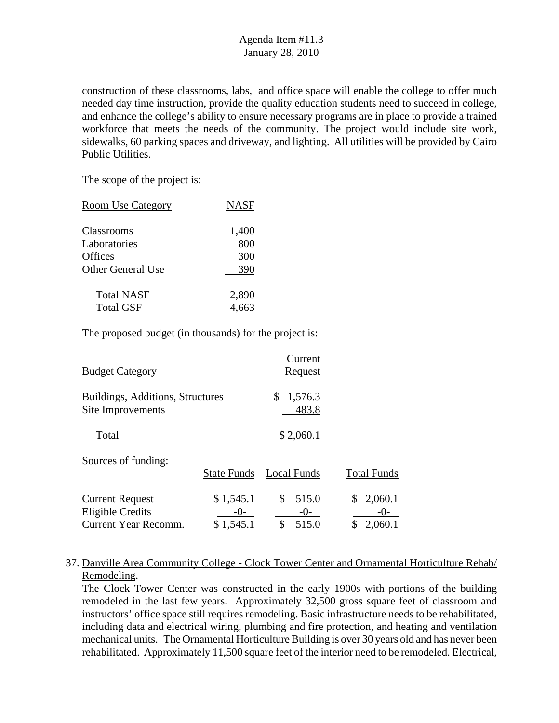construction of these classrooms, labs, and office space will enable the college to offer much needed day time instruction, provide the quality education students need to succeed in college, and enhance the college's ability to ensure necessary programs are in place to provide a trained workforce that meets the needs of the community. The project would include site work, sidewalks, 60 parking spaces and driveway, and lighting. All utilities will be provided by Cairo Public Utilities.

The scope of the project is:

| <b>Room Use Category</b> | <b>NASF</b> |
|--------------------------|-------------|
| Classrooms               | 1,400       |
| Laboratories             | 800         |
| Offices                  | 300         |
| Other General Use        | 390         |
| <b>Total NASF</b>        | 2,890       |
| <b>Total GSF</b>         | 4,663       |

The proposed budget (in thousands) for the project is:

| <b>Budget Category</b>                                                    |                                 | Current<br>Request                  |                                   |
|---------------------------------------------------------------------------|---------------------------------|-------------------------------------|-----------------------------------|
| Buildings, Additions, Structures<br>Site Improvements                     |                                 | 1,576.3<br>\$<br>483.8              |                                   |
| Total                                                                     |                                 | \$2,060.1                           |                                   |
| Sources of funding:                                                       | <b>State Funds</b>              | Local Funds                         | <b>Total Funds</b>                |
| <b>Current Request</b><br><b>Eligible Credits</b><br>Current Year Recomm. | \$1,545.1<br>$-0-$<br>\$1,545.1 | \$<br>515.0<br>$-()$<br>\$<br>515.0 | 2,060.1<br>\$<br>-( )-<br>2,060.1 |

## 37. Danville Area Community College - Clock Tower Center and Ornamental Horticulture Rehab/ Remodeling.

The Clock Tower Center was constructed in the early 1900s with portions of the building remodeled in the last few years. Approximately 32,500 gross square feet of classroom and instructors' office space still requires remodeling. Basic infrastructure needs to be rehabilitated, including data and electrical wiring, plumbing and fire protection, and heating and ventilation mechanical units. The Ornamental Horticulture Building is over 30 years old and has never been rehabilitated. Approximately 11,500 square feet of the interior need to be remodeled. Electrical,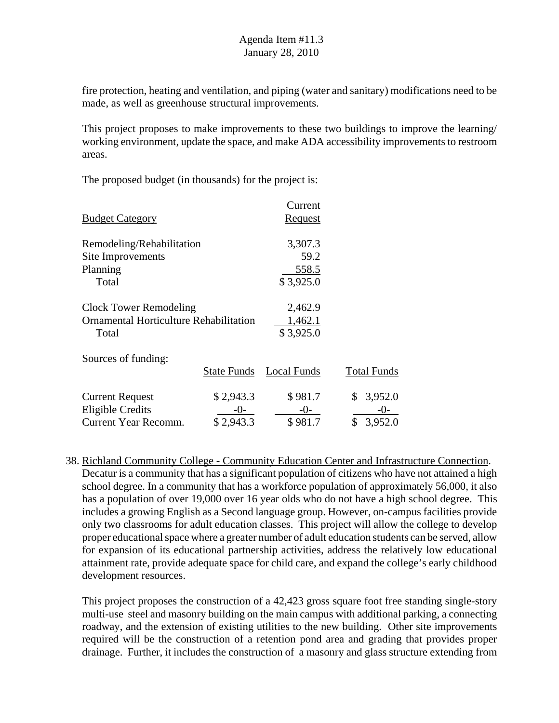fire protection, heating and ventilation, and piping (water and sanitary) modifications need to be made, as well as greenhouse structural improvements.

This project proposes to make improvements to these two buildings to improve the learning/ working environment, update the space, and make ADA accessibility improvements to restroom areas.

The proposed budget (in thousands) for the project is:

|                                        |                    | Current        |                    |
|----------------------------------------|--------------------|----------------|--------------------|
| <b>Budget Category</b>                 |                    | <b>Request</b> |                    |
| Remodeling/Rehabilitation              |                    | 3,307.3        |                    |
| Site Improvements                      |                    | 59.2           |                    |
| Planning                               |                    | 558.5          |                    |
| Total                                  |                    | \$3,925.0      |                    |
| Clock Tower Remodeling                 |                    | 2,462.9        |                    |
| Ornamental Horticulture Rehabilitation |                    | 1,462.1        |                    |
| Total                                  |                    | \$3,925.0      |                    |
| Sources of funding:                    |                    |                |                    |
|                                        | <b>State Funds</b> | Local Funds    | <b>Total Funds</b> |
| <b>Current Request</b>                 | \$2,943.3          | \$981.7        | 3,952.0<br>\$      |
| <b>Eligible Credits</b>                | -0-                | $-0-$          | -( )-              |
| <b>Current Year Recomm.</b>            | \$2,943.3          | \$981.7        | \$<br>3,952.0      |

38. Richland Community College - Community Education Center and Infrastructure Connection. Decatur is a community that has a significant population of citizens who have not attained a high school degree. In a community that has a workforce population of approximately 56,000, it also has a population of over 19,000 over 16 year olds who do not have a high school degree. This includes a growing English as a Second language group. However, on-campus facilities provide only two classrooms for adult education classes. This project will allow the college to develop proper educational space where a greater number of adult education students can be served, allow for expansion of its educational partnership activities, address the relatively low educational attainment rate, provide adequate space for child care, and expand the college's early childhood development resources.

This project proposes the construction of a 42,423 gross square foot free standing single-story multi-use steel and masonry building on the main campus with additional parking, a connecting roadway, and the extension of existing utilities to the new building. Other site improvements required will be the construction of a retention pond area and grading that provides proper drainage. Further, it includes the construction of a masonry and glass structure extending from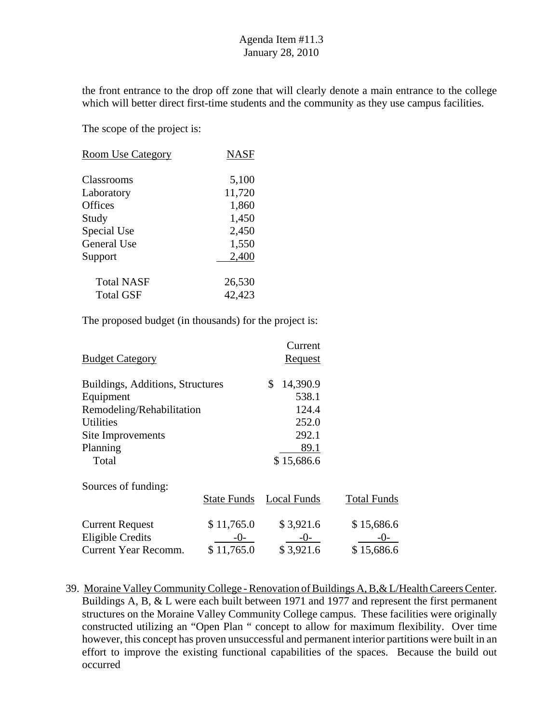the front entrance to the drop off zone that will clearly denote a main entrance to the college which will better direct first-time students and the community as they use campus facilities.

The scope of the project is:

| <b>Room Use Category</b> | <b>NASF</b> |
|--------------------------|-------------|
| Classrooms               | 5,100       |
| Laboratory               | 11,720      |
| <b>Offices</b>           | 1,860       |
| Study                    | 1,450       |
| Special Use              | 2,450       |
| <b>General Use</b>       | 1,550       |
| Support                  | 2,400       |
| <b>Total NASF</b>        | 26,530      |
| Total GSF                | 42,423      |

The proposed budget (in thousands) for the project is:

|                                  |                    | Current        |                    |
|----------------------------------|--------------------|----------------|--------------------|
| <b>Budget Category</b>           |                    | <b>Request</b> |                    |
| Buildings, Additions, Structures |                    | \$<br>14,390.9 |                    |
| Equipment                        |                    | 538.1          |                    |
| Remodeling/Rehabilitation        |                    | 124.4          |                    |
| <b>Utilities</b>                 |                    | 252.0          |                    |
| Site Improvements                |                    | 292.1          |                    |
| Planning                         |                    | 89.1           |                    |
| Total                            |                    | \$15,686.6     |                    |
| Sources of funding:              |                    |                |                    |
|                                  | <b>State Funds</b> | Local Funds    | <b>Total Funds</b> |
| <b>Current Request</b>           | \$11,765.0         | \$3,921.6      | \$15,686.6         |
| <b>Eligible Credits</b>          | -0-                | $-0-$          | -()-               |
| <b>Current Year Recomm.</b>      | \$11,765.0         | \$3,921.6      | \$15,686.6         |
|                                  |                    |                |                    |

39. Moraine Valley Community College - Renovation of Buildings A, B,& L/Health Careers Center. Buildings A, B, & L were each built between 1971 and 1977 and represent the first permanent structures on the Moraine Valley Community College campus. These facilities were originally constructed utilizing an "Open Plan " concept to allow for maximum flexibility. Over time however, this concept has proven unsuccessful and permanent interior partitions were built in an effort to improve the existing functional capabilities of the spaces. Because the build out occurred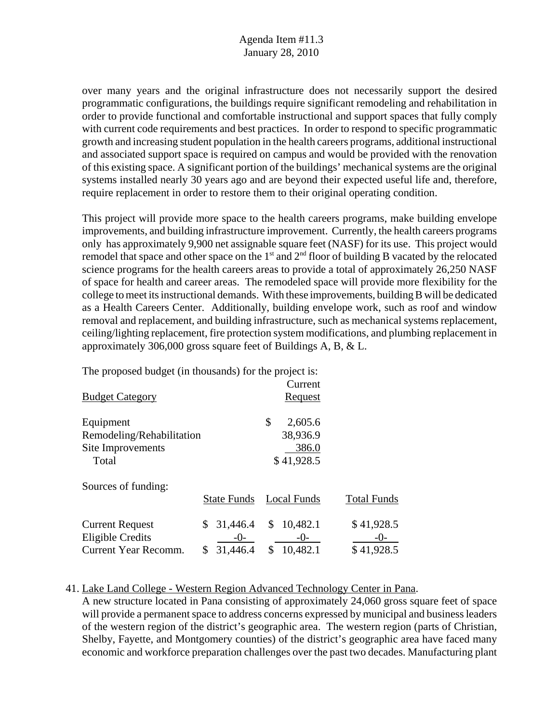over many years and the original infrastructure does not necessarily support the desired programmatic configurations, the buildings require significant remodeling and rehabilitation in order to provide functional and comfortable instructional and support spaces that fully comply with current code requirements and best practices. In order to respond to specific programmatic growth and increasing student population in the health careers programs, additional instructional and associated support space is required on campus and would be provided with the renovation of this existing space. A significant portion of the buildings' mechanical systems are the original systems installed nearly 30 years ago and are beyond their expected useful life and, therefore, require replacement in order to restore them to their original operating condition.

This project will provide more space to the health careers programs, make building envelope improvements, and building infrastructure improvement. Currently, the health careers programs only has approximately 9,900 net assignable square feet (NASF) for its use. This project would remodel that space and other space on the  $1<sup>st</sup>$  and  $2<sup>nd</sup>$  floor of building B vacated by the relocated science programs for the health careers areas to provide a total of approximately 26,250 NASF of space for health and career areas. The remodeled space will provide more flexibility for the college to meet its instructional demands. With these improvements, building B will be dedicated as a Health Careers Center. Additionally, building envelope work, such as roof and window removal and replacement, and building infrastructure, such as mechanical systems replacement, ceiling/lighting replacement, fire protection system modifications, and plumbing replacement in approximately 306,000 gross square feet of Buildings A, B, & L.

The proposed budget (in thousands) for the project is:

| <b>Budget Category</b>                                                    |                                             | Current<br>Request                          |                                   |
|---------------------------------------------------------------------------|---------------------------------------------|---------------------------------------------|-----------------------------------|
| Equipment<br>Remodeling/Rehabilitation<br>Site Improvements               |                                             | \$<br>2,605.6<br>38,936.9<br>386.0          |                                   |
| Total                                                                     |                                             | \$41,928.5                                  |                                   |
| Sources of funding:                                                       | State Funds                                 | <b>Local Funds</b>                          | <b>Total Funds</b>                |
| <b>Current Request</b><br><b>Eligible Credits</b><br>Current Year Recomm. | 31,446.4<br>\$<br>$-()$ -<br>31,446.4<br>\$ | 10,482.1<br>\$<br>$-()$ -<br>10,482.1<br>\$ | \$41,928.5<br>$-()$<br>\$41,928.5 |

#### 41. Lake Land College - Western Region Advanced Technology Center in Pana.

A new structure located in Pana consisting of approximately 24,060 gross square feet of space will provide a permanent space to address concerns expressed by municipal and business leaders of the western region of the district's geographic area. The western region (parts of Christian, Shelby, Fayette, and Montgomery counties) of the district's geographic area have faced many economic and workforce preparation challenges over the past two decades. Manufacturing plant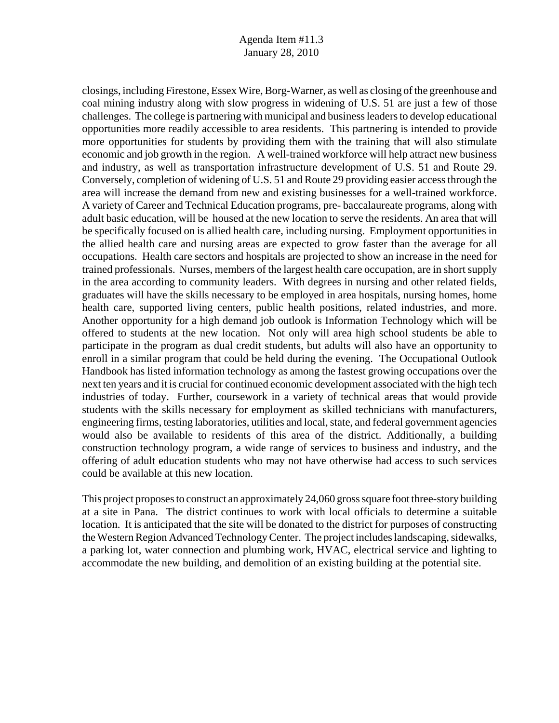closings, including Firestone, Essex Wire, Borg-Warner, as well as closing of the greenhouse and coal mining industry along with slow progress in widening of U.S. 51 are just a few of those challenges. The college is partnering with municipal and business leaders to develop educational opportunities more readily accessible to area residents. This partnering is intended to provide more opportunities for students by providing them with the training that will also stimulate economic and job growth in the region. A well-trained workforce will help attract new business and industry, as well as transportation infrastructure development of U.S. 51 and Route 29. Conversely, completion of widening of U.S. 51 and Route 29 providing easier access through the area will increase the demand from new and existing businesses for a well-trained workforce. A variety of Career and Technical Education programs, pre- baccalaureate programs, along with adult basic education, will be housed at the new location to serve the residents. An area that will be specifically focused on is allied health care, including nursing. Employment opportunities in the allied health care and nursing areas are expected to grow faster than the average for all occupations. Health care sectors and hospitals are projected to show an increase in the need for trained professionals. Nurses, members of the largest health care occupation, are in short supply in the area according to community leaders. With degrees in nursing and other related fields, graduates will have the skills necessary to be employed in area hospitals, nursing homes, home health care, supported living centers, public health positions, related industries, and more. Another opportunity for a high demand job outlook is Information Technology which will be offered to students at the new location. Not only will area high school students be able to participate in the program as dual credit students, but adults will also have an opportunity to enroll in a similar program that could be held during the evening. The Occupational Outlook Handbook has listed information technology as among the fastest growing occupations over the next ten years and it is crucial for continued economic development associated with the high tech industries of today. Further, coursework in a variety of technical areas that would provide students with the skills necessary for employment as skilled technicians with manufacturers, engineering firms, testing laboratories, utilities and local, state, and federal government agencies would also be available to residents of this area of the district. Additionally, a building construction technology program, a wide range of services to business and industry, and the offering of adult education students who may not have otherwise had access to such services could be available at this new location.

This project proposes to construct an approximately 24,060 gross square foot three-story building at a site in Pana. The district continues to work with local officials to determine a suitable location. It is anticipated that the site will be donated to the district for purposes of constructing the Western Region Advanced Technology Center. The project includes landscaping, sidewalks, a parking lot, water connection and plumbing work, HVAC, electrical service and lighting to accommodate the new building, and demolition of an existing building at the potential site.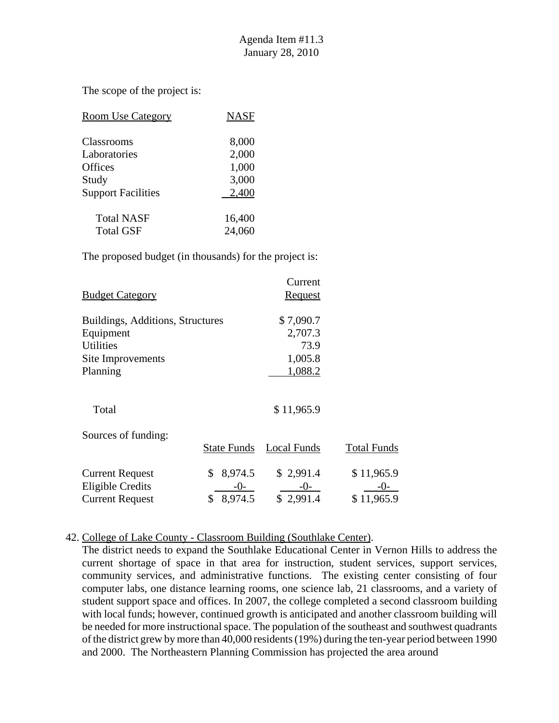The scope of the project is:

| <b>Room Use Category</b>  | <b>NASF</b> |
|---------------------------|-------------|
| <b>Classrooms</b>         | 8,000       |
| Laboratories              | 2,000       |
| <b>Offices</b>            | 1,000       |
| Study                     | 3,000       |
| <b>Support Facilities</b> | 2,400       |
| <b>Total NASF</b>         | 16,400      |
| <b>Total GSF</b>          | 24,060      |

The proposed budget (in thousands) for the project is:

|                                  |                    | Current        |                    |
|----------------------------------|--------------------|----------------|--------------------|
| <b>Budget Category</b>           |                    | <u>Request</u> |                    |
| Buildings, Additions, Structures |                    | \$7,090.7      |                    |
| Equipment                        |                    | 2,707.3        |                    |
| <b>Utilities</b>                 |                    | 73.9           |                    |
| Site Improvements                |                    | 1,005.8        |                    |
| Planning                         |                    | 1,088.2        |                    |
|                                  |                    |                |                    |
| Total                            |                    | \$11,965.9     |                    |
| Sources of funding:              |                    |                |                    |
|                                  | <b>State Funds</b> | Local Funds    | <b>Total Funds</b> |
| <b>Current Request</b>           | \$<br>8,974.5      | \$2,991.4      | \$11,965.9         |
| <b>Eligible Credits</b>          | $-()$              | $-()$          | -( )-              |
| <b>Current Request</b>           | 8,974.5            | \$2,991.4      | \$11,965.9         |

#### 42. College of Lake County - Classroom Building (Southlake Center).

The district needs to expand the Southlake Educational Center in Vernon Hills to address the current shortage of space in that area for instruction, student services, support services, community services, and administrative functions. The existing center consisting of four computer labs, one distance learning rooms, one science lab, 21 classrooms, and a variety of student support space and offices. In 2007, the college completed a second classroom building with local funds; however, continued growth is anticipated and another classroom building will be needed for more instructional space. The population of the southeast and southwest quadrants of the district grew by more than 40,000 residents (19%) during the ten-year period between 1990 and 2000. The Northeastern Planning Commission has projected the area around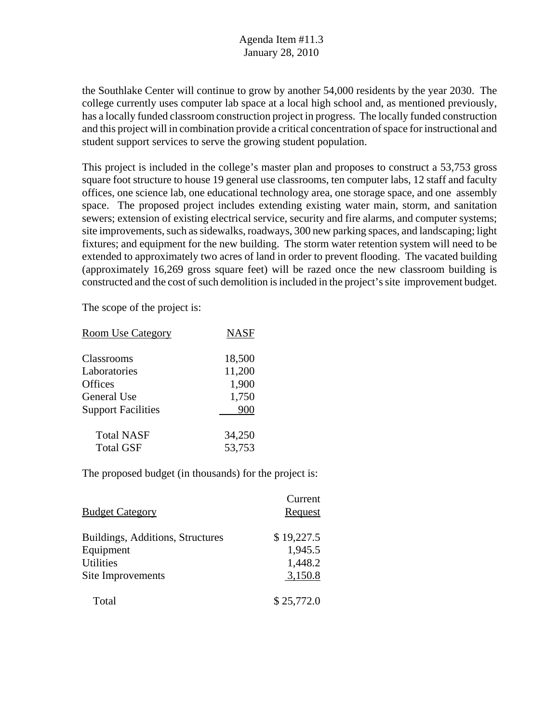the Southlake Center will continue to grow by another 54,000 residents by the year 2030. The college currently uses computer lab space at a local high school and, as mentioned previously, has a locally funded classroom construction project in progress. The locally funded construction and this project will in combination provide a critical concentration of space for instructional and student support services to serve the growing student population.

This project is included in the college's master plan and proposes to construct a 53,753 gross square foot structure to house 19 general use classrooms, ten computer labs, 12 staff and faculty offices, one science lab, one educational technology area, one storage space, and one assembly space. The proposed project includes extending existing water main, storm, and sanitation sewers; extension of existing electrical service, security and fire alarms, and computer systems; site improvements, such as sidewalks, roadways, 300 new parking spaces, and landscaping; light fixtures; and equipment for the new building. The storm water retention system will need to be extended to approximately two acres of land in order to prevent flooding. The vacated building (approximately 16,269 gross square feet) will be razed once the new classroom building is constructed and the cost of such demolition is included in the project's site improvement budget.

The scope of the project is:

| <b>Room Use Category</b>  | <b>NASF</b> |
|---------------------------|-------------|
| Classrooms                | 18,500      |
| Laboratories              | 11,200      |
| <b>Offices</b>            | 1,900       |
| <b>General Use</b>        | 1,750       |
| <b>Support Facilities</b> | 900         |
| <b>Total NASF</b>         | 34,250      |
| <b>Total GSF</b>          | 53,753      |

| <b>Budget Category</b>                                                                 | Current<br>Request                          |
|----------------------------------------------------------------------------------------|---------------------------------------------|
| Buildings, Additions, Structures<br>Equipment<br><b>Utilities</b><br>Site Improvements | \$19,227.5<br>1,945.5<br>1,448.2<br>3,150.8 |
| Total                                                                                  | \$25,772.0                                  |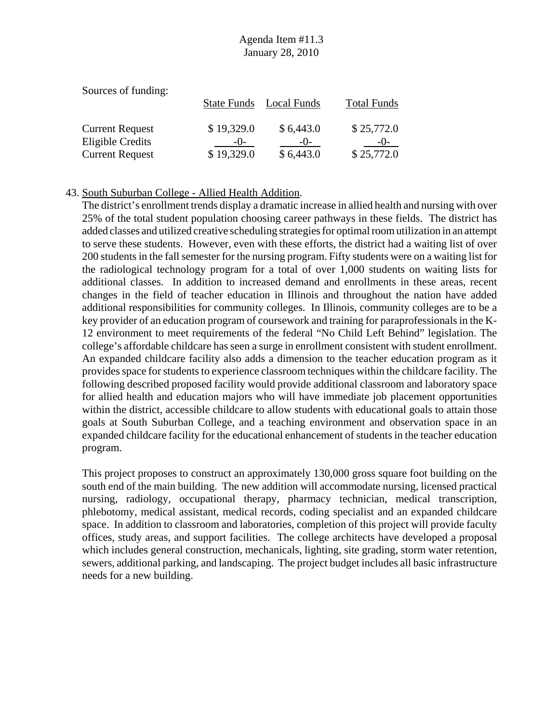| Sources of funding:    |                    |             |                    |
|------------------------|--------------------|-------------|--------------------|
|                        | <b>State Funds</b> | Local Funds | <b>Total Funds</b> |
|                        |                    |             |                    |
| <b>Current Request</b> | \$19,329.0         | \$6,443.0   | \$25,772.0         |
| Eligible Credits       | $-()$              | $-()$       | $-()$              |
| <b>Current Request</b> | \$19,329.0         | \$6,443.0   | \$25,772.0         |

#### 43. South Suburban College - Allied Health Addition.

The district's enrollment trends display a dramatic increase in allied health and nursing with over 25% of the total student population choosing career pathways in these fields. The district has added classes and utilized creative scheduling strategies for optimal room utilization in an attempt to serve these students. However, even with these efforts, the district had a waiting list of over 200 students in the fall semester for the nursing program. Fifty students were on a waiting list for the radiological technology program for a total of over 1,000 students on waiting lists for additional classes. In addition to increased demand and enrollments in these areas, recent changes in the field of teacher education in Illinois and throughout the nation have added additional responsibilities for community colleges. In Illinois, community colleges are to be a key provider of an education program of coursework and training for paraprofessionals in the K-12 environment to meet requirements of the federal "No Child Left Behind" legislation. The college's affordable childcare has seen a surge in enrollment consistent with student enrollment. An expanded childcare facility also adds a dimension to the teacher education program as it provides space for students to experience classroom techniques within the childcare facility. The following described proposed facility would provide additional classroom and laboratory space for allied health and education majors who will have immediate job placement opportunities within the district, accessible childcare to allow students with educational goals to attain those goals at South Suburban College, and a teaching environment and observation space in an expanded childcare facility for the educational enhancement of students in the teacher education program.

This project proposes to construct an approximately 130,000 gross square foot building on the south end of the main building. The new addition will accommodate nursing, licensed practical nursing, radiology, occupational therapy, pharmacy technician, medical transcription, phlebotomy, medical assistant, medical records, coding specialist and an expanded childcare space. In addition to classroom and laboratories, completion of this project will provide faculty offices, study areas, and support facilities. The college architects have developed a proposal which includes general construction, mechanicals, lighting, site grading, storm water retention, sewers, additional parking, and landscaping. The project budget includes all basic infrastructure needs for a new building.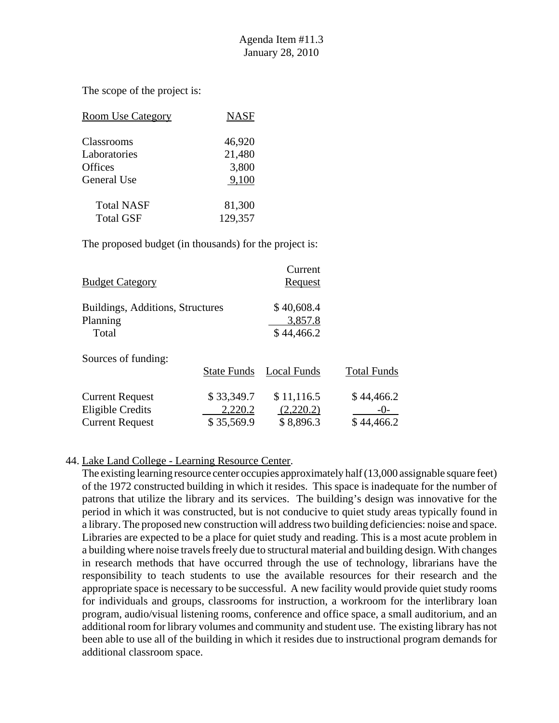The scope of the project is:

| <b>Room Use Category</b> | <b>NASF</b> |
|--------------------------|-------------|
| Classrooms               | 46,920      |
| Laboratories             | 21,480      |
| Offices                  | 3,800       |
| General Use              | 9,100       |
| <b>Total NASF</b>        | 81,300      |
| <b>Total GSF</b>         | 129,357     |

The proposed budget (in thousands) for the project is:

| <b>Budget Category</b>                                               |                                     | Current<br><b>Request</b>            |                                     |
|----------------------------------------------------------------------|-------------------------------------|--------------------------------------|-------------------------------------|
| Buildings, Additions, Structures<br>Planning<br>Total                |                                     | \$40,608.4<br>3,857.8<br>\$44,466.2  |                                     |
| Sources of funding:                                                  | <b>State Funds</b>                  | Local Funds                          | <b>Total Funds</b>                  |
| <b>Current Request</b><br>Eligible Credits<br><b>Current Request</b> | \$33,349.7<br>2,220.2<br>\$35,569.9 | \$11,116.5<br>(2,220.2)<br>\$8,896.3 | \$44,466.2<br>$-()$ -<br>\$44,466.2 |

### 44. Lake Land College - Learning Resource Center.

The existing learning resource center occupies approximately half (13,000 assignable square feet) of the 1972 constructed building in which it resides. This space is inadequate for the number of patrons that utilize the library and its services. The building's design was innovative for the period in which it was constructed, but is not conducive to quiet study areas typically found in a library. The proposed new construction will address two building deficiencies: noise and space. Libraries are expected to be a place for quiet study and reading. This is a most acute problem in a building where noise travels freely due to structural material and building design. With changes in research methods that have occurred through the use of technology, librarians have the responsibility to teach students to use the available resources for their research and the appropriate space is necessary to be successful. A new facility would provide quiet study rooms for individuals and groups, classrooms for instruction, a workroom for the interlibrary loan program, audio/visual listening rooms, conference and office space, a small auditorium, and an additional room for library volumes and community and student use. The existing library has not been able to use all of the building in which it resides due to instructional program demands for additional classroom space.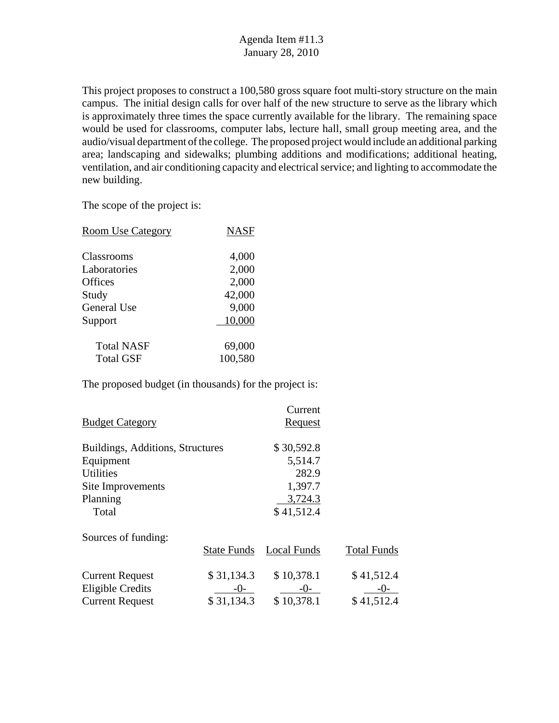This project proposes to construct a 100,580 gross square foot multi-story structure on the main campus. The initial design calls for over half of the new structure to serve as the library which is approximately three times the space currently available for the library. The remaining space would be used for classrooms, computer labs, lecture hall, small group meeting area, and the audio/visual department of the college. The proposed project would include an additional parking area; landscaping and sidewalks; plumbing additions and modifications; additional heating, ventilation, and air conditioning capacity and electrical service; and lighting to accommodate the new building.

The scope of the project is:

| <b>Room Use Category</b> | <b>NASF</b> |
|--------------------------|-------------|
| Classrooms               | 4,000       |
| Laboratories             | 2,000       |
| Offices                  | 2,000       |
| Study                    | 42,000      |
| <b>General Use</b>       | 9,000       |
| Support                  | 10,000      |
| <b>Total NASF</b>        | 69,000      |
| <b>Total GSF</b>         | 100,580     |

|                                  |                    | Current        |                    |
|----------------------------------|--------------------|----------------|--------------------|
| <b>Budget Category</b>           |                    | <b>Request</b> |                    |
| Buildings, Additions, Structures |                    | \$30,592.8     |                    |
| Equipment                        |                    | 5,514.7        |                    |
| <b>Utilities</b>                 |                    | 282.9          |                    |
| Site Improvements                |                    | 1,397.7        |                    |
| Planning                         |                    | 3,724.3        |                    |
| Total                            |                    | \$41,512.4     |                    |
| Sources of funding:              |                    |                |                    |
|                                  | <b>State Funds</b> | Local Funds    | <b>Total Funds</b> |
| <b>Current Request</b>           | \$31,134.3         | \$10,378.1     | \$41,512.4         |
| Eligible Credits                 | $-0-$              | $-()$          | $-()$              |
| <b>Current Request</b>           | \$31,134.3         | \$10,378.1     | \$41,512.4         |
|                                  |                    |                |                    |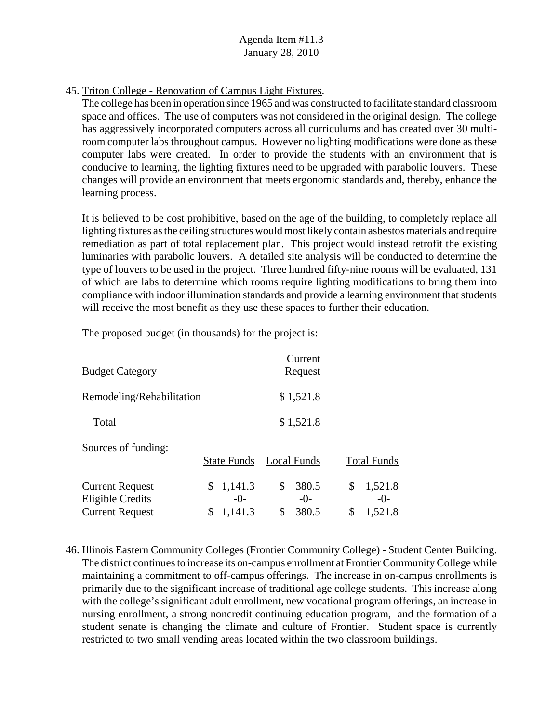45. Triton College - Renovation of Campus Light Fixtures.

The college has been in operation since 1965 and was constructed to facilitate standard classroom space and offices. The use of computers was not considered in the original design. The college has aggressively incorporated computers across all curriculums and has created over 30 multiroom computer labs throughout campus. However no lighting modifications were done as these computer labs were created. In order to provide the students with an environment that is conducive to learning, the lighting fixtures need to be upgraded with parabolic louvers. These changes will provide an environment that meets ergonomic standards and, thereby, enhance the learning process.

It is believed to be cost prohibitive, based on the age of the building, to completely replace all lighting fixtures as the ceiling structures would most likely contain asbestos materials and require remediation as part of total replacement plan. This project would instead retrofit the existing luminaries with parabolic louvers. A detailed site analysis will be conducted to determine the type of louvers to be used in the project. Three hundred fifty-nine rooms will be evaluated, 131 of which are labs to determine which rooms require lighting modifications to bring them into compliance with indoor illumination standards and provide a learning environment that students will receive the most benefit as they use these spaces to further their education.

The proposed budget (in thousands) for the project is:

| <b>Budget Category</b>                                                      |                                   | Current<br>Request                    |                                         |
|-----------------------------------------------------------------------------|-----------------------------------|---------------------------------------|-----------------------------------------|
| Remodeling/Rehabilitation                                                   |                                   | \$1,521.8                             |                                         |
| Total                                                                       |                                   | \$1,521.8                             |                                         |
| Sources of funding:                                                         | <b>State Funds</b>                | <b>Local Funds</b>                    | <b>Total Funds</b>                      |
| <b>Current Request</b><br><b>Eligible Credits</b><br><b>Current Request</b> | 1,141.3<br>\$<br>$-()$<br>1,141.3 | \$<br>380.5<br>$-()$ -<br>380.5<br>\$ | \$<br>1,521.8<br>$-()$<br>\$<br>1,521.8 |

46. Illinois Eastern Community Colleges (Frontier Community College) - Student Center Building. The district continues to increase its on-campus enrollment at Frontier Community College while maintaining a commitment to off-campus offerings. The increase in on-campus enrollments is primarily due to the significant increase of traditional age college students. This increase along with the college's significant adult enrollment, new vocational program offerings, an increase in nursing enrollment, a strong noncredit continuing education program, and the formation of a student senate is changing the climate and culture of Frontier. Student space is currently restricted to two small vending areas located within the two classroom buildings.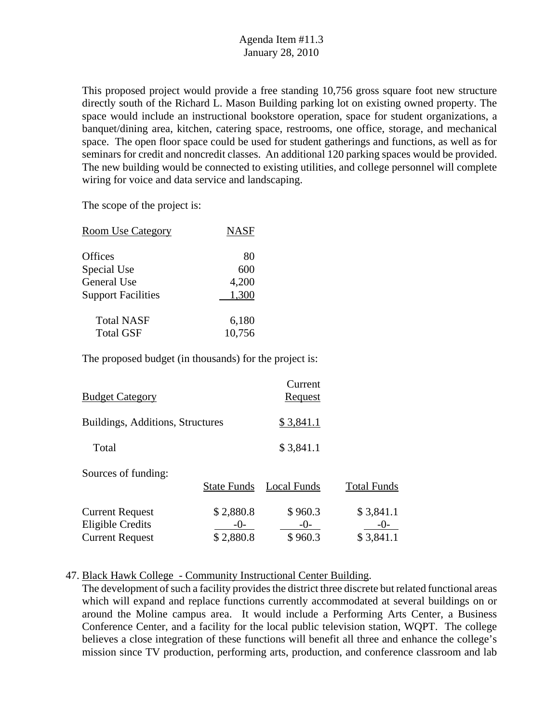This proposed project would provide a free standing 10,756 gross square foot new structure directly south of the Richard L. Mason Building parking lot on existing owned property. The space would include an instructional bookstore operation, space for student organizations, a banquet/dining area, kitchen, catering space, restrooms, one office, storage, and mechanical space. The open floor space could be used for student gatherings and functions, as well as for seminars for credit and noncredit classes. An additional 120 parking spaces would be provided. The new building would be connected to existing utilities, and college personnel will complete wiring for voice and data service and landscaping.

The scope of the project is:

| <b>Room Use Category</b>  | <b>NASF</b> |
|---------------------------|-------------|
| Offices                   | 80          |
| Special Use               | 600         |
| General Use               | 4,200       |
| <b>Support Facilities</b> | 1,300       |
| <b>Total NASF</b>         | 6,180       |
| <b>Total GSF</b>          | 10,756      |

The proposed budget (in thousands) for the project is:

| <b>Budget Category</b>                                               |                                 | Current<br><b>Request</b>   |                                 |
|----------------------------------------------------------------------|---------------------------------|-----------------------------|---------------------------------|
| Buildings, Additions, Structures                                     |                                 | \$3,841.1                   |                                 |
| Total                                                                |                                 | \$3,841.1                   |                                 |
| Sources of funding:                                                  | <b>State Funds</b>              | <b>Local Funds</b>          | <b>Total Funds</b>              |
| <b>Current Request</b><br>Eligible Credits<br><b>Current Request</b> | \$2,880.8<br>-( )-<br>\$2,880.8 | \$960.3<br>$-()$<br>\$960.3 | \$3,841.1<br>$-()$<br>\$3,841.1 |

47. Black Hawk College - Community Instructional Center Building.

The development of such a facility provides the district three discrete but related functional areas which will expand and replace functions currently accommodated at several buildings on or around the Moline campus area. It would include a Performing Arts Center, a Business Conference Center, and a facility for the local public television station, WQPT. The college believes a close integration of these functions will benefit all three and enhance the college's mission since TV production, performing arts, production, and conference classroom and lab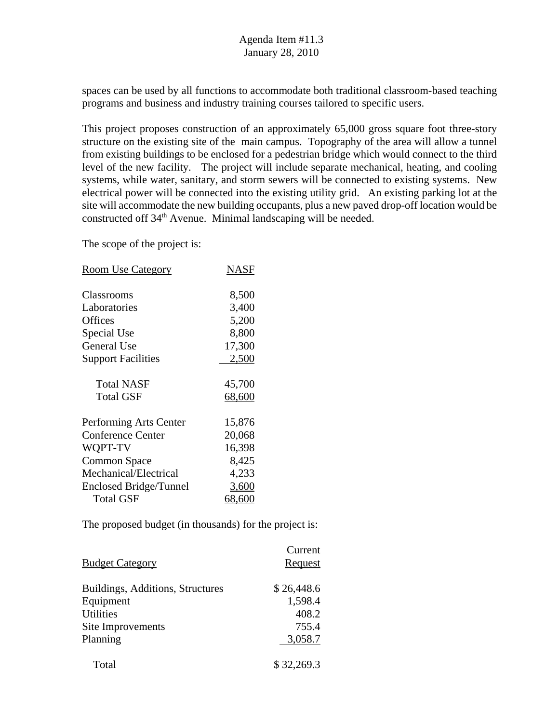spaces can be used by all functions to accommodate both traditional classroom-based teaching programs and business and industry training courses tailored to specific users.

This project proposes construction of an approximately 65,000 gross square foot three-story structure on the existing site of the main campus. Topography of the area will allow a tunnel from existing buildings to be enclosed for a pedestrian bridge which would connect to the third level of the new facility. The project will include separate mechanical, heating, and cooling systems, while water, sanitary, and storm sewers will be connected to existing systems. New electrical power will be connected into the existing utility grid. An existing parking lot at the site will accommodate the new building occupants, plus a new paved drop-off location would be constructed off  $34<sup>th</sup>$  Avenue. Minimal landscaping will be needed.

The scope of the project is:

| <b>Room Use Category</b>  | NASF   |
|---------------------------|--------|
| Classrooms                | 8,500  |
| Laboratories              | 3,400  |
| <b>Offices</b>            | 5,200  |
| Special Use               | 8,800  |
| <b>General Use</b>        | 17,300 |
| <b>Support Facilities</b> | 2,500  |
| <b>Total NASF</b>         | 45,700 |
| <b>Total GSF</b>          | 68,600 |
| Performing Arts Center    | 15,876 |
| <b>Conference Center</b>  | 20,068 |
| WQPT-TV                   | 16,398 |
| <b>Common Space</b>       | 8,425  |
| Mechanical/Electrical     | 4,233  |
| Enclosed Bridge/Tunnel    | 3,600  |
| <b>Total GSF</b>          | 68,600 |

|                                  | Current    |
|----------------------------------|------------|
| <b>Budget Category</b>           | Request    |
| Buildings, Additions, Structures | \$26,448.6 |
| Equipment                        | 1,598.4    |
| <b>Utilities</b>                 | 408.2      |
| Site Improvements                | 755.4      |
| Planning                         | 3,058.7    |
| Total                            | \$32,269.3 |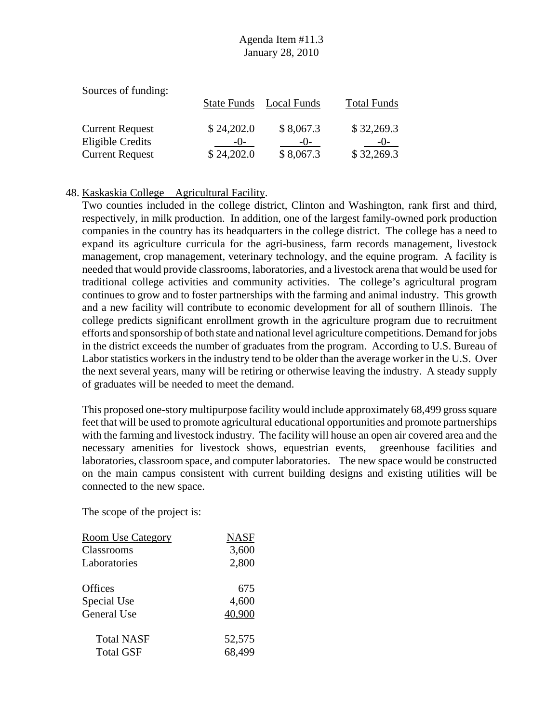| Sources of funding:    |                    |             |                    |
|------------------------|--------------------|-------------|--------------------|
|                        | <b>State Funds</b> | Local Funds | <b>Total Funds</b> |
| <b>Current Request</b> | \$24,202.0         | \$8,067.3   | \$32,269.3         |
| Eligible Credits       | $-()$ -            | $-()$       | -()-               |
| <b>Current Request</b> | \$24,202.0         | \$8,067.3   | \$32,269.3         |

#### 48. Kaskaskia College Agricultural Facility.

Two counties included in the college district, Clinton and Washington, rank first and third, respectively, in milk production. In addition, one of the largest family-owned pork production companies in the country has its headquarters in the college district. The college has a need to expand its agriculture curricula for the agri-business, farm records management, livestock management, crop management, veterinary technology, and the equine program. A facility is needed that would provide classrooms, laboratories, and a livestock arena that would be used for traditional college activities and community activities. The college's agricultural program continues to grow and to foster partnerships with the farming and animal industry. This growth and a new facility will contribute to economic development for all of southern Illinois. The college predicts significant enrollment growth in the agriculture program due to recruitment efforts and sponsorship of both state and national level agriculture competitions. Demand for jobs in the district exceeds the number of graduates from the program. According to U.S. Bureau of Labor statistics workers in the industry tend to be older than the average worker in the U.S. Over the next several years, many will be retiring or otherwise leaving the industry. A steady supply of graduates will be needed to meet the demand.

This proposed one-story multipurpose facility would include approximately 68,499 gross square feet that will be used to promote agricultural educational opportunities and promote partnerships with the farming and livestock industry. The facility will house an open air covered area and the necessary amenities for livestock shows, equestrian events, greenhouse facilities and laboratories, classroom space, and computer laboratories. The new space would be constructed on the main campus consistent with current building designs and existing utilities will be connected to the new space.

| <b>Room Use Category</b> | <b>NASF</b> |
|--------------------------|-------------|
| Classrooms               | 3,600       |
| Laboratories             | 2,800       |
| Offices                  | 675         |
| Special Use              | 4,600       |
| <b>General Use</b>       | 40,900      |
| <b>Total NASF</b>        | 52,575      |
| <b>Total GSF</b>         | 68,499      |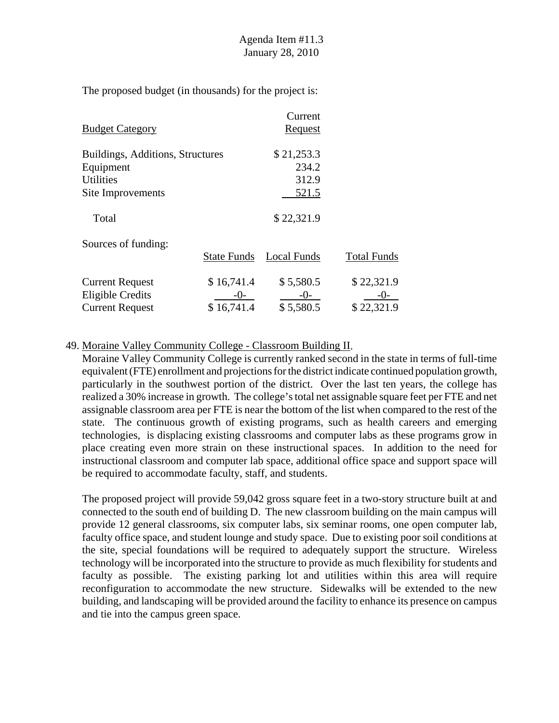|                                  |                    | Current        |                    |
|----------------------------------|--------------------|----------------|--------------------|
| <b>Budget Category</b>           |                    | <b>Request</b> |                    |
| Buildings, Additions, Structures |                    | \$21,253.3     |                    |
| Equipment                        |                    | 234.2          |                    |
| <b>Utilities</b>                 |                    | 312.9          |                    |
| Site Improvements                |                    | 521.5          |                    |
| Total                            |                    | \$22,321.9     |                    |
| Sources of funding:              |                    |                |                    |
|                                  | <b>State Funds</b> | Local Funds    | <b>Total Funds</b> |
| <b>Current Request</b>           | \$16,741.4         | \$5,580.5      | \$22,321.9         |
| Eligible Credits                 | $-()$ -            | $-0-$          | $-()$              |
| <b>Current Request</b>           | \$16,741.4         | \$5,580.5      | \$22,321.9         |

#### 49. Moraine Valley Community College - Classroom Building II.

Moraine Valley Community College is currently ranked second in the state in terms of full-time equivalent (FTE) enrollment and projections for the district indicate continued population growth, particularly in the southwest portion of the district. Over the last ten years, the college has realized a 30% increase in growth. The college's total net assignable square feet per FTE and net assignable classroom area per FTE is near the bottom of the list when compared to the rest of the state. The continuous growth of existing programs, such as health careers and emerging technologies, is displacing existing classrooms and computer labs as these programs grow in place creating even more strain on these instructional spaces. In addition to the need for instructional classroom and computer lab space, additional office space and support space will be required to accommodate faculty, staff, and students.

The proposed project will provide 59,042 gross square feet in a two-story structure built at and connected to the south end of building D. The new classroom building on the main campus will provide 12 general classrooms, six computer labs, six seminar rooms, one open computer lab, faculty office space, and student lounge and study space. Due to existing poor soil conditions at the site, special foundations will be required to adequately support the structure. Wireless technology will be incorporated into the structure to provide as much flexibility for students and faculty as possible. The existing parking lot and utilities within this area will require reconfiguration to accommodate the new structure. Sidewalks will be extended to the new building, and landscaping will be provided around the facility to enhance its presence on campus and tie into the campus green space.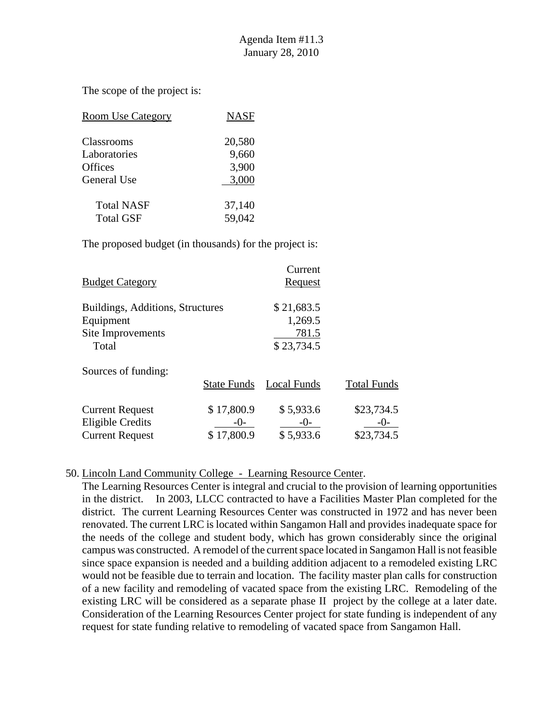The scope of the project is:

| <b>Room Use Category</b> | <b>NASF</b> |
|--------------------------|-------------|
| Classrooms               | 20,580      |
| Laboratories             | 9,660       |
| <b>Offices</b>           | 3,900       |
| <b>General Use</b>       | 3,000       |
| <b>Total NASF</b>        | 37,140      |
| <b>Total GSF</b>         | 59,042      |

The proposed budget (in thousands) for the project is:

| <b>Budget Category</b>           |                    | Current<br>Request |                    |
|----------------------------------|--------------------|--------------------|--------------------|
| Buildings, Additions, Structures |                    | \$21,683.5         |                    |
| Equipment                        |                    | 1,269.5            |                    |
| Site Improvements                |                    | 781.5              |                    |
| Total                            |                    | \$23,734.5         |                    |
| Sources of funding:              |                    |                    |                    |
|                                  | <b>State Funds</b> | Local Funds        | <b>Total Funds</b> |
| <b>Current Request</b>           | \$17,800.9         | \$5,933.6          | \$23,734.5         |
| <b>Eligible Credits</b>          | $-()$ -            | $-()$              | $-()$ -            |
| <b>Current Request</b>           | \$17,800.9         | \$5,933.6          | \$23,734.5         |

#### 50. Lincoln Land Community College - Learning Resource Center.

The Learning Resources Center is integral and crucial to the provision of learning opportunities in the district. In 2003, LLCC contracted to have a Facilities Master Plan completed for the district. The current Learning Resources Center was constructed in 1972 and has never been renovated. The current LRC is located within Sangamon Hall and provides inadequate space for the needs of the college and student body, which has grown considerably since the original campus was constructed. A remodel of the current space located in Sangamon Hall is not feasible since space expansion is needed and a building addition adjacent to a remodeled existing LRC would not be feasible due to terrain and location. The facility master plan calls for construction of a new facility and remodeling of vacated space from the existing LRC. Remodeling of the existing LRC will be considered as a separate phase II project by the college at a later date. Consideration of the Learning Resources Center project for state funding is independent of any request for state funding relative to remodeling of vacated space from Sangamon Hall.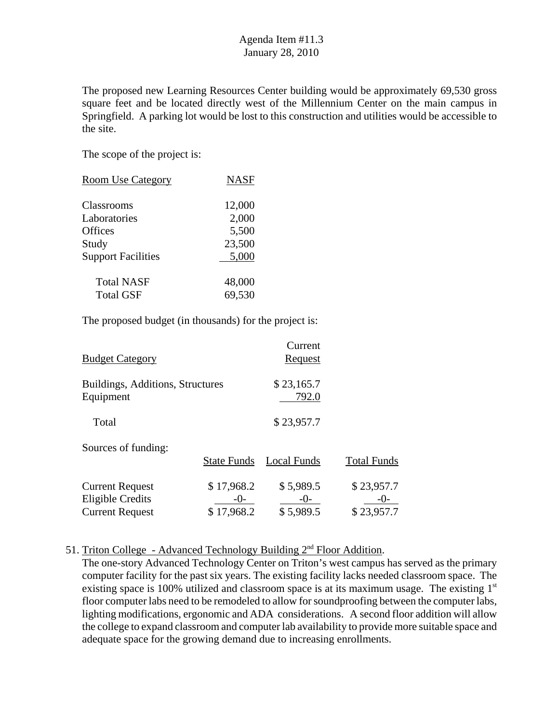The proposed new Learning Resources Center building would be approximately 69,530 gross square feet and be located directly west of the Millennium Center on the main campus in Springfield. A parking lot would be lost to this construction and utilities would be accessible to the site.

The scope of the project is:

| <b>Room Use Category</b>  | <b>NASF</b> |
|---------------------------|-------------|
| <b>Classrooms</b>         | 12,000      |
| Laboratories              | 2,000       |
| <b>Offices</b>            | 5,500       |
| Study                     | 23,500      |
| <b>Support Facilities</b> | 5,000       |
| <b>Total NASF</b>         | 48,000      |
| <b>Total GSF</b>          | 69,530      |

The proposed budget (in thousands) for the project is:

| <b>Budget Category</b>                                                      |                                     | Current<br>Request                |                                   |
|-----------------------------------------------------------------------------|-------------------------------------|-----------------------------------|-----------------------------------|
| Buildings, Additions, Structures<br>Equipment                               |                                     | \$23,165.7<br>792.0               |                                   |
| Total                                                                       |                                     | \$23,957.7                        |                                   |
| Sources of funding:                                                         | <b>State Funds</b>                  | Local Funds                       | <b>Total Funds</b>                |
| <b>Current Request</b><br><b>Eligible Credits</b><br><b>Current Request</b> | \$17,968.2<br>$-()$ -<br>\$17,968.2 | \$5,989.5<br>$-()$ -<br>\$5,989.5 | \$23,957.7<br>$-()$<br>\$23,957.7 |

51. Triton College - Advanced Technology Building 2nd Floor Addition.

The one-story Advanced Technology Center on Triton's west campus has served as the primary computer facility for the past six years. The existing facility lacks needed classroom space. The existing space is 100% utilized and classroom space is at its maximum usage. The existing  $1<sup>st</sup>$ floor computer labs need to be remodeled to allow for soundproofing between the computer labs, lighting modifications, ergonomic and ADA considerations. A second floor addition will allow the college to expand classroom and computer lab availability to provide more suitable space and adequate space for the growing demand due to increasing enrollments.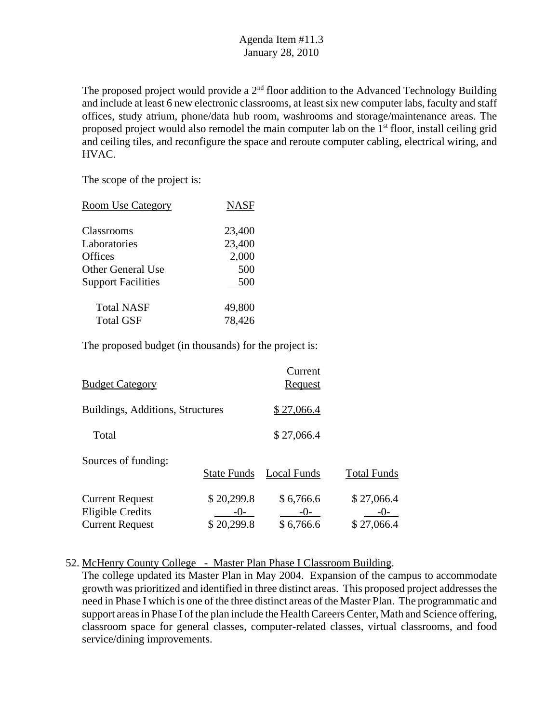The proposed project would provide a  $2<sup>nd</sup>$  floor addition to the Advanced Technology Building and include at least 6 new electronic classrooms, at least six new computer labs, faculty and staff offices, study atrium, phone/data hub room, washrooms and storage/maintenance areas. The proposed project would also remodel the main computer lab on the  $1<sup>st</sup>$  floor, install ceiling grid and ceiling tiles, and reconfigure the space and reroute computer cabling, electrical wiring, and HVAC.

The scope of the project is:

| <b>Room Use Category</b>  | <b>NASF</b> |
|---------------------------|-------------|
| Classrooms                | 23,400      |
| Laboratories              | 23,400      |
| <b>Offices</b>            | 2,000       |
| Other General Use         | 500         |
| <b>Support Facilities</b> | 500         |
| <b>Total NASF</b>         | 49,800      |
| <b>Total GSF</b>          | 78,426      |
|                           |             |

The proposed budget (in thousands) for the project is:

| <b>Budget Category</b>                                                      |                                  | Current<br><u>Request</u>       |                          |
|-----------------------------------------------------------------------------|----------------------------------|---------------------------------|--------------------------|
| Buildings, Additions, Structures                                            |                                  | \$27,066.4                      |                          |
| Total                                                                       |                                  | \$27,066.4                      |                          |
| Sources of funding:                                                         | <b>State Funds</b>               | Local Funds                     | <b>Total Funds</b>       |
| <b>Current Request</b><br><b>Eligible Credits</b><br><b>Current Request</b> | \$20,299.8<br>-()-<br>\$20,299.8 | \$6,766.6<br>$-()$<br>\$6,766.6 | \$27,066.4<br>\$27,066.4 |

52. McHenry County College - Master Plan Phase I Classroom Building.

The college updated its Master Plan in May 2004. Expansion of the campus to accommodate growth was prioritized and identified in three distinct areas. This proposed project addresses the need in Phase I which is one of the three distinct areas of the Master Plan. The programmatic and support areas in Phase I of the plan include the Health Careers Center, Math and Science offering, classroom space for general classes, computer-related classes, virtual classrooms, and food service/dining improvements.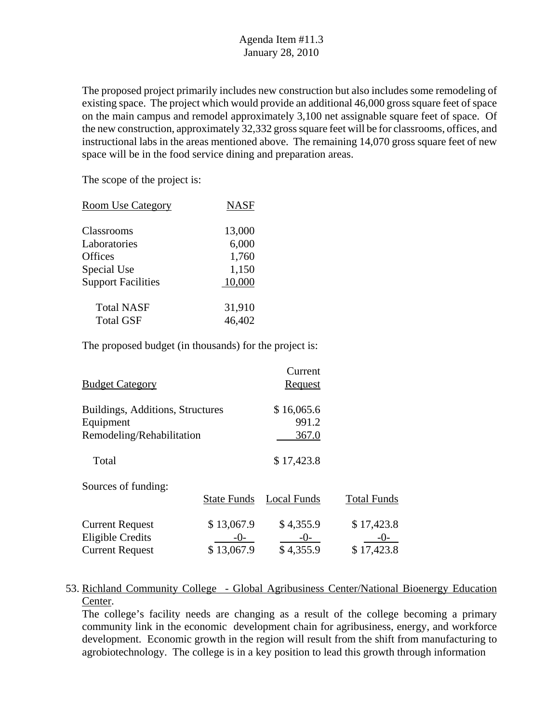The proposed project primarily includes new construction but also includes some remodeling of existing space. The project which would provide an additional 46,000 gross square feet of space on the main campus and remodel approximately 3,100 net assignable square feet of space. Of the new construction, approximately 32,332 gross square feet will be for classrooms, offices, and instructional labs in the areas mentioned above. The remaining 14,070 gross square feet of new space will be in the food service dining and preparation areas.

The scope of the project is:

| <b>Room Use Category</b>  | <b>NASF</b> |
|---------------------------|-------------|
| Classrooms                | 13,000      |
| Laboratories              | 6,000       |
| <b>Offices</b>            | 1,760       |
| Special Use               | 1,150       |
| <b>Support Facilities</b> | 10,000      |
| <b>Total NASF</b>         | 31,910      |
| <b>Total GSF</b>          | 46,402      |

The proposed budget (in thousands) for the project is:

| <b>Total Funds</b> |
|--------------------|
| \$17,423.8         |
| $-()$              |
| \$17,423.8         |
|                    |

#### 53. Richland Community College - Global Agribusiness Center/National Bioenergy Education Center.

The college's facility needs are changing as a result of the college becoming a primary community link in the economic development chain for agribusiness, energy, and workforce development. Economic growth in the region will result from the shift from manufacturing to agrobiotechnology. The college is in a key position to lead this growth through information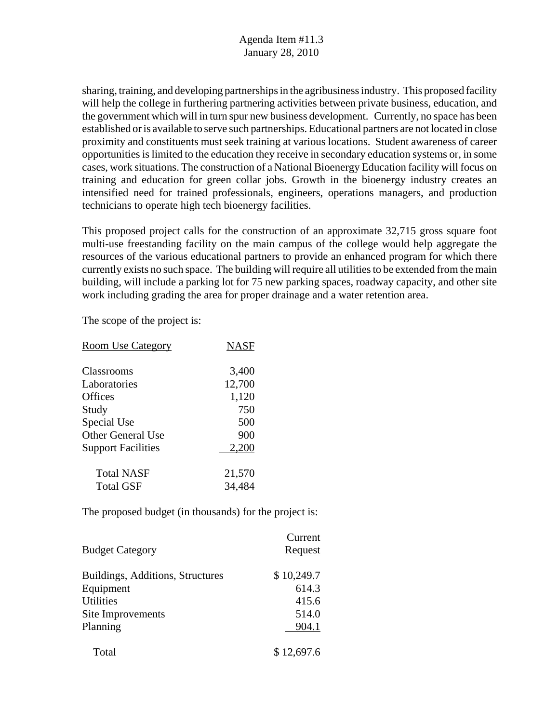sharing, training, and developing partnerships in the agribusiness industry. This proposed facility will help the college in furthering partnering activities between private business, education, and the government which will in turn spur new business development. Currently, no space has been established or is available to serve such partnerships. Educational partners are not located in close proximity and constituents must seek training at various locations. Student awareness of career opportunities is limited to the education they receive in secondary education systems or, in some cases, work situations. The construction of a National Bioenergy Education facility will focus on training and education for green collar jobs. Growth in the bioenergy industry creates an intensified need for trained professionals, engineers, operations managers, and production technicians to operate high tech bioenergy facilities.

This proposed project calls for the construction of an approximate 32,715 gross square foot multi-use freestanding facility on the main campus of the college would help aggregate the resources of the various educational partners to provide an enhanced program for which there currently exists no such space. The building will require all utilities to be extended from the main building, will include a parking lot for 75 new parking spaces, roadway capacity, and other site work including grading the area for proper drainage and a water retention area.

The scope of the project is:

| <b>Room Use Category</b>  | <b>NASF</b> |
|---------------------------|-------------|
| Classrooms                | 3,400       |
| Laboratories              | 12,700      |
| Offices                   | 1,120       |
| Study                     | 750         |
| Special Use               | 500         |
| <b>Other General Use</b>  | 900         |
| <b>Support Facilities</b> | 2,200       |
| <b>Total NASF</b>         | 21,570      |
| <b>Total GSF</b>          | 34,484      |

|                                  | Current    |
|----------------------------------|------------|
| <b>Budget Category</b>           | Request    |
| Buildings, Additions, Structures | \$10,249.7 |
| Equipment                        | 614.3      |
| <b>Utilities</b>                 | 415.6      |
| Site Improvements                | 514.0      |
| Planning                         | 904.1      |
| Total                            | \$12,697.6 |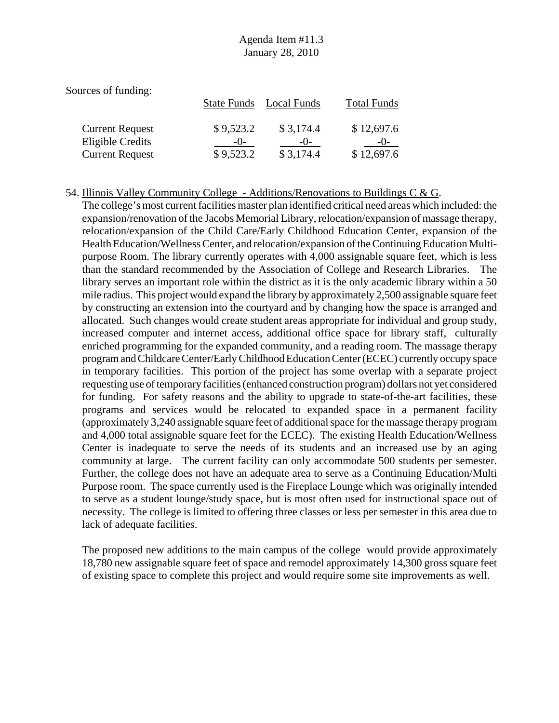| Sources of funding:     |                    |             |                    |
|-------------------------|--------------------|-------------|--------------------|
|                         | <b>State Funds</b> | Local Funds | <b>Total Funds</b> |
| <b>Current Request</b>  | \$9,523.2          | \$3,174.4   | \$12,697.6         |
| <b>Eligible Credits</b> | $-()$ -            | $-()$       |                    |
| <b>Current Request</b>  | \$9,523.2          | \$3,174.4   | \$12,697.6         |

#### 54. Illinois Valley Community College - Additions/Renovations to Buildings C & G.

The college's most current facilities master plan identified critical need areas which included: the expansion/renovation of the Jacobs Memorial Library, relocation/expansion of massage therapy, relocation/expansion of the Child Care/Early Childhood Education Center, expansion of the Health Education/Wellness Center, and relocation/expansion of the Continuing Education Multipurpose Room. The library currently operates with 4,000 assignable square feet, which is less than the standard recommended by the Association of College and Research Libraries. The library serves an important role within the district as it is the only academic library within a 50 mile radius. This project would expand the library by approximately 2,500 assignable square feet by constructing an extension into the courtyard and by changing how the space is arranged and allocated. Such changes would create student areas appropriate for individual and group study, increased computer and internet access, additional office space for library staff, culturally enriched programming for the expanded community, and a reading room. The massage therapy program and Childcare Center/Early Childhood Education Center (ECEC) currently occupy space in temporary facilities. This portion of the project has some overlap with a separate project requesting use of temporary facilities (enhanced construction program) dollars not yet considered for funding. For safety reasons and the ability to upgrade to state-of-the-art facilities, these programs and services would be relocated to expanded space in a permanent facility (approximately 3,240 assignable square feet of additional space for the massage therapy program and 4,000 total assignable square feet for the ECEC). The existing Health Education/Wellness Center is inadequate to serve the needs of its students and an increased use by an aging community at large. The current facility can only accommodate 500 students per semester. Further, the college does not have an adequate area to serve as a Continuing Education/Multi Purpose room. The space currently used is the Fireplace Lounge which was originally intended to serve as a student lounge/study space, but is most often used for instructional space out of necessity. The college is limited to offering three classes or less per semester in this area due to lack of adequate facilities.

The proposed new additions to the main campus of the college would provide approximately 18,780 new assignable square feet of space and remodel approximately 14,300 gross square feet of existing space to complete this project and would require some site improvements as well.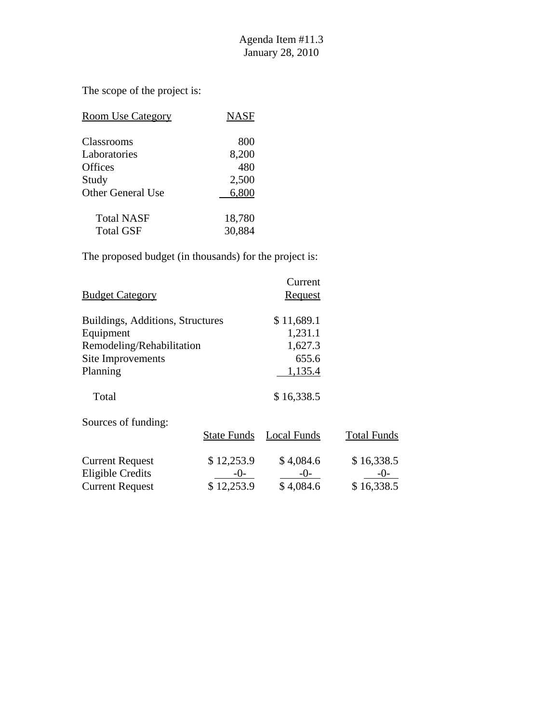The scope of the project is:

| <b>Room Use Category</b>       | <b>NASF</b>      |
|--------------------------------|------------------|
| <b>Classrooms</b>              | 800              |
| Laboratories                   | 8,200            |
| Offices                        | 480              |
| Study                          | 2,500            |
| Other General Use              | 6,800            |
| <b>Total NASF</b><br>Total GSF | 18,780<br>30,884 |
|                                |                  |

The proposed budget (in thousands) for the project is:

| <b>Budget Category</b>           | Current<br>Request |
|----------------------------------|--------------------|
| Buildings, Additions, Structures | \$11,689.1         |
| Equipment                        | 1,231.1            |
| Remodeling/Rehabilitation        | 1,627.3            |
| Site Improvements                | 655.6              |
| Planning                         | 1,135.4            |
| Total                            | \$16,338.5         |

Sources of funding:

|                        | <b>State Funds</b> | Local Funds | <b>Total Funds</b> |
|------------------------|--------------------|-------------|--------------------|
| <b>Current Request</b> | \$12,253.9         | \$4,084.6   | \$16,338.5         |
| Eligible Credits       | $-()$              | $-()$       | $-()$              |
| <b>Current Request</b> | \$12,253.9         | \$4,084.6   | \$16,338.5         |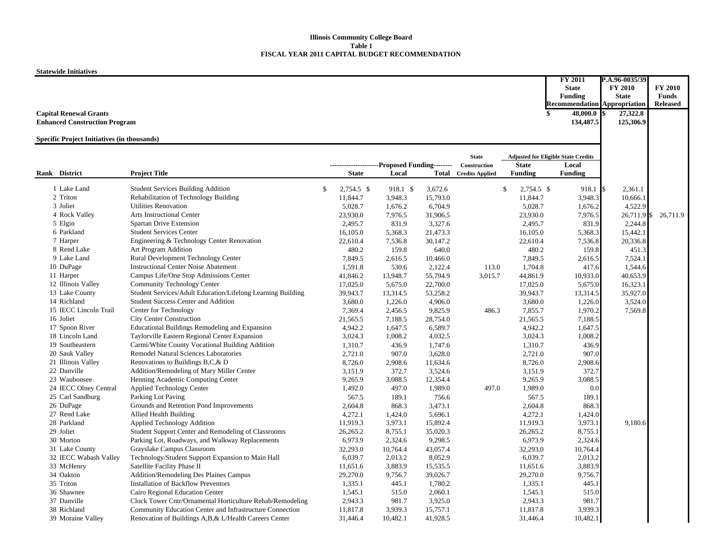#### **Illinois Community College Board Table 1FISCAL YEAR 2011 CAPITAL BUDGET RECOMMENDATION**

**Statewide Initiatives**

|                                                    |                                                             |                  |                  |          |                              |                  | FY 2011                                    | P.A.96-0035/39 |                 |
|----------------------------------------------------|-------------------------------------------------------------|------------------|------------------|----------|------------------------------|------------------|--------------------------------------------|----------------|-----------------|
|                                                    |                                                             |                  |                  |          |                              |                  | <b>State</b>                               | <b>FY 2010</b> | <b>FY 2010</b>  |
|                                                    |                                                             |                  |                  |          |                              |                  | Funding                                    | <b>State</b>   | Funds           |
|                                                    |                                                             |                  |                  |          |                              |                  | <b>Recommendation Appropriation</b>        |                | <b>Released</b> |
| <b>Capital Renewal Grants</b>                      |                                                             |                  |                  |          |                              | \$               | 48,000.0 \$                                | 27,322.8       |                 |
| <b>Enhanced Construction Program</b>               |                                                             |                  |                  |          |                              |                  | 134,487.5                                  | 125,306.9      |                 |
| <b>Specific Project Initiatives (in thousands)</b> |                                                             |                  |                  |          |                              |                  |                                            |                |                 |
|                                                    |                                                             |                  |                  |          |                              |                  |                                            |                |                 |
|                                                    |                                                             |                  |                  |          | <b>State</b>                 |                  | <b>Adjusted for Eligible State Credits</b> |                |                 |
|                                                    |                                                             |                  | Proposed Funding |          | Construction                 | <b>State</b>     | Local                                      |                |                 |
| Rank District                                      | <b>Project Title</b>                                        | <b>State</b>     | Local            |          | <b>Total</b> Credits Applied | <b>Funding</b>   | <b>Funding</b>                             |                |                 |
| 1 Lake Land                                        | <b>Student Services Building Addition</b>                   | \$<br>2.754.5 \$ | 918.1 \$         | 3.672.6  |                              | \$<br>2,754.5 \$ | 918.1                                      | 2,361.1        |                 |
| 2 Triton                                           | Rehabilitation of Technology Building                       | 11,844.7         | 3,948.3          | 15,793.0 |                              | 11,844.7         | 3,948.3                                    | 10,666.1       |                 |
| 3 Joliet                                           | <b>Utilities Renovation</b>                                 | 5.028.7          | 1.676.2          | 6.704.9  |                              | 5,028.7          | 1,676.2                                    | 4,522.9        |                 |
| 4 Rock Valley                                      | Arts Instructional Center                                   | 23,930.0         | 7,976.5          | 31,906.5 |                              | 23,930.0         | 7,976.5                                    | 26,711.9       | 26,711.9        |
| 5 Elgin                                            | Spartan Drive Extension                                     | 2,495.7          | 831.9            | 3,327.6  |                              | 2,495.7          | 831.9                                      | 2,244.8        |                 |
| 6 Parkland                                         | <b>Student Services Center</b>                              | 16,105.0         | 5,368.3          | 21,473.3 |                              | 16,105.0         | 5,368.3                                    | 15,442.1       |                 |
| 7 Harper                                           | Engineering & Technology Center Renovation                  | 22,610.4         | 7,536.8          | 30,147.2 |                              | 22,610.4         | 7,536.8                                    | 20,336.8       |                 |
| 8 Rend Lake                                        | Art Program Addition                                        | 480.2            | 159.8            | 640.0    |                              | 480.2            | 159.8                                      | 451.3          |                 |
| 9 Lake Land                                        | Rural Development Technology Center                         | 7,849.5          | 2,616.5          | 10,466.0 |                              | 7,849.5          | 2,616.5                                    | 7,524.1        |                 |
| 10 DuPage                                          | <b>Instructional Center Noise Abatement</b>                 | 1,591.8          | 530.6            | 2,122.4  | 113.0                        | 1,704.8          | 417.6                                      | 1,544.6        |                 |
| 11 Harper                                          | Campus Life/One Stop Admissions Center                      | 41,846.2         | 13,948.7         | 55,794.9 | 3,015.7                      | 44,861.9         | 10,933.0                                   | 40,653.9       |                 |
| 12 Illinois Valley                                 | Community Technology Center                                 | 17,025.0         | 5,675.0          | 22,700.0 |                              | 17,025.0         | 5,675.0                                    | 16,323.1       |                 |
| 13 Lake County                                     | Student Services/Adult Education/Lifelong Learning Building | 39,943.7         | 13,314.5         | 53,258.2 |                              | 39,943.7         | 13,314.5                                   | 35,927.0       |                 |
| 14 Richland                                        | <b>Student Success Center and Addition</b>                  | 3,680.0          | 1,226.0          | 4,906.0  |                              | 3,680.0          | 1,226.0                                    | 3,524.0        |                 |
| 15 IECC Lincoln Trail                              | Center for Technology                                       | 7,369.4          | 2,456.5          | 9,825.9  | 486.3                        | 7,855.7          | 1,970.2                                    | 7,569.8        |                 |
| 16 Joliet                                          | <b>City Center Construction</b>                             | 21,565.5         | 7,188.5          | 28,754.0 |                              | 21,565.5         | 7,188.5                                    |                |                 |
| 17 Spoon River                                     | Educational Buildings Remodeling and Expansion              | 4,942.2          | 1,647.5          | 6,589.7  |                              | 4,942.2          | 1,647.5                                    |                |                 |
| 18 Lincoln Land                                    | Taylorville Eastern Regional Center Expansion               | 3,024.3          | 1,008.2          | 4,032.5  |                              | 3,024.3          | 1,008.2                                    |                |                 |
| 19 Southeastern                                    | Carmi/White County Vocational Building Addition             | 1,310.7          | 436.9            | 1,747.6  |                              | 1,310.7          | 436.9                                      |                |                 |
| 20 Sauk Valley                                     | Remodel Natural Sciences Laboratories                       | 2,721.0          | 907.0            | 3,628.0  |                              | 2,721.0          | 907.0                                      |                |                 |
| 21 Illinois Valley                                 | Renovations to Buildings B,C,& D                            | 8,726.0          | 2,908.6          | 11,634.6 |                              | 8,726.0          | 2,908.6                                    |                |                 |
| 22 Danville                                        | Addition/Remodeling of Mary Miller Center                   | 3,151.9          | 372.7            | 3,524.6  |                              | 3,151.9          | 372.7                                      |                |                 |
| 23 Waubonsee                                       | Henning Academic Computing Center                           | 9,265.9          | 3,088.5          | 12,354.4 |                              | 9,265.9          | 3,088.5                                    |                |                 |
| 24 IECC Olney Central                              | Applied Technology Center                                   | 1,492.0          | 497.0            | 1,989.0  | 497.0                        | 1,989.0          | 0.0                                        |                |                 |
| 25 Carl Sandburg                                   | Parking Lot Paving                                          | 567.5            | 189.1            | 756.6    |                              | 567.5            | 189.1                                      |                |                 |
| 26 DuPage                                          | Grounds and Retention Pond Improvements                     |                  |                  |          |                              |                  |                                            |                |                 |
| 27 Rend Lake                                       |                                                             | 2,604.8          | 868.3            | 3,473.1  |                              | 2,604.8          | 868.3                                      |                |                 |
| 28 Parkland                                        | Allied Health Building                                      | 4,272.1          | 1,424.0          | 5,696.1  |                              | 4,272.1          | 1,424.0                                    |                |                 |
| 29 Joliet                                          | Applied Technology Addition                                 | 11,919.3         | 3,973.1          | 15,892.4 |                              | 11,919.3         | 3,973.1                                    | 9,180.6        |                 |
|                                                    | Student Support Center and Remodeling of Classrooms         | 26,265.2         | 8,755.1          | 35,020.3 |                              | 26,265.2         | 8,755.1                                    |                |                 |
| 30 Morton                                          | Parking Lot, Roadways, and Walkway Replacements             | 6.973.9          | 2,324.6          | 9.298.5  |                              | 6,973.9          | 2,324.6                                    |                |                 |
| 31 Lake County                                     | Grayslake Campus Classroom                                  | 32,293.0         | 10,764.4         | 43,057.4 |                              | 32,293.0         | 10,764.4                                   |                |                 |
| 32 IECC Wabash Valley                              | Technology/Student Support Expansion to Main Hall           | 6,039.7          | 2,013.2          | 8,052.9  |                              | 6,039.7          | 2,013.2                                    |                |                 |
| 33 McHenry                                         | Satellite Facility Phase II                                 | 11,651.6         | 3,883.9          | 15,535.5 |                              | 11,651.6         | 3,883.9                                    |                |                 |
| 34 Oakton                                          | Addition/Remodeling Des Plaines Campus                      | 29,270.0         | 9,756.7          | 39,026.7 |                              | 29,270.0         | 9,756.7                                    |                |                 |
| 35 Triton                                          | <b>Installation of Backflow Preventors</b>                  | 1,335.1          | 445.1            | 1,780.2  |                              | 1,335.1          | 445.1                                      |                |                 |
| 36 Shawnee                                         | Cairo Regional Education Center                             | 1,545.1          | 515.0            | 2,060.1  |                              | 1,545.1          | 515.0                                      |                |                 |
| 37 Danville                                        | Clock Tower Cntr/Ornamental Horticulture Rehab/Remodeling   | 2,943.3          | 981.7            | 3,925.0  |                              | 2,943.3          | 981.7                                      |                |                 |
| 38 Richland                                        | Community Education Center and Infrastructure Connection    | 11,817.8         | 3,939.3          | 15,757.1 |                              | 11,817.8         | 3,939.3                                    |                |                 |
| 39 Moraine Valley                                  | Renovation of Buildings A, B, & L/Health Careers Center     | 31,446.4         | 10,482.1         | 41,928.5 |                              | 31,446.4         | 10,482.1                                   |                |                 |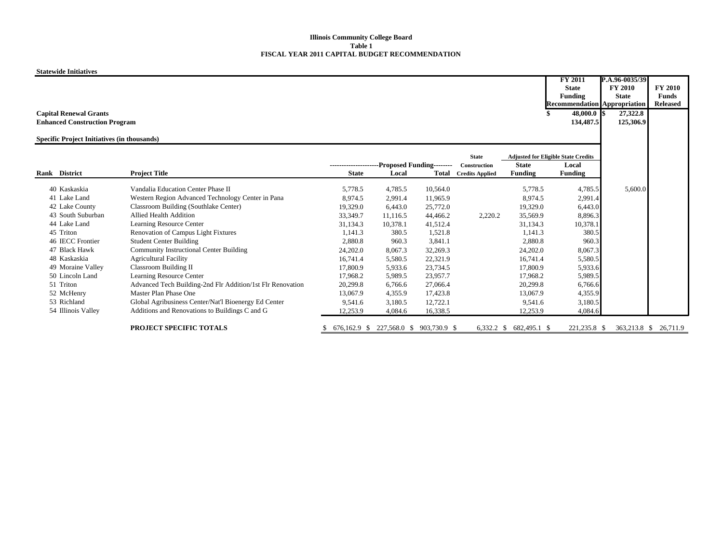#### **Illinois Community College Board Table 1FISCAL YEAR 2011 CAPITAL BUDGET RECOMMENDATION**

**Statewide Initiatives**

|                                                    |                                                            |                                               |                                        |          |                              |                | <b>FY 2011</b><br><b>State</b><br>Funding  | P.A.96-0035/39<br><b>FY 2010</b><br><b>State</b> | <b>FY 2010</b><br><b>Funds</b> |
|----------------------------------------------------|------------------------------------------------------------|-----------------------------------------------|----------------------------------------|----------|------------------------------|----------------|--------------------------------------------|--------------------------------------------------|--------------------------------|
|                                                    |                                                            |                                               |                                        |          |                              |                | <b>Recommendation Appropriation</b>        |                                                  | <b>Released</b>                |
| <b>Capital Renewal Grants</b>                      |                                                            |                                               |                                        |          |                              |                | $48,000.0$ \$                              | 27,322.8                                         |                                |
| <b>Enhanced Construction Program</b>               |                                                            |                                               |                                        |          |                              |                | 134,487.5                                  | 125,306.9                                        |                                |
|                                                    |                                                            |                                               |                                        |          |                              |                |                                            |                                                  |                                |
| <b>Specific Project Initiatives (in thousands)</b> |                                                            |                                               |                                        |          |                              |                |                                            |                                                  |                                |
|                                                    |                                                            |                                               |                                        |          | <b>State</b>                 |                | <b>Adjusted for Eligible State Credits</b> |                                                  |                                |
|                                                    |                                                            | ---------------------Proposed Funding-------- |                                        |          | Construction                 | <b>State</b>   | Local                                      |                                                  |                                |
| Rank District                                      | <b>Project Title</b>                                       | <b>State</b>                                  | Local                                  |          | <b>Total</b> Credits Applied | <b>Funding</b> | <b>Funding</b>                             |                                                  |                                |
| 40 Kaskaskia                                       | Vandalia Education Center Phase II                         | 5,778.5                                       | 4,785.5                                | 10,564.0 |                              | 5,778.5        | 4,785.5                                    | 5,600.0                                          |                                |
| 41 Lake Land                                       | Western Region Advanced Technology Center in Pana          | 8,974.5                                       | 2,991.4                                | 11,965.9 |                              | 8,974.5        | 2,991.4                                    |                                                  |                                |
| 42 Lake County                                     | Classroom Building (Southlake Center)                      | 19,329.0                                      | 6,443.0                                | 25,772.0 |                              | 19,329.0       | 6,443.0                                    |                                                  |                                |
| 43 South Suburban                                  | <b>Allied Health Addition</b>                              | 33,349.7                                      | 11,116.5                               | 44,466.2 | 2,220.2                      | 35,569.9       | 8,896.3                                    |                                                  |                                |
| 44 Lake Land                                       | Learning Resource Center                                   | 31,134.3                                      | 10.378.1                               | 41,512.4 |                              | 31,134.3       | 10,378.1                                   |                                                  |                                |
| 45 Triton                                          | Renovation of Campus Light Fixtures                        | 1,141.3                                       | 380.5                                  | 1,521.8  |                              | 1,141.3        | 380.5                                      |                                                  |                                |
| 46 IECC Frontier                                   | <b>Student Center Building</b>                             | 2,880.8                                       | 960.3                                  | 3,841.1  |                              | 2,880.8        | 960.3                                      |                                                  |                                |
| 47 Black Hawk                                      | <b>Community Instructional Center Building</b>             | 24,202.0                                      | 8,067.3                                | 32,269.3 |                              | 24,202.0       | 8,067.3                                    |                                                  |                                |
| 48 Kaskaskia                                       | <b>Agricultural Facility</b>                               | 16,741.4                                      | 5,580.5                                | 22,321.9 |                              | 16,741.4       | 5,580.5                                    |                                                  |                                |
| 49 Moraine Valley                                  | <b>Classroom Building II</b>                               | 17,800.9                                      | 5,933.6                                | 23,734.5 |                              | 17,800.9       | 5,933.6                                    |                                                  |                                |
| 50 Lincoln Land                                    | Learning Resource Center                                   | 17,968.2                                      | 5,989.5                                | 23,957.7 |                              | 17,968.2       | 5,989.5                                    |                                                  |                                |
| 51 Triton                                          | Advanced Tech Building-2nd Flr Addition/1st Flr Renovation | 20,299.8                                      | 6,766.6                                | 27,066.4 |                              | 20,299.8       | 6,766.6                                    |                                                  |                                |
| 52 McHenry                                         | Master Plan Phase One                                      | 13,067.9                                      | 4,355.9                                | 17,423.8 |                              | 13,067.9       | 4,355.9                                    |                                                  |                                |
| 53 Richland                                        | Global Agribusiness Center/Nat'l Bioenergy Ed Center       | 9,541.6                                       | 3,180.5                                | 12,722.1 |                              | 9,541.6        | 3,180.5                                    |                                                  |                                |
| 54 Illinois Valley                                 | Additions and Renovations to Buildings C and G             | 12,253.9                                      | 4,084.6                                | 16,338.5 |                              | 12,253.9       | 4,084.6                                    |                                                  |                                |
|                                                    |                                                            |                                               |                                        |          |                              |                |                                            |                                                  |                                |
|                                                    | PROJECT SPECIFIC TOTALS                                    | S.                                            | 676,162.9 \$ 227,568.0 \$ 903,730.9 \$ |          | $6,332.2$ \$                 | 682,495.1 \$   | 221,235.8 \$                               | 363,213.8 \$                                     | 26,711.9                       |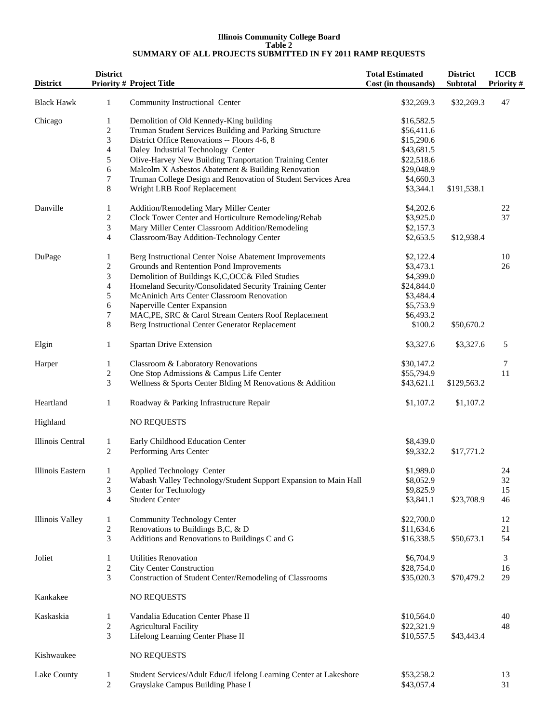#### **Illinois Community College Board Table 2 SUMMARY OF ALL PROJECTS SUBMITTED IN FY 2011 RAMP REQUESTS**

| <b>District</b>         | <b>District</b>              | <b>Priority # Project Title</b>                                                                   | <b>Total Estimated</b><br>Cost (in thousands) | <b>District</b><br>Subtotal | <b>ICCB</b><br><b>Priority#</b> |
|-------------------------|------------------------------|---------------------------------------------------------------------------------------------------|-----------------------------------------------|-----------------------------|---------------------------------|
| <b>Black Hawk</b>       | $\mathbf{1}$                 | Community Instructional Center                                                                    | \$32,269.3                                    | \$32,269.3                  | 47                              |
| Chicago                 | 1<br>$\overline{\mathbf{c}}$ | Demolition of Old Kennedy-King building<br>Truman Student Services Building and Parking Structure | \$16,582.5<br>\$56,411.6                      |                             |                                 |
|                         | 3                            | District Office Renovations -- Floors 4-6, 8                                                      | \$15,290.6                                    |                             |                                 |
|                         | $\overline{4}$               | Daley Industrial Technology Center                                                                | \$43,681.5                                    |                             |                                 |
|                         | $\mathfrak{S}$               | Olive-Harvey New Building Tranportation Training Center                                           | \$22,518.6                                    |                             |                                 |
|                         | 6                            | Malcolm X Asbestos Abatement & Building Renovation                                                | \$29,048.9                                    |                             |                                 |
|                         | $\tau$                       | Truman College Design and Renovation of Student Services Area                                     | \$4,660.3                                     |                             |                                 |
|                         | 8                            | Wright LRB Roof Replacement                                                                       | \$3,344.1                                     | \$191,538.1                 |                                 |
| Danville                | 1                            | Addition/Remodeling Mary Miller Center                                                            | \$4,202.6                                     |                             | 22                              |
|                         | $\sqrt{2}$                   | Clock Tower Center and Horticulture Remodeling/Rehab                                              | \$3,925.0                                     |                             | 37                              |
|                         | 3                            | Mary Miller Center Classroom Addition/Remodeling                                                  | \$2,157.3                                     |                             |                                 |
|                         | $\overline{4}$               | Classroom/Bay Addition-Technology Center                                                          | \$2,653.5                                     | \$12,938.4                  |                                 |
| DuPage                  | 1                            | Berg Instructional Center Noise Abatement Improvements                                            | \$2,122.4                                     |                             | 10                              |
|                         | $\overline{c}$               | Grounds and Rentention Pond Improvements                                                          | \$3,473.1                                     |                             | 26                              |
|                         | 3                            | Demolition of Buildings K,C,OCC& Filed Studies                                                    | \$4,399.0                                     |                             |                                 |
|                         | $\overline{4}$               | Homeland Security/Consolidated Security Training Center                                           | \$24,844.0                                    |                             |                                 |
|                         | $\mathfrak s$                | McAninich Arts Center Classroom Renovation                                                        | \$3,484.4                                     |                             |                                 |
|                         | 6                            | Naperville Center Expansion                                                                       | \$5,753.9                                     |                             |                                 |
|                         | 7                            | MAC, PE, SRC & Carol Stream Centers Roof Replacement                                              | \$6,493.2                                     |                             |                                 |
|                         | $\,8\,$                      | Berg Instructional Center Generator Replacement                                                   | \$100.2                                       | \$50,670.2                  |                                 |
| Elgin                   | 1                            | Spartan Drive Extension                                                                           | \$3,327.6                                     | \$3,327.6                   | 5                               |
| Harper                  | 1                            | Classroom & Laboratory Renovations                                                                | \$30,147.2                                    |                             | 7                               |
|                         | $\sqrt{2}$                   | One Stop Admissions & Campus Life Center                                                          | \$55,794.9                                    |                             | 11                              |
|                         | 3                            | Wellness & Sports Center Blding M Renovations & Addition                                          | \$43,621.1                                    | \$129,563.2                 |                                 |
| Heartland               | $\mathbf{1}$                 | Roadway & Parking Infrastructure Repair                                                           | \$1,107.2                                     | \$1,107.2                   |                                 |
| Highland                |                              | <b>NO REQUESTS</b>                                                                                |                                               |                             |                                 |
| Illinois Central        | $\mathbf{1}$                 | Early Childhood Education Center                                                                  | \$8,439.0                                     |                             |                                 |
|                         | 2                            | Performing Arts Center                                                                            | \$9,332.2                                     | \$17,771.2                  |                                 |
| <b>Illinois Eastern</b> | $\mathbf{1}$                 | Applied Technology Center                                                                         | \$1,989.0                                     |                             | 24                              |
|                         | 2                            | Wabash Valley Technology/Student Support Expansion to Main Hall                                   | \$8,052.9                                     |                             | 32                              |
|                         | 3                            | Center for Technology                                                                             | \$9,825.9                                     |                             | 15                              |
|                         | $\overline{4}$               | <b>Student Center</b>                                                                             | \$3,841.1                                     | \$23,708.9                  | 46                              |
| Illinois Valley         | $\mathbf{1}$                 | Community Technology Center                                                                       | \$22,700.0                                    |                             | 12                              |
|                         | $\sqrt{2}$                   | Renovations to Buildings B,C, & D                                                                 | \$11,634.6                                    |                             | 21                              |
|                         | 3                            | Additions and Renovations to Buildings C and G                                                    | \$16,338.5                                    | \$50,673.1                  | 54                              |
| Joliet                  | 1                            | <b>Utilities Renovation</b>                                                                       | \$6,704.9                                     |                             | 3                               |
|                         | $\sqrt{2}$                   | <b>City Center Construction</b>                                                                   | \$28,754.0                                    |                             | 16                              |
|                         | 3                            | Construction of Student Center/Remodeling of Classrooms                                           | \$35,020.3                                    | \$70,479.2                  | 29                              |
| Kankakee                |                              | <b>NO REQUESTS</b>                                                                                |                                               |                             |                                 |
| Kaskaskia               | 1                            | Vandalia Education Center Phase II                                                                | \$10,564.0                                    |                             | 40                              |
|                         | $\overline{c}$               | <b>Agricultural Facility</b>                                                                      | \$22,321.9                                    |                             | 48                              |
|                         | 3                            | Lifelong Learning Center Phase II                                                                 | \$10,557.5                                    | \$43,443.4                  |                                 |
| Kishwaukee              |                              | <b>NO REQUESTS</b>                                                                                |                                               |                             |                                 |
| Lake County             | $\mathbf{1}$                 | Student Services/Adult Educ/Lifelong Learning Center at Lakeshore                                 | \$53,258.2                                    |                             | 13                              |
|                         | $\boldsymbol{2}$             | Grayslake Campus Building Phase I                                                                 | \$43,057.4                                    |                             | 31                              |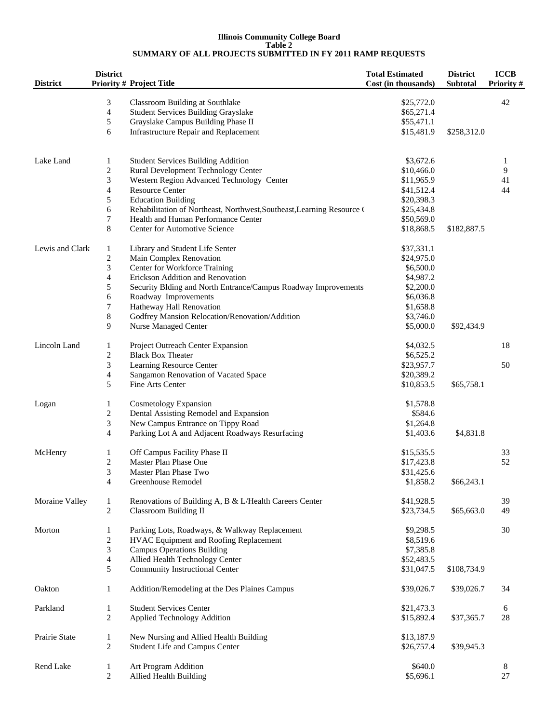#### **Illinois Community College Board Table 2 SUMMARY OF ALL PROJECTS SUBMITTED IN FY 2011 RAMP REQUESTS**

| <b>District</b> | <b>District</b>          | <b>Priority # Project Title</b>                                        | <b>Total Estimated</b><br>Cost (in thousands) | <b>District</b><br><b>Subtotal</b> | <b>ICCB</b><br>Priority# |
|-----------------|--------------------------|------------------------------------------------------------------------|-----------------------------------------------|------------------------------------|--------------------------|
|                 | 3                        | Classroom Building at Southlake                                        | \$25,772.0                                    |                                    | 42                       |
|                 | $\overline{\mathcal{A}}$ | <b>Student Services Building Grayslake</b>                             | \$65,271.4                                    |                                    |                          |
|                 | 5                        | Grayslake Campus Building Phase II                                     | \$55,471.1                                    |                                    |                          |
|                 | 6                        | <b>Infrastructure Repair and Replacement</b>                           | \$15,481.9                                    | \$258,312.0                        |                          |
| Lake Land       | 1                        | <b>Student Services Building Addition</b>                              | \$3,672.6                                     |                                    | 1                        |
|                 | $\boldsymbol{2}$         | Rural Development Technology Center                                    | \$10,466.0                                    |                                    | 9                        |
|                 | $\mathfrak{Z}$           | Western Region Advanced Technology Center                              | \$11,965.9                                    |                                    | 41                       |
|                 | $\overline{\mathbf{4}}$  | <b>Resource Center</b>                                                 | \$41,512.4                                    |                                    | 44                       |
|                 | $\sqrt{5}$               | <b>Education Building</b>                                              | \$20,398.3                                    |                                    |                          |
|                 | $\sqrt{6}$               | Rehabilitation of Northeast, Northwest, Southeast, Learning Resource ( | \$25,434.8                                    |                                    |                          |
|                 | $\boldsymbol{7}$         | Health and Human Performance Center                                    | \$50,569.0                                    |                                    |                          |
|                 | 8                        | <b>Center for Automotive Science</b>                                   | \$18,868.5                                    | \$182,887.5                        |                          |
| Lewis and Clark | 1                        | Library and Student Life Senter                                        | \$37,331.1                                    |                                    |                          |
|                 | $\boldsymbol{2}$         | Main Complex Renovation                                                | \$24,975.0                                    |                                    |                          |
|                 | $\mathfrak{Z}$           | Center for Workforce Training                                          | \$6,500.0                                     |                                    |                          |
|                 | $\overline{\mathcal{L}}$ | Erickson Addition and Renovation                                       | \$4,987.2                                     |                                    |                          |
|                 | 5                        | Security Blding and North Entrance/Campus Roadway Improvements         | \$2,200.0                                     |                                    |                          |
|                 | 6                        | Roadway Improvements                                                   | \$6,036.8                                     |                                    |                          |
|                 | $\boldsymbol{7}$         | Hatheway Hall Renovation                                               | \$1,658.8                                     |                                    |                          |
|                 | $\,$ 8 $\,$              | Godfrey Mansion Relocation/Renovation/Addition                         | \$3,746.0                                     |                                    |                          |
|                 | 9                        | <b>Nurse Managed Center</b>                                            | \$5,000.0                                     | \$92,434.9                         |                          |
| Lincoln Land    | 1                        | Project Outreach Center Expansion                                      | \$4,032.5                                     |                                    | 18                       |
|                 | $\boldsymbol{2}$         | <b>Black Box Theater</b>                                               | \$6,525.2                                     |                                    |                          |
|                 | $\sqrt{3}$               | Learning Resource Center                                               | \$23,957.7                                    |                                    | 50                       |
|                 | $\overline{\mathcal{A}}$ | Sangamon Renovation of Vacated Space                                   | \$20,389.2                                    |                                    |                          |
|                 | 5                        | Fine Arts Center                                                       | \$10,853.5                                    | \$65,758.1                         |                          |
| Logan           | $\mathbf{1}$             | Cosmetology Expansion                                                  | \$1,578.8                                     |                                    |                          |
|                 | $\boldsymbol{2}$         | Dental Assisting Remodel and Expansion                                 | \$584.6                                       |                                    |                          |
|                 | $\mathfrak{Z}$           | New Campus Entrance on Tippy Road                                      | \$1,264.8                                     |                                    |                          |
|                 | $\overline{4}$           | Parking Lot A and Adjacent Roadways Resurfacing                        | \$1,403.6                                     | \$4,831.8                          |                          |
| McHenry         | 1                        | Off Campus Facility Phase II                                           | \$15,535.5                                    |                                    | 33                       |
|                 | $\overline{c}$           | Master Plan Phase One                                                  | \$17,423.8                                    |                                    | 52                       |
|                 | 3                        | Master Plan Phase Two                                                  | \$31,425.6                                    |                                    |                          |
|                 | 4                        | Greenhouse Remodel                                                     | \$1,858.2                                     | \$66,243.1                         |                          |
| Moraine Valley  | 1                        | Renovations of Building A, B & L/Health Careers Center                 | \$41,928.5                                    |                                    | 39                       |
|                 | $\boldsymbol{2}$         | <b>Classroom Building II</b>                                           | \$23,734.5                                    | \$65,663.0                         | 49                       |
| Morton          | 1                        | Parking Lots, Roadways, & Walkway Replacement                          | \$9,298.5                                     |                                    | 30                       |
|                 | $\boldsymbol{2}$         | HVAC Equipment and Roofing Replacement                                 | \$8,519.6                                     |                                    |                          |
|                 | $\mathfrak{Z}$           | <b>Campus Operations Building</b>                                      | \$7,385.8                                     |                                    |                          |
|                 | $\overline{4}$           | Allied Health Technology Center                                        | \$52,483.5                                    |                                    |                          |
|                 | 5                        | Community Instructional Center                                         | \$31,047.5                                    | \$108,734.9                        |                          |
| Oakton          | $\mathbf{1}$             | Addition/Remodeling at the Des Plaines Campus                          | \$39,026.7                                    | \$39,026.7                         | 34                       |
| Parkland        | 1                        | <b>Student Services Center</b>                                         | \$21,473.3                                    |                                    | 6                        |
|                 | $\mathfrak{2}$           | Applied Technology Addition                                            | \$15,892.4                                    | \$37,365.7                         | $28\,$                   |
| Prairie State   | 1                        | New Nursing and Allied Health Building                                 | \$13,187.9                                    |                                    |                          |
|                 | 2                        | Student Life and Campus Center                                         | \$26,757.4                                    | \$39,945.3                         |                          |
| Rend Lake       | $\mathbf{1}$             | Art Program Addition                                                   | \$640.0                                       |                                    | 8                        |
|                 | 2                        | Allied Health Building                                                 | \$5,696.1                                     |                                    | 27                       |
|                 |                          |                                                                        |                                               |                                    |                          |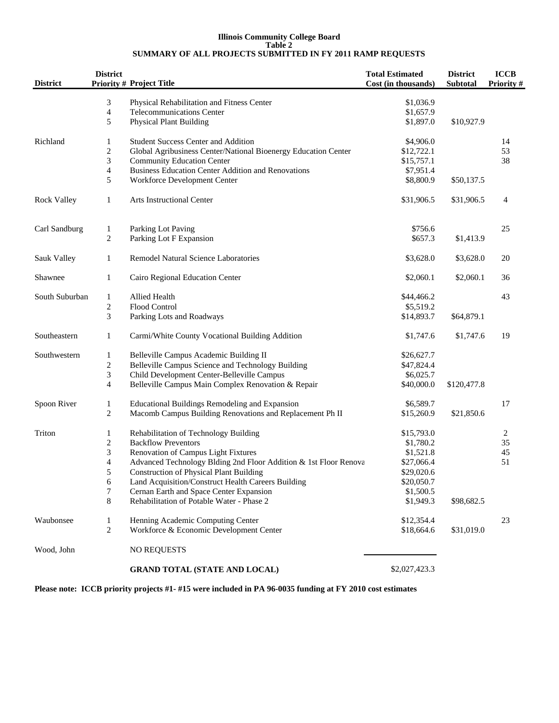#### **Illinois Community College Board Table 2 SUMMARY OF ALL PROJECTS SUBMITTED IN FY 2011 RAMP REQUESTS**

| <b>District</b>    | <b>District</b>          | <b>Priority # Project Title</b>                                  | <b>Total Estimated</b><br>Cost (in thousands) | <b>District</b><br>Subtotal | <b>ICCB</b><br>Priority # |
|--------------------|--------------------------|------------------------------------------------------------------|-----------------------------------------------|-----------------------------|---------------------------|
|                    | 3                        | Physical Rehabilitation and Fitness Center                       | \$1,036.9                                     |                             |                           |
|                    | $\overline{4}$           | <b>Telecommunications Center</b>                                 | \$1,657.9                                     |                             |                           |
|                    | 5                        | <b>Physical Plant Building</b>                                   | \$1,897.0                                     | \$10,927.9                  |                           |
| Richland           | 1                        | <b>Student Success Center and Addition</b>                       | \$4,906.0                                     |                             | 14                        |
|                    | $\overline{c}$           | Global Agribusiness Center/National Bioenergy Education Center   | \$12,722.1                                    |                             | 53                        |
|                    | 3                        | <b>Community Education Center</b>                                | \$15,757.1                                    |                             | 38                        |
|                    | $\overline{\mathbf{4}}$  | <b>Business Education Center Addition and Renovations</b>        | \$7,951.4                                     |                             |                           |
|                    | 5                        | Workforce Development Center                                     | \$8,800.9                                     | \$50,137.5                  |                           |
| <b>Rock Valley</b> | $\mathbf{1}$             | <b>Arts Instructional Center</b>                                 | \$31,906.5                                    | \$31,906.5                  | 4                         |
| Carl Sandburg      | $\mathbf{1}$             | Parking Lot Paving                                               | \$756.6                                       |                             | 25                        |
|                    | $\overline{c}$           | Parking Lot F Expansion                                          | \$657.3                                       | \$1,413.9                   |                           |
| Sauk Valley        | 1                        | Remodel Natural Science Laboratories                             | \$3,628.0                                     | \$3,628.0                   | 20                        |
| Shawnee            | $\mathbf{1}$             | Cairo Regional Education Center                                  | \$2,060.1                                     | \$2,060.1                   | 36                        |
| South Suburban     | $\mathbf{1}$             | Allied Health                                                    | \$44,466.2                                    |                             | 43                        |
|                    | $\boldsymbol{2}$         | Flood Control                                                    | \$5,519.2                                     |                             |                           |
|                    | 3                        | Parking Lots and Roadways                                        | \$14,893.7                                    | \$64,879.1                  |                           |
| Southeastern       | 1                        | Carmi/White County Vocational Building Addition                  | \$1,747.6                                     | \$1,747.6                   | 19                        |
| Southwestern       | 1                        | Belleville Campus Academic Building II                           | \$26,627.7                                    |                             |                           |
|                    | $\sqrt{2}$               | Belleville Campus Science and Technology Building                | \$47,824.4                                    |                             |                           |
|                    | $\mathfrak{Z}$           | Child Development Center-Belleville Campus                       | \$6,025.7                                     |                             |                           |
|                    | $\overline{4}$           | Belleville Campus Main Complex Renovation & Repair               | \$40,000.0                                    | \$120,477.8                 |                           |
| Spoon River        | $\mathbf{1}$             | Educational Buildings Remodeling and Expansion                   | \$6,589.7                                     |                             | 17                        |
|                    | 2                        | Macomb Campus Building Renovations and Replacement Ph II         | \$15,260.9                                    | \$21,850.6                  |                           |
| Triton             | 1                        | Rehabilitation of Technology Building                            | \$15,793.0                                    |                             | 2                         |
|                    | $\sqrt{2}$               | <b>Backflow Preventors</b>                                       | \$1,780.2                                     |                             | 35                        |
|                    | 3                        | Renovation of Campus Light Fixtures                              | \$1,521.8                                     |                             | 45                        |
|                    | $\overline{\mathcal{A}}$ | Advanced Technology Blding 2nd Floor Addition & 1st Floor Renova | \$27,066.4                                    |                             | 51                        |
|                    | 5                        | <b>Construction of Physical Plant Building</b>                   | \$29,020.6                                    |                             |                           |
|                    | 6                        | Land Acquisition/Construct Health Careers Building               | \$20,050.7                                    |                             |                           |
|                    | $\tau$                   | Cernan Earth and Space Center Expansion                          | \$1,500.5                                     |                             |                           |
|                    | 8                        | Rehabilitation of Potable Water - Phase 2                        | \$1,949.3                                     | \$98,682.5                  |                           |
| Waubonsee          | 1                        | Henning Academic Computing Center                                | \$12,354.4                                    |                             | 23                        |
|                    | $\overline{c}$           | Workforce & Economic Development Center                          | \$18,664.6                                    | \$31,019.0                  |                           |
| Wood, John         |                          | <b>NO REQUESTS</b>                                               |                                               |                             |                           |
|                    |                          | <b>GRAND TOTAL (STATE AND LOCAL)</b>                             | \$2,027,423.3                                 |                             |                           |

**Please note: ICCB priority projects #1- #15 were included in PA 96-0035 funding at FY 2010 cost estimates**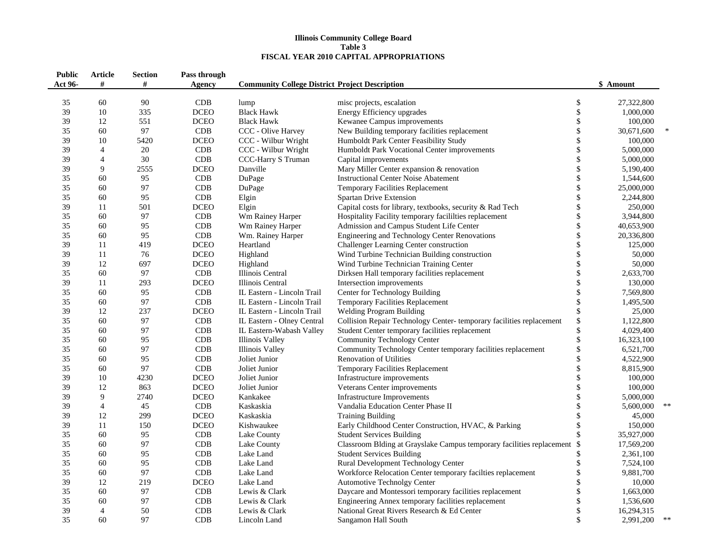#### **Illinois Community College Board Table 3FISCAL YEAR 2010 CAPITAL APPROPRIATIONS**

| <b>Public</b><br>Act 96- | Article<br>#   | <b>Section</b><br># | Pass through<br><b>Agency</b> | <b>Community College District Project Description</b> |                                                                          |                   | \$ Amount  |        |
|--------------------------|----------------|---------------------|-------------------------------|-------------------------------------------------------|--------------------------------------------------------------------------|-------------------|------------|--------|
| 35                       | 60             | 90                  | CDB                           | lump                                                  | misc projects, escalation                                                | \$                | 27,322,800 |        |
| 39                       | 10             | 335                 | <b>DCEO</b>                   | <b>Black Hawk</b>                                     | Energy Efficiency upgrades                                               | \$                | 1,000,000  |        |
| 39                       | 12             | 551                 | <b>DCEO</b>                   | <b>Black Hawk</b>                                     | Kewanee Campus improvements                                              | \$                | 100,000    |        |
| 35                       | 60             | 97                  | CDB                           | CCC - Olive Harvey                                    | New Building temporary facilities replacement                            | $\boldsymbol{\$}$ | 30,671,600 | $\ast$ |
| 39                       | 10             | 5420                | <b>DCEO</b>                   | CCC - Wilbur Wright                                   | Humboldt Park Center Feasibility Study                                   | \$                | 100,000    |        |
| 39                       | $\overline{4}$ | 20                  | CDB                           | CCC - Wilbur Wright                                   | Humboldt Park Vocational Center improvements                             | \$                | 5,000,000  |        |
| 39                       | $\overline{4}$ | 30                  | CDB                           | CCC-Harry S Truman                                    | Capital improvements                                                     | \$                | 5,000,000  |        |
| 39                       | 9              | 2555                | <b>DCEO</b>                   | Danville                                              | Mary Miller Center expansion & renovation                                | $\boldsymbol{\$}$ | 5,190,400  |        |
| 35                       | 60             | 95                  | CDB                           | DuPage                                                | <b>Instructional Center Noise Abatement</b>                              | \$                | 1,544,600  |        |
| 35                       | 60             | 97                  | CDB                           | DuPage                                                | <b>Temporary Facilities Replacement</b>                                  | $\$\,$            | 25,000,000 |        |
| 35                       | 60             | 95                  | CDB                           | Elgin                                                 | Spartan Drive Extension                                                  | \$                | 2,244,800  |        |
| 39                       | 11             | 501                 | <b>DCEO</b>                   | Elgin                                                 | Capital costs for library, textbooks, security & Rad Tech                | \$                | 250,000    |        |
| 35                       | 60             | 97                  | CDB                           | Wm Rainey Harper                                      | Hospitality Facility temporary facililties replacement                   | \$                | 3,944,800  |        |
| 35                       | 60             | 95                  | CDB                           | Wm Rainey Harper                                      | Admission and Campus Student Life Center                                 | \$                | 40,653,900 |        |
| 35                       | 60             | 95                  | CDB                           | Wm. Rainey Harper                                     | Engineering and Technology Center Renovations                            | $\boldsymbol{\$}$ | 20,336,800 |        |
| 39                       | 11             | 419                 | <b>DCEO</b>                   | Heartland                                             | Challenger Learning Center construction                                  | \$                | 125,000    |        |
| 39                       | 11             | 76                  | <b>DCEO</b>                   | Highland                                              | Wind Turbine Technician Building construction                            | \$                | 50,000     |        |
| 39                       | 12             | 697                 | <b>DCEO</b>                   | Highland                                              | Wind Turbine Technician Training Center                                  | \$                | 50,000     |        |
| 35                       | 60             | 97                  | CDB                           | Illinois Central                                      | Dirksen Hall temporary facilities replacement                            | $\mathsf{\$}$     | 2,633,700  |        |
| 39                       | 11             | 293                 | <b>DCEO</b>                   | Illinois Central                                      | Intersection improvements                                                | $\boldsymbol{\$}$ | 130,000    |        |
| 35                       | 60             | 95                  | CDB                           | IL Eastern - Lincoln Trail                            | Center for Technology Building                                           | $\boldsymbol{\$}$ | 7,569,800  |        |
| 35                       | 60             | 97                  | <b>CDB</b>                    | IL Eastern - Lincoln Trail                            | Temporary Facilities Replacement                                         | $\mathbb{S}$      | 1,495,500  |        |
| 39                       | 12             | 237                 | <b>DCEO</b>                   | IL Eastern - Lincoln Trail                            | <b>Welding Program Building</b>                                          | \$                | 25,000     |        |
| 35                       | 60             | 97                  | CDB                           | IL Eastern - Olney Central                            | Collision Repair Technology Center-temporary facilities replacement      | \$                | 1,122,800  |        |
| 35                       | 60             | 97                  | CDB                           | IL Eastern-Wabash Valley                              | Student Center temporary facilities replacement                          | \$                | 4,029,400  |        |
| 35                       | 60             | 95                  | CDB                           | <b>Illinois Valley</b>                                | <b>Community Technology Center</b>                                       | $\mathsf{\$}$     | 16,323,100 |        |
| 35                       | 60             | 97                  | CDB                           | Illinois Valley                                       | Community Technology Center temporary facilities replacement             | \$                | 6,521,700  |        |
| 35                       | 60             | 95                  | CDB                           | Joliet Junior                                         | Renovation of Utilities                                                  | \$                | 4,522,900  |        |
| 35                       | 60             | 97                  | CDB                           | Joliet Junior                                         | Temporary Facilities Replacement                                         | \$                | 8,815,900  |        |
| 39                       | 10             | 4230                | <b>DCEO</b>                   | Joliet Junior                                         | Infrastructure improvements                                              | \$                | 100,000    |        |
| 39                       | 12             | 863                 | <b>DCEO</b>                   | Joliet Junior                                         | Veterans Center improvements                                             | \$                | 100,000    |        |
| 39                       | 9              | 2740                | <b>DCEO</b>                   | Kankakee                                              | <b>Infrastructure Improvements</b>                                       | \$                | 5,000,000  |        |
| 39                       | $\overline{4}$ | 45                  | CDB                           | Kaskaskia                                             | Vandalia Education Center Phase II                                       | $\mathsf{\$}$     | 5,600,000  | **     |
| 39                       | 12             | 299                 | <b>DCEO</b>                   | Kaskaskia                                             | <b>Training Building</b>                                                 | \$                | 45,000     |        |
| 39                       | 11             | 150                 | <b>DCEO</b>                   | Kishwaukee                                            | Early Childhood Center Construction, HVAC, & Parking                     | $\mathbb{S}$      | 150,000    |        |
| 35                       | 60             | 95                  | CDB                           | Lake County                                           | <b>Student Services Building</b>                                         |                   | 35,927,000 |        |
| 35                       | 60             | 97                  | CDB                           | Lake County                                           | Classroom Blding at Grayslake Campus temporary facilities replacement \$ |                   | 17,569,200 |        |
| 35                       | 60             | 95                  | CDB                           | Lake Land                                             | <b>Student Services Building</b>                                         | \$                | 2,361,100  |        |
| 35                       | 60             | 95                  | CDB                           | Lake Land                                             | Rural Development Technology Center                                      | \$                | 7,524,100  |        |
| 35                       | 60             | 97                  | CDB                           | Lake Land                                             | Workforce Relocation Center temporary facilties replacement              | \$                | 9,881,700  |        |
| 39                       | 12             | 219                 | <b>DCEO</b>                   | Lake Land                                             | <b>Automotive Technolgy Center</b>                                       | \$                | 10,000     |        |
| 35                       | 60             | 97                  | CDB                           | Lewis & Clark                                         | Daycare and Montessori temporary facilities replacement                  | \$                | 1,663,000  |        |
| 35                       | 60             | 97                  | CDB                           | Lewis & Clark                                         | Engineering Annex temporary facilities replacement                       | \$                | 1,536,600  |        |
| 39                       | $\overline{4}$ | 50                  | CDB                           | Lewis & Clark                                         | National Great Rivers Research & Ed Center                               | \$                | 16,294,315 |        |
| 35                       | 60             | 97                  | CDB                           | Lincoln Land                                          | Sangamon Hall South                                                      | \$                | 2,991,200  | $\ast$ |